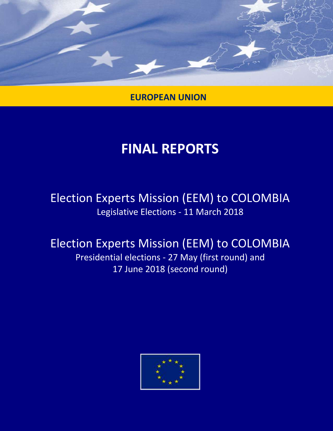

**EUROPEAN UNION**

## **FINAL REPORTS**

## Election Experts Mission (EEM) to COLOMBIA Legislative Elections - 11 March 2018

## Election Experts Mission (EEM) to COLOMBIA Presidential elections - 27 May (first round) and

17 June 2018 (second round)

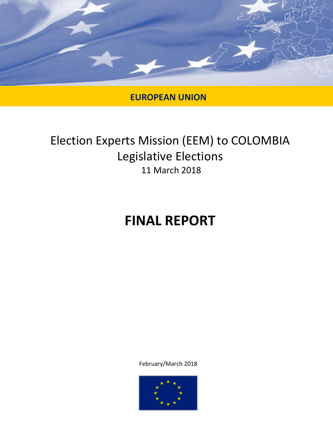

## **EUROPEAN UNION**

## Election Experts Mission (EEM) to COLOMBIA Legislative Elections 11 March 2018

# **FINAL REPORT**

February/March 2018

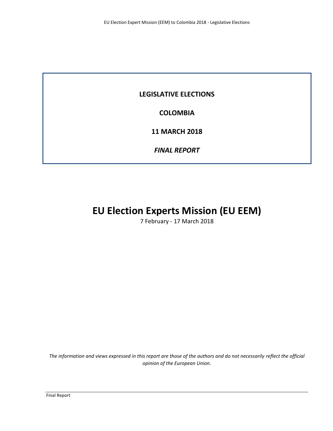### **LEGISLATIVE ELECTIONS**

**COLOMBIA**

**11 MARCH 2018**

*FINAL REPORT*

## **EU Election Experts Mission (EU EEM)**

7 February - 17 March 2018

*The information and views expressed in this report are those of the authors and do not necessarily reflect the official opinion of the European Union.*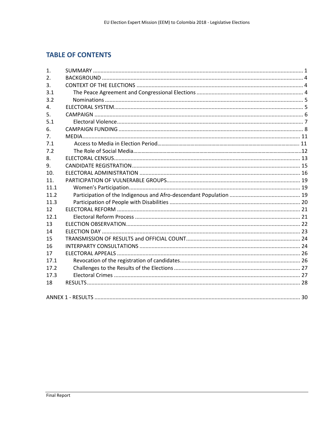## **TABLE OF CONTENTS**

| $\mathbf{1}$ .   |  |
|------------------|--|
| $\overline{2}$ . |  |
| 3 <sub>1</sub>   |  |
| 3.1              |  |
| 3.2              |  |
| 4.               |  |
| 5.               |  |
| 5.1              |  |
| 6.               |  |
| 7 <sub>1</sub>   |  |
| 7.1              |  |
| 7.2              |  |
| 8.               |  |
| 9.               |  |
| 10.              |  |
| 11.              |  |
| 11.1             |  |
| 11.2             |  |
| 11.3             |  |
| 12               |  |
| 12.1             |  |
| 13               |  |
| 14               |  |
| 15               |  |
| 16               |  |
| 17               |  |
| 17.1             |  |
| 17.2             |  |
| 17.3             |  |
| 18               |  |
|                  |  |
|                  |  |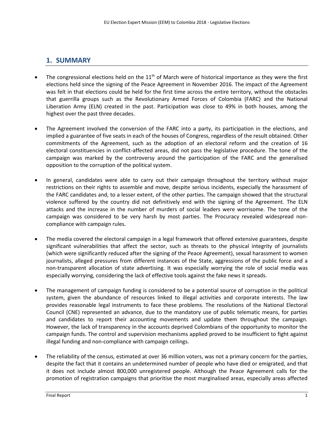## **1. SUMMARY**

- The congressional elections held on the  $11<sup>th</sup>$  of March were of historical importance as they were the first elections held since the signing of the Peace Agreement in November 2016. The impact of the Agreement was felt in that elections could be held for the first time across the entire territory, without the obstacles that guerrilla groups such as the Revolutionary Armed Forces of Colombia (FARC) and the National Liberation Army (ELN) created in the past. Participation was close to 49% in both houses, among the highest over the past three decades.
- The Agreement involved the conversion of the FARC into a party, its participation in the elections, and implied a guarantee of five seats in each of the houses of Congress, regardless of the result obtained. Other commitments of the Agreement, such as the adoption of an electoral reform and the creation of 16 electoral constituencies in conflict-affected areas, did not pass the legislative procedure. The tone of the campaign was marked by the controversy around the participation of the FARC and the generalised opposition to the corruption of the political system.
- In general, candidates were able to carry out their campaign throughout the territory without major restrictions on their rights to assemble and move, despite serious incidents, especially the harassment of the FARC candidates and, to a lesser extent, of the other parties. The campaign showed that the structural violence suffered by the country did not definitively end with the signing of the Agreement. The ELN attacks and the increase in the number of murders of social leaders were worrisome. The tone of the campaign was considered to be very harsh by most parties. The Procuracy revealed widespread noncompliance with campaign rules.
- The media covered the electoral campaign in a legal framework that offered extensive guarantees, despite significant vulnerabilities that affect the sector, such as threats to the physical integrity of journalists (which were significantly reduced after the signing of the Peace Agreement), sexual harassment to women journalists, alleged pressures from different instances of the State, aggressions of the public force and a non-transparent allocation of state advertising. It was especially worrying the role of social media was especially worrying, considering the lack of effective tools against the fake news it spreads.
- The management of campaign funding is considered to be a potential source of corruption in the political system, given the abundance of resources linked to illegal activities and corporate interests. The law provides reasonable legal instruments to face these problems. The resolutions of the National Electoral Council (CNE) represented an advance, due to the mandatory use of public telematic means, for parties and candidates to report their accounting movements and update them throughout the campaign. However, the lack of transparency in the accounts deprived Colombians of the opportunity to monitor the campaign funds. The control and supervision mechanisms applied proved to be insufficient to fight against illegal funding and non-compliance with campaign ceilings.
- The reliability of the census, estimated at over 36 million voters, was not a primary concern for the parties, despite the fact that it contains an undetermined number of people who have died or emigrated, and that it does not include almost 800,000 unregistered people. Although the Peace Agreement calls for the promotion of registration campaigns that prioritise the most marginalised areas, especially areas affected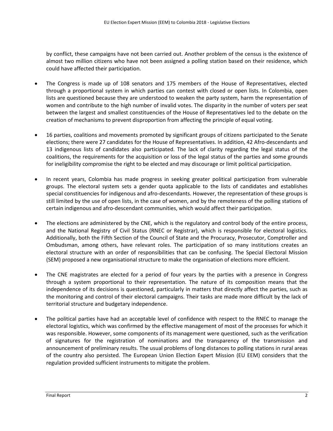by conflict, these campaigns have not been carried out. Another problem of the census is the existence of almost two million citizens who have not been assigned a polling station based on their residence, which could have affected their participation.

- The Congress is made up of 108 senators and 175 members of the House of Representatives, elected through a proportional system in which parties can contest with closed or open lists. In Colombia, open lists are questioned because they are understood to weaken the party system, harm the representation of women and contribute to the high number of invalid votes. The disparity in the number of voters per seat between the largest and smallest constituencies of the House of Representatives led to the debate on the creation of mechanisms to prevent disproportion from affecting the principle of equal voting.
- 16 parties, coalitions and movements promoted by significant groups of citizens participated to the Senate elections; there were 27 candidates for the House of Representatives. In addition, 42 Afro-descendants and 13 indigenous lists of candidates also participated. The lack of clarity regarding the legal status of the coalitions, the requirements for the acquisition or loss of the legal status of the parties and some grounds for ineligibility compromise the right to be elected and may discourage or limit political participation.
- In recent years, Colombia has made progress in seeking greater political participation from vulnerable groups. The electoral system sets a gender quota applicable to the lists of candidates and establishes special constituencies for indigenous and afro-descendants. However, the representation of these groups is still limited by the use of open lists, in the case of women, and by the remoteness of the polling stations of certain indigenous and afro-descendant communities, which would affect their participation.
- The elections are administered by the CNE, which is the regulatory and control body of the entire process, and the National Registry of Civil Status (RNEC or Registrar), which is responsible for electoral logistics. Additionally, both the Fifth Section of the Council of State and the Procuracy, Prosecutor, Comptroller and Ombudsman, among others, have relevant roles. The participation of so many institutions creates an electoral structure with an order of responsibilities that can be confusing. The Special Electoral Mission (SEM) proposed a new organisational structure to make the organisation of elections more efficient.
- The CNE magistrates are elected for a period of four years by the parties with a presence in Congress through a system proportional to their representation. The nature of its composition means that the independence of its decisions is questioned, particularly in matters that directly affect the parties, such as the monitoring and control of their electoral campaigns. Their tasks are made more difficult by the lack of territorial structure and budgetary independence.
- The political parties have had an acceptable level of confidence with respect to the RNEC to manage the electoral logistics, which was confirmed by the effective management of most of the processes for which it was responsible. However, some components of its management were questioned, such as the verification of signatures for the registration of nominations and the transparency of the transmission and announcement of preliminary results. The usual problems of long distances to polling stations in rural areas of the country also persisted. The European Union Election Expert Mission (EU EEM) considers that the regulation provided sufficient instruments to mitigate the problem.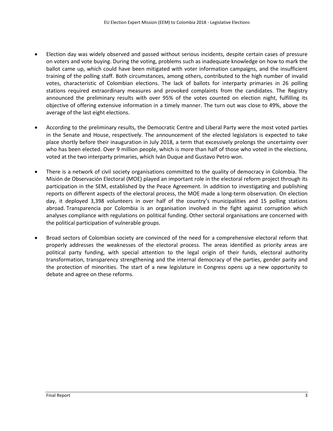- Election day was widely observed and passed without serious incidents, despite certain cases of pressure on voters and vote buying. During the voting, problems such as inadequate knowledge on how to mark the ballot came up, which could have been mitigated with voter information campaigns, and the insufficient training of the polling staff. Both circumstances, among others, contributed to the high number of invalid votes, characteristic of Colombian elections. The lack of ballots for interparty primaries in 26 polling stations required extraordinary measures and provoked complaints from the candidates. The Registry announced the preliminary results with over 95% of the votes counted on election night, fulfilling its objective of offering extensive information in a timely manner. The turn out was close to 49%, above the average of the last eight elections.
- According to the preliminary results, the Democratic Centre and Liberal Party were the most voted parties in the Senate and House, respectively. The announcement of the elected legislators is expected to take place shortly before their inauguration in July 2018, a term that excessively prolongs the uncertainty over who has been elected. Over 9 million people, which is more than half of those who voted in the elections, voted at the two interparty primaries, which Iván Duque and Gustavo Petro won.
- There is a network of civil society organisations committed to the quality of democracy in Colombia. The Misión de Observación Electoral (MOE) played an important role in the electoral reform project through its participation in the SEM, established by the Peace Agreement. In addition to investigating and publishing reports on different aspects of the electoral process, the MOE made a long-term observation. On election day, it deployed 3,398 volunteers in over half of the country's municipalities and 15 polling stations abroad. Transparencia por Colombia is an organisation involved in the fight against corruption which analyses compliance with regulations on political funding. Other sectoral organisations are concerned with the political participation of vulnerable groups.
- Broad sectors of Colombian society are convinced of the need for a comprehensive electoral reform that properly addresses the weaknesses of the electoral process. The areas identified as priority areas are political party funding, with special attention to the legal origin of their funds, electoral authority transformation, transparency strengthening and the internal democracy of the parties, gender parity and the protection of minorities. The start of a new legislature in Congress opens up a new opportunity to debate and agree on these reforms.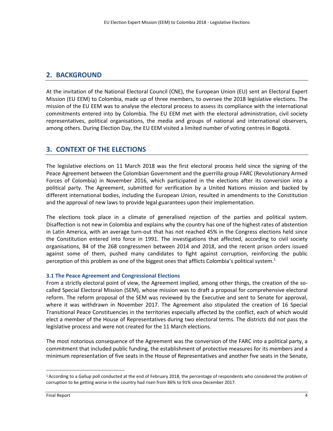## **2. BACKGROUND**

At the invitation of the National Electoral Council (CNE), the European Union (EU) sent an Electoral Expert Mission (EU EEM) to Colombia, made up of three members, to oversee the 2018 legislative elections. The mission of the EU EEM was to analyse the electoral process to assess its compliance with the international commitments entered into by Colombia. The EU EEM met with the electoral administration, civil society representatives, political organisations, the media and groups of national and international observers, among others. During Election Day, the EU EEM visited a limited number of voting centres in Bogotá.

## **3. CONTEXT OF THE ELECTIONS**

The legislative elections on 11 March 2018 was the first electoral process held since the signing of the Peace Agreement between the Colombian Government and the guerrilla group FARC (Revolutionary Armed Forces of Colombia) in November 2016, which participated in the elections after its conversion into a political party. The Agreement, submitted for verification by a United Nations mission and backed by different international bodies, including the European Union, resulted in amendments to the Constitution and the approval of new laws to provide legal guarantees upon their implementation.

The elections took place in a climate of generalised rejection of the parties and political system. Disaffection is not new in Colombia and explains why the country has one of the highest rates of abstention in Latin America, with an average turn-out that has not reached 45% in the Congress elections held since the Constitution entered into force in 1991. The investigations that affected, according to civil society organisations, 84 of the 268 congressmen between 2014 and 2018, and the recent prison orders issued against some of them, pushed many candidates to fight against corruption, reinforcing the public perception of this problem as one of the biggest ones that afflicts Colombia's political system.<sup>1</sup>

#### **3.1 The Peace Agreement and Congressional Elections**

From a strictly electoral point of view, the Agreement implied, among other things, the creation of the socalled Special Electoral Mission (SEM), whose mission was to draft a proposal for comprehensive electoral reform. The reform proposal of the SEM was reviewed by the Executive and sent to Senate for approval, where it was withdrawn in November 2017. The Agreement also stipulated the creation of 16 Special Transitional Peace Constituencies in the territories especially affected by the conflict, each of which would elect a member of the House of Representatives during two electoral terms. The districts did not pass the legislative process and were not created for the 11 March elections.

The most notorious consequence of the Agreement was the conversion of the FARC into a political party, a commitment that included public funding, the establishment of protective measures for its members and a minimum representation of five seats in the House of Representatives and another five seats in the Senate,

<sup>1</sup> According to a Gallup poll conducted at the end of February 2018, the percentage of respondents who considered the problem of corruption to be getting worse in the country had risen from 86% to 91% since December 2017.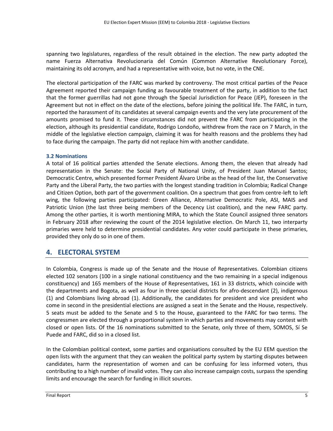spanning two legislatures, regardless of the result obtained in the election. The new party adopted the name Fuerza Alternativa Revolucionaria del Común (Common Alternative Revolutionary Force), maintaining its old acronym, and had a representative with voice, but no vote, in the CNE.

The electoral participation of the FARC was marked by controversy. The most critical parties of the Peace Agreement reported their campaign funding as favourable treatment of the party, in addition to the fact that the former guerrillas had not gone through the Special Jurisdiction for Peace (JEP), foreseen in the Agreement but not in effect on the date of the elections, before joining the political life. The FARC, in turn, reported the harassment of its candidates at several campaign events and the very late procurement of the amounts promised to fund it. These circumstances did not prevent the FARC from participating in the election, although its presidential candidate, Rodrigo Londoño, withdrew from the race on 7 March, in the middle of the legislative election campaign, claiming it was for health reasons and the problems they had to face during the campaign. The party did not replace him with another candidate.

#### **3.2 Nominations**

A total of 16 political parties attended the Senate elections. Among them, the eleven that already had representation in the Senate: the Social Party of National Unity, of President Juan Manuel Santos; Democratic Centre, which presented former President Álvaro Uribe as the head of the list, the Conservative Party and the Liberal Party, the two parties with the longest standing tradition in Colombia; Radical Change and Citizen Option, both part of the government coalition. On a spectrum that goes from centre-left to left wing, the following parties participated: Green Alliance, Alternative Democratic Pole, ASI, MAIS and Patriotic Union (the last three being members of the Decency List coalition), and the new FARC party. Among the other parties, it is worth mentioning MIRA, to which the State Council assigned three senators in February 2018 after reviewing the count of the 2014 legislative election. On March 11, two interparty primaries were held to determine presidential candidates. Any voter could participate in these primaries, provided they only do so in one of them.

## **4. ELECTORAL SYSTEM**

In Colombia, Congress is made up of the Senate and the House of Representatives. Colombian citizens elected 102 senators (100 in a single national constituency and the two remaining in a special indigenous constituency) and 165 members of the House of Representatives, 161 in 33 districts, which coincide with the departments and Bogota, as well as four in three special districts for afro-descendant (2), indigenous (1) and Colombians living abroad (1). Additionally, the candidates for president and vice president who come in second in the presidential elections are assigned a seat in the Senate and the House, respectively. 5 seats must be added to the Senate and 5 to the House, guaranteed to the FARC for two terms. The congressmen are elected through a proportional system in which parties and movements may contest with closed or open lists. Of the 16 nominations submitted to the Senate, only three of them, SOMOS, Sí Se Puede and FARC, did so in a closed list.

In the Colombian political context, some parties and organisations consulted by the EU EEM question the open lists with the argument that they can weaken the political party system by starting disputes between candidates, harm the representation of women and can be confusing for less informed voters, thus contributing to a high number of invalid votes. They can also increase campaign costs, surpass the spending limits and encourage the search for funding in illicit sources.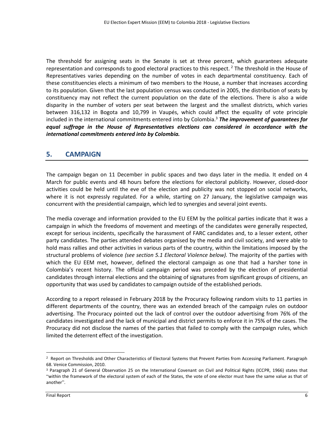The threshold for assigning seats in the Senate is set at three percent, which guarantees adequate representation and corresponds to good electoral practices to this respect.<sup>2</sup> The threshold in the House of Representatives varies depending on the number of votes in each departmental constituency. Each of these constituencies elects a minimum of two members to the House, a number that increases according to its population. Given that the last population census was conducted in 2005, the distribution of seats by constituency may not reflect the current population on the date of the elections. There is also a wide disparity in the number of voters per seat between the largest and the smallest districts, which varies between 316,132 in Bogota and 10,799 in Vaupés, which could affect the equality of vote principle included in the international commitments entered into by Colombia.<sup>3</sup> *The improvement of guarantees for equal suffrage in the House of Representatives elections can considered in accordance with the international commitments entered into by Colombia.*

#### **5. CAMPAIGN**

The campaign began on 11 December in public spaces and two days later in the media. It ended on 4 March for public events and 48 hours before the elections for electoral publicity. However, closed-door activities could be held until the eve of the election and publicity was not stopped on social networks, where it is not expressly regulated. For a while, starting on 27 January, the legislative campaign was concurrent with the presidential campaign, which led to synergies and several joint events.

The media coverage and information provided to the EU EEM by the political parties indicate that it was a campaign in which the freedoms of movement and meetings of the candidates were generally respected, except for serious incidents, specifically the harassment of FARC candidates and, to a lesser extent, other party candidates. The parties attended debates organised by the media and civil society, and were able to hold mass rallies and other activities in various parts of the country, within the limitations imposed by the structural problems of violence *(see section 5.1 Electoral Violence below).* The majority of the parties with which the EU EEM met, however, defined the electoral campaign as one that had a harsher tone in Colombia's recent history. The official campaign period was preceded by the election of presidential candidates through internal elections and the obtaining of signatures from significant groups of citizens, an opportunity that was used by candidates to campaign outside of the established periods.

According to a report released in February 2018 by the Procuracy following random visits to 11 parties in different departments of the country, there was an extended breach of the campaign rules on outdoor advertising. The Procuracy pointed out the lack of control over the outdoor advertising from 76% of the candidates investigated and the lack of municipal and district permits to enforce it in 75% of the cases. The Procuracy did not disclose the names of the parties that failed to comply with the campaign rules, which limited the deterrent effect of the investigation.

<sup>&</sup>lt;sup>2</sup> Report on Thresholds and Other Characteristics of Electoral Systems that Prevent Parties from Accessing Parliament. Paragraph 68. Venice Commission, 2010.

<sup>3</sup> Paragraph 21 of General Observation 25 on the International Covenant on Civil and Political Rights (ICCPR, 1966) states that "within the framework of the electoral system of each of the States, the vote of one elector must have the same value as that of another".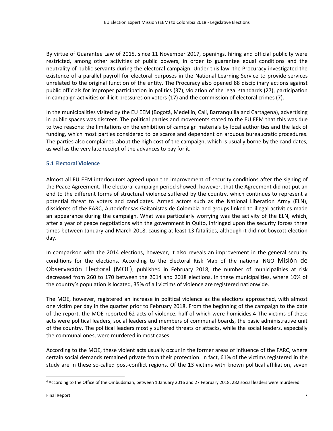By virtue of Guarantee Law of 2015, since 11 November 2017, openings, hiring and official publicity were restricted, among other activities of public powers, in order to guarantee equal conditions and the neutrality of public servants during the electoral campaign. Under this law, the Procuracy investigated the existence of a parallel payroll for electoral purposes in the National Learning Service to provide services unrelated to the original function of the entity. The Procuracy also opened 88 disciplinary actions against public officials for improper participation in politics (37), violation of the legal standards (27), participation in campaign activities or illicit pressures on voters (17) and the commission of electoral crimes (7).

In the municipalities visited by the EU EEM (Bogotá, Medellín, Cali, Barranquilla and Cartagena), advertising in public spaces was discreet. The political parties and movements stated to the EU EEM that this was due to two reasons: the limitations on the exhibition of campaign materials by local authorities and the lack of funding, which most parties considered to be scarce and dependent on arduous bureaucratic procedures. The parties also complained about the high cost of the campaign, which is usually borne by the candidates, as well as the very late receipt of the advances to pay for it.

#### **5.1 Electoral Violence**

Almost all EU EEM interlocutors agreed upon the improvement of security conditions after the signing of the Peace Agreement. The electoral campaign period showed, however, that the Agreement did not put an end to the different forms of structural violence suffered by the country, which continues to represent a potential threat to voters and candidates. Armed actors such as the National Liberation Army (ELN), dissidents of the FARC, Autodefensas Gaitanistas de Colombia and groups linked to illegal activities made an appearance during the campaign. What was particularly worrying was the activity of the ELN, which, after a year of peace negotiations with the government in Quito, infringed upon the security forces three times between January and March 2018, causing at least 13 fatalities, although it did not boycott election day.

In comparison with the 2014 elections, however, it also reveals an improvement in the general security conditions for the elections. According to the Electoral Risk Map of the national NGO Misión de Observación Electoral (MOE), published in February 2018, the number of municipalities at risk decreased from 260 to 170 between the 2014 and 2018 elections. In these municipalities, where 10% of the country's population is located, 35% of all victims of violence are registered nationwide.

The MOE, however, registered an increase in political violence as the elections approached, with almost one victim per day in the quarter prior to February 2018. From the beginning of the campaign to the date of the report, the MOE reported 62 acts of violence, half of which were homicides.4 The victims of these acts were political leaders, social leaders and members of communal boards, the basic administrative unit of the country. The political leaders mostly suffered threats or attacks, while the social leaders, especially the communal ones, were murdered in most cases.

According to the MOE, these violent acts usually occur in the former areas of influence of the FARC, where certain social demands remained private from their protection. In fact, 61% of the victims registered in the study are in these so-called post-conflict regions. Of the 13 victims with known political affiliation, seven

<sup>4</sup>According to the Office of the Ombudsman, between 1 January 2016 and 27 February 2018, 282 social leaders were murdered.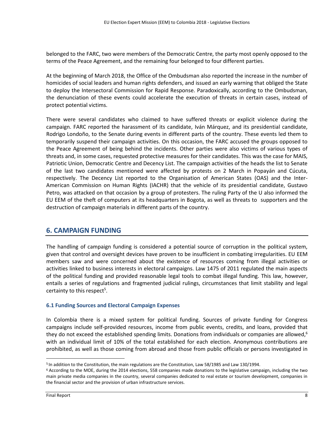belonged to the FARC, two were members of the Democratic Centre, the party most openly opposed to the terms of the Peace Agreement, and the remaining four belonged to four different parties.

At the beginning of March 2018, the Office of the Ombudsman also reported the increase in the number of homicides of social leaders and human rights defenders, and issued an early warning that obliged the State to deploy the Intersectoral Commission for Rapid Response. Paradoxically, according to the Ombudsman, the denunciation of these events could accelerate the execution of threats in certain cases, instead of protect potential victims.

There were several candidates who claimed to have suffered threats or explicit violence during the campaign. FARC reported the harassment of its candidate, Iván Márquez, and its presidential candidate, Rodrigo Londoño, to the Senate during events in different parts of the country. These events led them to temporarily suspend their campaign activities. On this occasion, the FARC accused the groups opposed to the Peace Agreement of being behind the incidents. Other parties were also victims of various types of threats and, in some cases, requested protective measures for their candidates. This was the case for MAIS, Patriotic Union, Democratic Centre and Decency List. The campaign activities of the heads the list to Senate of the last two candidates mentioned were affected by protests on 2 March in Popayán and Cúcuta, respectively. The Decency List reported to the Organisation of American States (OAS) and the Inter-American Commission on Human Rights (IACHR) that the vehicle of its presidential candidate, Gustavo Petro, was attacked on that occasion by a group of protesters. The ruling Party of the U also informed the EU EEM of the theft of computers at its headquarters in Bogota, as well as threats to supporters and the destruction of campaign materials in different parts of the country.

## **6. CAMPAIGN FUNDING**

The handling of campaign funding is considered a potential source of corruption in the political system, given that control and oversight devices have proven to be insufficient in combating irregularities. EU EEM members saw and were concerned about the existence of resources coming from illegal activities or activities linked to business interests in electoral campaigns. Law 1475 of 2011 regulated the main aspects of the political funding and provided reasonable legal tools to combat illegal funding. This law, however, entails a series of regulations and fragmented judicial rulings, circumstances that limit stability and legal certainty to this respect<sup>5</sup>.

#### **6.1 Funding Sources and Electoral Campaign Expenses**

In Colombia there is a mixed system for political funding. Sources of private funding for Congress campaigns include self-provided resources, income from public events, credits, and loans, provided that they do not exceed the established spending limits. Donations from individuals or companies are allowed,  $6\%$ with an individual limit of 10% of the total established for each election. Anonymous contributions are prohibited, as well as those coming from abroad and those from public officials or persons investigated in

<sup>&</sup>lt;sup>5</sup> In addition to the Constitution, the main regulations are the Constitution, Law 58/1985 and Law 130/1994.

<sup>6</sup> According to the MOE, during the 2014 elections, 558 companies made donations to the legislative campaign, including the two main private media companies in the country, several companies dedicated to real estate or tourism development, companies in the financial sector and the provision of urban infrastructure services.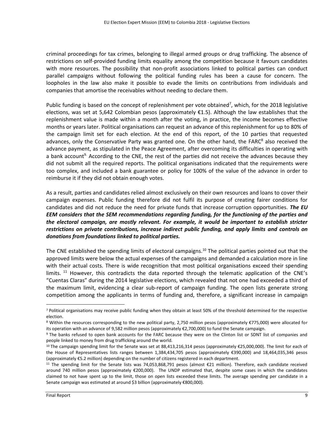criminal proceedings for tax crimes, belonging to illegal armed groups or drug trafficking. The absence of restrictions on self-provided funding limits equality among the competition because it favours candidates with more resources. The possibility that non-profit associations linked to political parties can conduct parallel campaigns without following the political funding rules has been a cause for concern. The loopholes in the law also make it possible to evade the limits on contributions from individuals and companies that amortise the receivables without needing to declare them.

Public funding is based on the concept of replenishment per vote obtained<sup>7</sup>, which, for the 2018 legislative elections, was set at 5,642 Colombian pesos (approximately €1.5). Although the law establishes that the replenishment value is made within a month after the voting, in practice, the income becomes effective months or years later. Political organisations can request an advance of this replenishment for up to 80% of the campaign limit set for each election. At the end of this report, of the 10 parties that requested advances, only the Conservative Party was granted one. On the other hand, the  $FARC<sup>8</sup>$  also received the advance payment, as stipulated in the Peace Agreement, after overcoming its difficulties in operating with a bank account<sup>9</sup>. According to the CNE, the rest of the parties did not receive the advances because they did not submit all the required reports. The political organisations indicated that the requirements were too complex, and included a bank guarantee or policy for 100% of the value of the advance in order to reimburse it if they did not obtain enough votes.

As a result, parties and candidates relied almost exclusively on their own resources and loans to cover their campaign expenses. Public funding therefore did not fulfil its purpose of creating fairer conditions for candidates and did not reduce the need for private funds that increase corruption opportunities. *The EU EEM considers that the SEM recommendations regarding funding, for the functioning of the parties and the electoral campaign, are mostly relevant. For example, it would be important to establish stricter restrictions on private contributions, increase indirect public funding, and apply limits and controls on donations from foundations linked to political parties.*

The CNE established the spending limits of electoral campaigns.<sup>10</sup> The political parties pointed out that the approved limits were below the actual expenses of the campaigns and demanded a calculation more in line with their actual costs. There is wide recognition that most political organisations exceed their spending limits.  $11$  However, this contradicts the data reported through the telematic application of the CNE's "Cuentas Claras" during the 2014 legislative elections, which revealed that not one had exceeded a third of the maximum limit, evidencing a clear sub-report of campaign funding. The open lists generate strong competition among the applicants in terms of funding and, therefore, a significant increase in campaign

<sup>7</sup> Political organisations may receive public funding when they obtain at least 50% of the threshold determined for the respective election.

<sup>8</sup> Within the resources corresponding to the new political party, 2,750 million pesos (approximately €775,000) were allocated for its operation with an advance of 9,582 million pesos (approximately €2,700,000) to fund the Senate campaign.

<sup>&</sup>lt;sup>9</sup> The banks refused to open bank accounts for the FARC because they were on the Clinton list or SDNT list of companies and people linked to money from drug trafficking around the world.

<sup>10</sup> The campaign spending limit for the Senate was set at 88,413,216,314 pesos (approximately €25,000,000). The limit for each of the House of Representatives lists ranges between 1,384,434,705 pesos (approximately €390,000) and 18,464,035,346 pesos (approximately €5.2 million) depending on the number of citizens registered in each department.

<sup>11</sup> The spending limit for the Senate lists was 74,053,868,791 pesos (almost €21 million). Therefore, each candidate received around 740 million pesos (approximately €200,000). The UNDP estimated that, despite some cases in which the candidates claimed to not have spent up to the limit, those on open lists exceeded these limits. The average spending per candidate in a Senate campaign was estimated at around \$3 billion (approximately €800,000).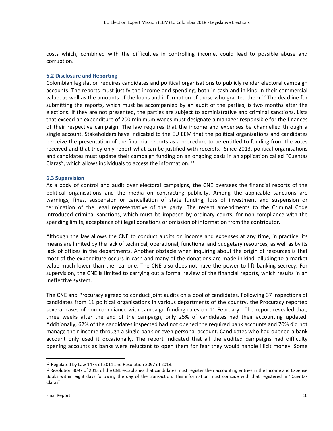costs which, combined with the difficulties in controlling income, could lead to possible abuse and corruption.

#### **6.2 Disclosure and Reporting**

Colombian legislation requires candidates and political organisations to publicly render electoral campaign accounts. The reports must justify the income and spending, both in cash and in kind in their commercial value, as well as the amounts of the loans and information of those who granted them.<sup>12</sup> The deadline for submitting the reports, which must be accompanied by an audit of the parties, is two months after the elections. If they are not presented, the parties are subject to administrative and criminal sanctions. Lists that exceed an expenditure of 200 minimum wages must designate a manager responsible for the finances of their respective campaign. The law requires that the income and expenses be channelled through a single account. Stakeholders have indicated to the EU EEM that the political organisations and candidates perceive the presentation of the financial reports as a procedure to be entitled to funding from the votes received and that they only report what can be justified with receipts. Since 2013, political organisations and candidates must update their campaign funding on an ongoing basis in an application called "Cuentas Claras", which allows individuals to access the information. <sup>13</sup>

#### **6.3 Supervision**

As a body of control and audit over electoral campaigns, the CNE oversees the financial reports of the political organisations and the media on contracting publicity. Among the applicable sanctions are warnings, fines, suspension or cancellation of state funding, loss of investment and suspension or termination of the legal representative of the party. The recent amendments to the Criminal Code introduced criminal sanctions, which must be imposed by ordinary courts, for non-compliance with the spending limits, acceptance of illegal donations or omission of information from the contributor.

Although the law allows the CNE to conduct audits on income and expenses at any time, in practice, its means are limited by the lack of technical, operational, functional and budgetary resources, as well as by its lack of offices in the departments. Another obstacle when inquiring about the origin of resources is that most of the expenditure occurs in cash and many of the donations are made in kind, alluding to a market value much lower than the real one. The CNE also does not have the power to lift banking secrecy. For supervision, the CNE is limited to carrying out a formal review of the financial reports, which results in an ineffective system.

The CNE and Procuracy agreed to conduct joint audits on a pool of candidates. Following 37 inspections of candidates from 11 political organisations in various departments of the country, the Procuracy reported several cases of non-compliance with campaign funding rules on 11 February. The report revealed that, three weeks after the end of the campaign, only 25% of candidates had their accounting updated. Additionally, 62% of the candidates inspected had not opened the required bank accounts and 70% did not manage their income through a single bank or even personal account. Candidates who had opened a bank account only used it occasionally. The report indicated that all the audited campaigns had difficulty opening accounts as banks were reluctant to open them for fear they would handle illicit money. Some

<sup>12</sup> Regulated by Law 1475 of 2011 and Resolution 3097 of 2013.

<sup>&</sup>lt;sup>13</sup> Resolution 3097 of 2013 of the CNE establishes that candidates must register their accounting entries in the Income and Expense Books within eight days following the day of the transaction. This information must coincide with that registered in "Cuentas Claras".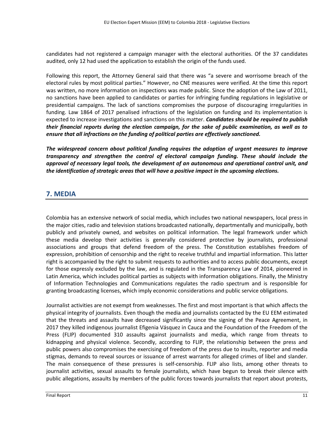candidates had not registered a campaign manager with the electoral authorities. Of the 37 candidates audited, only 12 had used the application to establish the origin of the funds used.

Following this report, the Attorney General said that there was "a severe and worrisome breach of the electoral rules by most political parties." However, no CNE measures were verified. At the time this report was written, no more information on inspections was made public. Since the adoption of the Law of 2011, no sanctions have been applied to candidates or parties for infringing funding regulations in legislative or presidential campaigns. The lack of sanctions compromises the purpose of discouraging irregularities in funding. Law 1864 of 2017 penalised infractions of the legislation on funding and its implementation is expected to increase investigations and sanctions on this matter. *Candidates should be required to publish their financial reports during the election campaign, for the sake of public examination, as well as to ensure that all infractions on the funding of political parties are effectively sanctioned.*

*The widespread concern about political funding requires the adoption of urgent measures to improve transparency and strengthen the control of electoral campaign funding. These should include the approval of necessary legal tools, the development of an autonomous and operational control unit, and the identification of strategic areas that will have a positive impact in the upcoming elections.*

## **7. MEDIA**

Colombia has an extensive network of social media, which includes two national newspapers, local press in the major cities, radio and television stations broadcasted nationally, departmentally and municipally, both publicly and privately owned, and websites on political information. The legal framework under which these media develop their activities is generally considered protective by journalists, professional associations and groups that defend freedom of the press. The Constitution establishes freedom of expression, prohibition of censorship and the right to receive truthful and impartial information. This latter right is accompanied by the right to submit requests to authorities and to access public documents, except for those expressly excluded by the law, and is regulated in the Transparency Law of 2014, pioneered in Latin America, which includes political parties as subjects with information obligations. Finally, the Ministry of Information Technologies and Communications regulates the radio spectrum and is responsible for granting broadcasting licenses, which imply economic considerations and public service obligations.

Journalist activities are not exempt from weaknesses. The first and most important is that which affects the physical integrity of journalists. Even though the media and journalists contacted by the EU EEM estimated that the threats and assaults have decreased significantly since the signing of the Peace Agreement, in 2017 they killed indigenous journalist Efigenia Vásquez in Cauca and the Foundation of the Freedom of the Press (FLIP) documented 310 assaults against journalists and media, which range from threats to kidnapping and physical violence. Secondly, according to FLIP, the relationship between the press and public powers also compromises the exercising of freedom of the press due to insults, reporter and media stigmas, demands to reveal sources or issuance of arrest warrants for alleged crimes of libel and slander. The main consequence of these pressures is self-censorship. FLIP also lists, among other threats to journalist activities, sexual assaults to female journalists, which have begun to break their silence with public allegations, assaults by members of the public forces towards journalists that report about protests,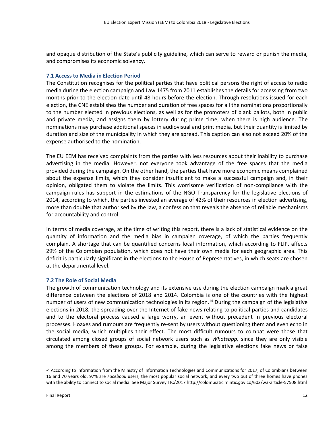and opaque distribution of the State's publicity guideline, which can serve to reward or punish the media, and compromises its economic solvency.

#### **7.1 Access to Media in Election Period**

The Constitution recognises for the political parties that have political persons the right of access to radio media during the election campaign and Law 1475 from 2011 establishes the details for accessing from two months prior to the election date until 48 hours before the election. Through resolutions issued for each election, the CNE establishes the number and duration of free spaces for all the nominations proportionally to the number elected in previous elections, as well as for the promoters of blank ballots, both in public and private media, and assigns them by lottery during prime time, when there is high audience. The nominations may purchase additional spaces in audiovisual and print media, but their quantity is limited by duration and size of the municipality in which they are spread. This caption can also not exceed 20% of the expense authorised to the nomination.

The EU EEM has received complaints from the parties with less resources about their inability to purchase advertising in the media. However, not everyone took advantage of the free spaces that the media provided during the campaign. On the other hand, the parties that have more economic means complained about the expense limits, which they consider insufficient to make a successful campaign and, in their opinion, obligated them to violate the limits. This worrisome verification of non-compliance with the campaign rules has support in the estimations of the NGO Transparency for the legislative elections of 2014, according to which, the parties invested an average of 42% of their resources in election advertising, more than double that authorised by the law, a confession that reveals the absence of reliable mechanisms for accountability and control.

In terms of media coverage, at the time of writing this report, there is a lack of statistical evidence on the quantity of information and the media bias in campaign coverage, of which the parties frequently complain. A shortage that can be quantified concerns local information, which according to FLIP, affects 29% of the Colombian population, which does not have their own media for each geographic area. This deficit is particularly significant in the elections to the House of Representatives, in which seats are chosen at the departmental level.

#### **7.2 The Role of Social Media**

The growth of communication technology and its extensive use during the election campaign mark a great difference between the elections of 2018 and 2014. Colombia is one of the countries with the highest number of users of new communication technologies in its region.<sup>14</sup> During the campaign of the legislative elections in 2018, the spreading over the Internet of fake news relating to political parties and candidates and to the electoral process caused a large worry, an event without precedent in previous electoral processes. Hoaxes and rumours are frequently re-sent by users without questioning them and even echo in the social media, which multiplies their effect. The most difficult rumours to combat were those that circulated among closed groups of social network users such as *Whatsapp,* since they are only visible among the members of these groups. For example, during the legislative elections fake news or false

<sup>&</sup>lt;sup>14</sup> According to information from the Ministry of Information Technologies and Communications for 2017, of Colombians between 16 and 70 years old, 97% are *Facebook* users, the most popular social network, and every two out of three homes have phones with the ability to connect to social media. See Major Survey TIC/2017 http://colombiatic.mintic.gov.co/602/w3-article-57508.html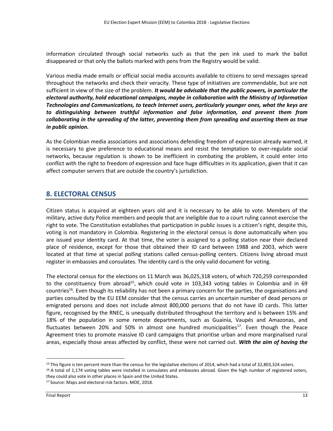information circulated through social networks such as that the pen ink used to mark the ballot disappeared or that only the ballots marked with pens from the Registry would be valid.

Various media made emails or official social media accounts available to citizens to send messages spread throughout the networks and check their veracity. These type of initiatives are commendable, but are not sufficient in view of the size of the problem. *It would be advisable that the public powers, in particular the electoral authority, hold educational campaigns, maybe in collaboration with the Ministry of Information Technologies and Communications, to teach Internet users, particularly younger ones, what the keys are to distinguishing between truthful information and false information, and prevent them from collaborating in the spreading of the latter, preventing them from spreading and asserting them as true in public opinion.*

As the Colombian media associations and associations defending freedom of expression already warned, it is necessary to give preference to educational means and resist the temptation to over-regulate social networks, because regulation is shown to be inefficient in combating the problem, it could enter into conflict with the right to freedom of expression and face huge difficulties in its application, given that it can affect computer servers that are outside the country's jurisdiction.

## **8. ELECTORAL CENSUS**

Citizen status is acquired at eighteen years old and it is necessary to be able to vote. Members of the military, active duty Police members and people that are ineligible due to a court ruling cannot exercise the right to vote. The Constitution establishes that participation in public issues is a citizen's right, despite this, voting is not mandatory in Colombia. Registering in the electoral census is done automatically when you are issued your identity card. At that time, the voter is assigned to a polling station near their declared place of residence, except for those that obtained their ID card between 1988 and 2003, which were located at that time at special polling stations called census-polling centers. Citizens living abroad must register in embassies and consulates. The identity card is the only valid document for voting.

The electoral census for the elections on 11 March was 36,025,318 voters, of which 720,259 corresponded to the constituency from abroad<sup>15</sup>, which could vote in 103,343 voting tables in Colombia and in 69 countries<sup>16</sup>. Even though its reliability has not been a primary concern for the parties, the organisations and parties consulted by the EU EEM consider that the census carries an uncertain number of dead persons or emigrated persons and does not include almost 800,000 persons that do not have ID cards. This latter figure, recognised by the RNEC, is unequally distributed throughout the territory and is between 15% and 18% of the population in some remote departments, such as Guainía, Vaupés and Amazonas, and fluctuates between 20% and 50% in almost one hundred municipalities<sup>17</sup>. Even though the Peace Agreement tries to promote massive ID card campaigns that prioritise urban and more marginalised rural areas, especially those areas affected by conflict, these were not carried out. *With the aim of having the* 

<sup>&</sup>lt;sup>15</sup> This figure is ten percent more than the census for the legislative elections of 2014, which had a total of 32,803,324 voters.

<sup>&</sup>lt;sup>16</sup> A total of 1,174 voting tables were installed in consulates and embassies abroad. Given the high number of registered voters, they could also vote in other places in Spain and the United States.

<sup>17</sup> Source: Maps and electoral risk factors. MOE, 2018.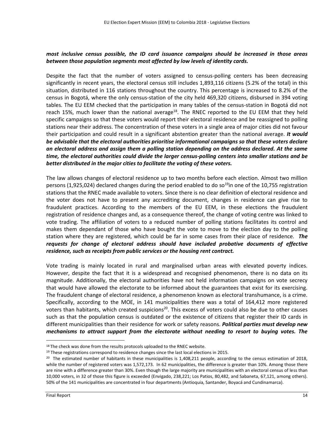#### *most inclusive census possible, the ID card issuance campaigns should be increased in those areas between those population segments most affected by low levels of identity cards.*

Despite the fact that the number of voters assigned to census-polling centers has been decreasing significantly in recent years, the electoral census still includes 1,893,116 citizens (5.2% of the total) in this situation, distributed in 116 stations throughout the country. This percentage is increased to 8.2% of the census in Bogotá, where the only census-station of the city held 469,320 citizens, disbursed in 394 voting tables. The EU EEM checked that the participation in many tables of the census-station in Bogotá did not reach 15%, much lower than the national average<sup>18</sup>. The RNEC reported to the EU EEM that they held specific campaigns so that these voters would report their electoral residence and be reassigned to polling stations near their address. The concentration of these voters in a single area of major cities did not favour their participation and could result in a significant abstention greater than the national average. *It would be advisable that the electoral authorities prioritise informational campaigns so that these voters declare an electoral address and assign them a polling station depending on the address declared. At the same time, the electoral authorities could divide the larger census-polling centers into smaller stations and be better distributed in the major cities to facilitate the voting of these voters.* 

The law allows changes of electoral residence up to two months before each election. Almost two million persons (1,925,024) declared changes during the period enabled to do so<sup>19</sup>in one of the 10,755 registration stations that the RNEC made available to voters. Since there is no clear definition of electoral residence and the voter does not have to present any accrediting document, changes in residence can give rise to fraudulent practices. According to the members of the EU EEM, in these elections the fraudulent registration of residence changes and, as a consequence thereof, the change of voting centre was linked to vote trading. The affiliation of voters to a reduced number of polling stations facilitates its control and makes them dependant of those who have bought the vote to move to the election day to the polling station where they are registered, which could be far in some cases from their place of residence. *The requests for change of electoral address should have included probative documents of effective residence, such as receipts from public services or the housing rent contract.*

Vote trading is mainly located in rural and marginalised urban areas with elevated poverty indices. However, despite the fact that it is a widespread and recognised phenomenon, there is no data on its magnitude. Additionally, the electoral authorities have not held information campaigns on vote secrecy that would have allowed the electorate to be informed about the guarantees that exist for its exercising. The fraudulent change of electoral residence, a phenomenon known as electoral transhumance, is a crime. Specifically, according to the MOE, in 141 municipalities there was a total of 164,412 more registered voters than habitants, which created suspicions<sup>20</sup>. This excess of voters could also be due to other causes such as that the population census is outdated or the existence of citizens that register their ID cards in different municipalities than their residence for work or safety reasons. *Political parties must develop new mechanisms to attract support from the electorate without needing to resort to buying votes. The* 

<sup>&</sup>lt;sup>18</sup> The check was done from the results protocols uploaded to the RNEC website.

<sup>&</sup>lt;sup>19</sup> These registrations correspond to residence changes since the last local elections in 2015.

 $20$  The estimated number of habitants in these municipalities is 1,408,211 people, according to the census estimation of 2018, while the number of registered voters was 1,572,173. In 62 municipalities, the difference is greater than 10%. Among those there are nine with a difference greater than 30%. Even though the large majority are municipalities with an electoral census of less than 10,000 voters, in 32 of those this figure is exceeded (Envigado, 238,221; Los Patios, 80,482, and Sabaneta, 67,121, among others). 50% of the 141 municipalities are concentrated in four departments (Antioquia, Santander, Boyacá and Cundinamarca).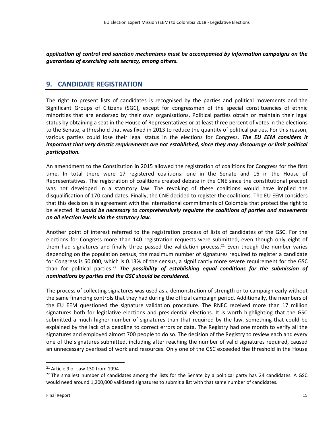*application of control and sanction mechanisms must be accompanied by information campaigns on the guarantees of exercising vote secrecy, among others.* 

### **9. CANDIDATE REGISTRATION**

The right to present lists of candidates is recognised by the parties and political movements and the Significant Groups of Citizens (SGC), except for congressmen of the special constituencies of ethnic minorities that are endorsed by their own organisations. Political parties obtain or maintain their legal status by obtaining a seat in the House of Representatives or at least three percent of votes in the elections to the Senate, a threshold that was fixed in 2013 to reduce the quantity of political parties. For this reason, various parties could lose their legal status in the elections for Congress. *The EU EEM considers it important that very drastic requirements are not established, since they may discourage or limit political participation.* 

An amendment to the Constitution in 2015 allowed the registration of coalitions for Congress for the first time. In total there were 17 registered coalitions: one in the Senate and 16 in the House of Representatives. The registration of coalitions created debate in the CNE since the constitutional precept was not developed in a statutory law. The revoking of these coalitions would have implied the disqualification of 170 candidates. Finally, the CNE decided to register the coalitions. The EU EEM considers that this decision is in agreement with the international commitments of Colombia that protect the right to be elected. *It would be necessary to comprehensively regulate the coalitions of parties and movements on all election levels via the statutory law.* 

Another point of interest referred to the registration process of lists of candidates of the GSC. For the elections for Congress more than 140 registration requests were submitted, even though only eight of them had signatures and finally three passed the validation process.<sup>21</sup> Even though the number varies depending on the population census, the maximum number of signatures required to register a candidate for Congress is 50,000, which is 0.13% of the census, a significantly more severe requirement for the GSC than for political parties.<sup>22</sup> *The possibility of establishing equal conditions for the submission of nominations by parties and the GSC should be considered.*

The process of collecting signatures was used as a demonstration of strength or to campaign early without the same financing controls that they had during the official campaign period. Additionally, the members of the EU EEM questioned the signature validation procedure. The RNEC received more than 17 million signatures both for legislative elections and presidential elections. It is worth highlighting that the GSC submitted a much higher number of signatures than that required by the law, something that could be explained by the lack of a deadline to correct errors or data. The Registry had one month to verify all the signatures and employed almost 700 people to do so. The decision of the Registry to review each and every one of the signatures submitted, including after reaching the number of valid signatures required, caused an unnecessary overload of work and resources. Only one of the GSC exceeded the threshold in the House

<sup>&</sup>lt;sup>21</sup> Article 9 of Law 130 from 1994

 $^{22}$  The smallest number of candidates among the lists for the Senate by a political party has 24 candidates. A GSC would need around 1,200,000 validated signatures to submit a list with that same number of candidates.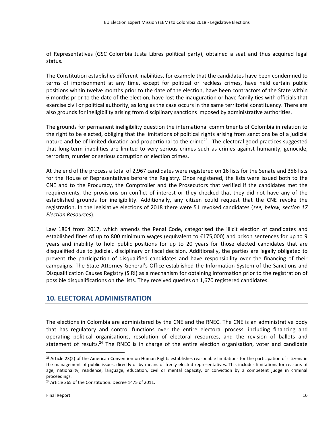of Representatives (GSC Colombia Justa Libres political party), obtained a seat and thus acquired legal status.

The Constitution establishes different inabilities, for example that the candidates have been condemned to terms of imprisonment at any time, except for political or reckless crimes, have held certain public positions within twelve months prior to the date of the election, have been contractors of the State within 6 months prior to the date of the election, have lost the inauguration or have family ties with officials that exercise civil or political authority, as long as the case occurs in the same territorial constituency. There are also grounds for ineligibility arising from disciplinary sanctions imposed by administrative authorities.

The grounds for permanent ineligibility question the international commitments of Colombia in relation to the right to be elected, obliging that the limitations of political rights arising from sanctions be of a judicial nature and be of limited duration and proportional to the crime<sup>23</sup>. The electoral good practices suggested that long-term inabilities are limited to very serious crimes such as crimes against humanity, genocide, terrorism, murder or serious corruption or election crimes.

At the end of the process a total of 2,967 candidates were registered on 16 lists for the Senate and 356 lists for the House of Representatives before the Registry. Once registered, the lists were issued both to the CNE and to the Procuracy, the Comptroller and the Prosecutors that verified if the candidates met the requirements, the provisions on conflict of interest or they checked that they did not have any of the established grounds for ineligibility. Additionally, any citizen could request that the CNE revoke the registration. In the legislative elections of 2018 there were 51 revoked candidates (*see, below, section 17 Election Resources*).

Law 1864 from 2017, which amends the Penal Code, categorised the illicit election of candidates and established fines of up to 800 minimum wages (equivalent to €175,000) and prison sentences for up to 9 years and inability to hold public positions for up to 20 years for those elected candidates that are disqualified due to judicial, disciplinary or fiscal decision. Additionally, the parties are legally obligated to prevent the participation of disqualified candidates and have responsibility over the financing of their campaigns. The State Attorney General's Office established the Information System of the Sanctions and Disqualification Causes Registry (SIRI) as a mechanism for obtaining information prior to the registration of possible disqualifications on the lists. They received queries on 1,670 registered candidates.

#### **10. ELECTORAL ADMINISTRATION**

The elections in Colombia are administered by the CNE and the RNEC. The CNE is an administrative body that has regulatory and control functions over the entire electoral process, including financing and operating political organisations, resolution of electoral resources, and the revision of ballots and statement of results.<sup>24</sup> The RNEC is in charge of the entire election organisation, voter and candidate

 $23$  Article 23(2) of the American Convention on Human Rights establishes reasonable limitations for the participation of citizens in the management of public issues, directly or by means of freely elected representatives. This includes limitations for reasons of age, nationality, residence, language, education, civil or mental capacity, or conviction by a competent judge in criminal proceedings.

<sup>&</sup>lt;sup>24</sup> Article 265 of the Constitution. Decree 1475 of 2011.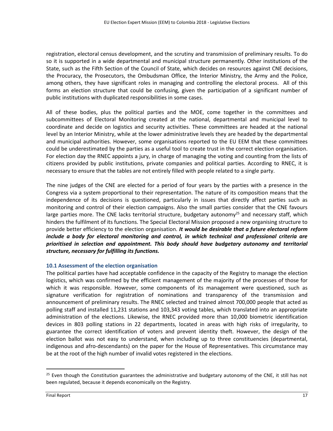registration, electoral census development, and the scrutiny and transmission of preliminary results. To do so it is supported in a wide departmental and municipal structure permanently. Other institutions of the State, such as the Fifth Section of the Council of State, which decides on resources against CNE decisions, the Procuracy, the Prosecutors, the Ombudsman Office, the Interior Ministry, the Army and the Police, among others, they have significant roles in managing and controlling the electoral process. All of this forms an election structure that could be confusing, given the participation of a significant number of public institutions with duplicated responsibilities in some cases.

All of these bodies, plus the political parties and the MOE, come together in the committees and subcommittees of Electoral Monitoring created at the national, departmental and municipal level to coordinate and decide on logistics and security activities. These committees are headed at the national level by an Interior Ministry, while at the lower administrative levels they are headed by the departmental and municipal authorities. However, some organisations reported to the EU EEM that these committees could be underestimated by the parties as a useful tool to create trust in the correct election organisation. For election day the RNEC appoints a jury, in charge of managing the voting and counting from the lists of citizens provided by public institutions, private companies and political parties. According to RNEC, it is necessary to ensure that the tables are not entirely filled with people related to a single party.

The nine judges of the CNE are elected for a period of four years by the parties with a presence in the Congress via a system proportional to their representation. The nature of its composition means that the independence of its decisions is questioned, particularly in issues that directly affect parties such as monitoring and control of their election campaigns. Also the small parties consider that the CNE favours large parties more. The CNE lacks territorial structure, budgetary autonomy<sup>25</sup> and necessary staff, which hinders the fulfilment of its functions. The Special Electoral Mission proposed a new organising structure to provide better efficiency to the election organisation. *It would be desirable that a future electoral reform include a body for electoral monitoring and control, in which technical and professional criteria are prioritised in selection and appointment. This body should have budgetary autonomy and territorial structure, necessary for fulfilling its functions.*

#### **10.1 Assessment of the election organisation**

The political parties have had acceptable confidence in the capacity of the Registry to manage the election logistics, which was confirmed by the efficient management of the majority of the processes of those for which it was responsible. However, some components of its management were questioned, such as signature verification for registration of nominations and transparency of the transmission and announcement of preliminary results. The RNEC selected and trained almost 700,000 people that acted as polling staff and installed 11,231 stations and 103,343 voting tables, which translated into an appropriate administration of the elections. Likewise, the RNEC provided more than 10,000 biometric identification devices in 803 polling stations in 22 departments, located in areas with high risks of irregularity, to guarantee the correct identification of voters and prevent identity theft. However, the design of the election ballot was not easy to understand, when including up to three constituencies (departmental, indigenous and afro-descendants) on the paper for the House of Representatives. This circumstance may be at the root of the high number of invalid votes registered in the elections.

 $25$  Even though the Constitution guarantees the administrative and budgetary autonomy of the CNE, it still has not been regulated, because it depends economically on the Registry.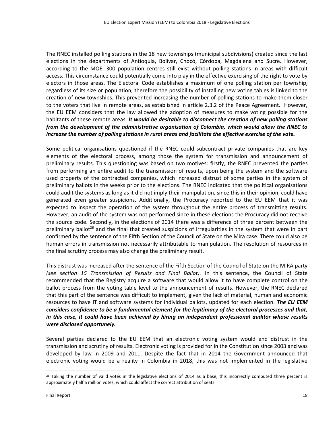The RNEC installed polling stations in the 18 new townships (municipal subdivisions) created since the last elections in the departments of Antioquia, Bolívar, Chocó, Córdoba, Magdalena and Sucre. However, according to the MOE, 300 population centres still exist without polling stations in areas with difficult access. This circumstance could potentially come into play in the effective exercising of the right to vote by electors in those areas. The Electoral Code establishes a maximum of one polling station per township, regardless of its size or population, therefore the possibility of installing new voting tables is linked to the creation of new townships. This prevented increasing the number of polling stations to make them closer to the voters that live in remote areas, as established in article 2.3.2 of the Peace Agreement. However, the EU EEM considers that the law allowed the adoption of measures to make voting possible for the habitants of these remote areas. *It would be desirable to disconnect the creation of new polling stations from the development of the administrative organisation of Colombia, which would allow the RNEC to increase the number of polling stations in rural areas and facilitate the effective exercise of the vote.*

Some political organisations questioned if the RNEC could subcontract private companies that are key elements of the electoral process, among those the system for transmission and announcement of preliminary results. This questioning was based on two motives: firstly, the RNEC prevented the parties from performing an entire audit to the transmission of results, upon being the system and the software used property of the contracted companies, which increased distrust of some parties in the system of preliminary ballots in the weeks prior to the elections. The RNEC indicated that the political organisations could audit the systems as long as it did not imply their manipulation, since this in their opinion, could have generated even greater suspicions. Additionally, the Procuracy reported to the EU EEM that it was expected to inspect the operation of the system throughout the entire process of transmitting results. However, an audit of the system was not performed since in these elections the Procuracy did not receive the source code. Secondly, in the elections of 2014 there was a difference of three percent between the preliminary ballot<sup>26</sup> and the final that created suspicions of irregularities in the system that were in part confirmed by the sentence of the Fifth Section of the Council of State on the Mira case. There could also be human errors in transmission not necessarily attributable to manipulation. The resolution of resources in the final scrutiny process may also change the preliminary result.

This distrust was increased after the sentence of the Fifth Section of the Council of State on the MIRA party *(see section 15 Transmission of Results and Final Ballot).* In this sentence, the Council of State recommended that the Registry acquire a software that would allow it to have complete control on the ballot process from the voting table level to the announcement of results. However, the RNEC declared that this part of the sentence was difficult to implement, given the lack of material, human and economic resources to have IT and software systems for individual ballots, updated for each election. *The EU EEM considers confidence to be a fundamental element for the legitimacy of the electoral processes and that, in this case, it could have been achieved by hiring an independent professional auditor whose results were disclosed opportunely.* 

Several parties declared to the EU EEM that an electronic voting system would end distrust in the transmission and scrutiny of results. Electronic voting is provided for in the Constitution since 2003 and was developed by law in 2009 and 2011. Despite the fact that in 2014 the Government announced that electronic voting would be a reality in Colombia in 2018, this was not implemented in the legislative

 $26$  Taking the number of valid votes in the legislative elections of 2014 as a base, this incorrectly computed three percent is approximately half a million votes, which could affect the correct attribution of seats.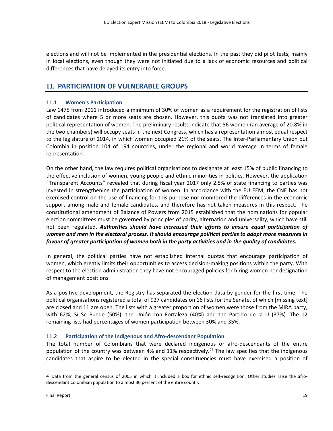elections and will not be implemented in the presidential elections. In the past they did pilot tests, mainly in local elections, even though they were not initiated due to a lack of economic resources and political differences that have delayed its entry into force.

### **11. PARTICIPATION OF VULNERABLE GROUPS**

#### **11.1 Women**'**s Participation**

Law 1475 from 2011 introduced a minimum of 30% of women as a requirement for the registration of lists of candidates where 5 or more seats are chosen. However, this quota was not translated into greater political representation of women. The preliminary results indicate that 56 women (an average of 20.8% in the two chambers) will occupy seats in the next Congress, which has a representation almost equal respect to the legislature of 2014, in which women occupied 21% of the seats. The Inter-Parliamentary Union put Colombia in position 104 of 194 countries, under the regional and world average in terms of female representation.

On the other hand, the law requires political organisations to designate at least 15% of public financing to the effective inclusion of women, young people and ethnic minorities in politics. However, the application "Transparent Accounts" revealed that during fiscal year 2017 only 2.5% of state financing to parties was invested in strengthening the participation of women. In accordance with the EU EEM, the CNE has not exercised control on the use of financing for this purpose nor monitored the differences in the economic support among male and female candidates, and therefore has not taken measures in this respect. The constitutional amendment of Balance of Powers from 2015 established that the nominations for popular election committees must be governed by principles of parity, alternation and universality, which have still not been regulated. *Authorities should have increased their efforts to ensure equal participation of women and men in the electoral process. It should encourage political parties to adopt more measures in favour of greater participation of women both in the party activities and in the quality of candidates.*

In general, the political parties have not established internal quotas that encourage participation of women, which greatly limits their opportunities to access decision-making positions within the party. With respect to the election administration they have not encouraged policies for hiring women nor designation of management positions.

As a positive development, the Registry has separated the election data by gender for the first time. The political organisations registered a total of 927 candidates on 16 lists for the Senate, of which [missing text] are closed and 11 are open. The lists with a greater proportion of women were those from the MIRA party, with 62%, Sí Se Puede (50%), the Unión con Fortaleza (40%) and the Partido de la U (37%). The 12 remaining lists had percentages of women participation between 30% and 35%.

#### **11.2 Participation of the Indigenous and Afro-descendant Population**

The total number of Colombians that were declared indigenous or afro-descendants of the entire population of the country was between 4% and 11% respectively.<sup>27</sup> The law specifies that the indigenous candidates that aspire to be elected in the special constituencies must have exercised a position of

<sup>&</sup>lt;sup>27</sup> Data from the general census of 2005 in which it included a box for ethnic self-recognition. Other studies raise the afrodescendant Colombian population to almost 30 percent of the entire country.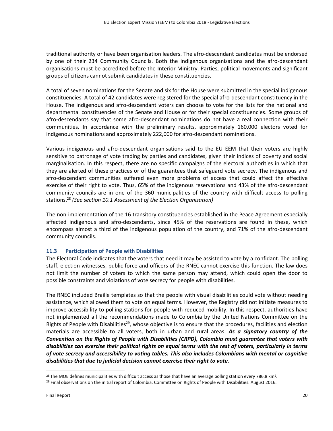traditional authority or have been organisation leaders. The afro-descendant candidates must be endorsed by one of their 234 Community Councils. Both the indigenous organisations and the afro-descendant organisations must be accredited before the Interior Ministry. Parties, political movements and significant groups of citizens cannot submit candidates in these constituencies.

A total of seven nominations for the Senate and six for the House were submitted in the special indigenous constituencies. A total of 42 candidates were registered for the special afro-descendant constituency in the House. The indigenous and afro-descendant voters can choose to vote for the lists for the national and departmental constituencies of the Senate and House or for their special constituencies. Some groups of afro-descendants say that some afro-descendant nominations do not have a real connection with their communities. In accordance with the preliminary results, approximately 160,000 electors voted for indigenous nominations and approximately 222,000 for afro-descendant nominations.

Various indigenous and afro-descendant organisations said to the EU EEM that their voters are highly sensitive to patronage of vote trading by parties and candidates, given their indices of poverty and social marginalisation. In this respect, there are no specific campaigns of the electoral authorities in which that they are alerted of these practices or of the guarantees that safeguard vote secrecy. The indigenous and afro-descendant communities suffered even more problems of access that could affect the effective exercise of their right to vote. Thus, 65% of the indigenous reservations and 43% of the afro-descendant community councils are in one of the 360 municipalities of the country with difficult access to polling stations.<sup>28</sup> *(See section 10.1 Assessment of the Election Organisation)*

The non-implementation of the 16 transitory constituencies established in the Peace Agreement especially affected indigenous and afro-descendants, since 45% of the reservations are found in these, which encompass almost a third of the indigenous population of the country, and 71% of the afro-descendant community councils.

#### **11.3 Participation of People with Disabilities**

The Electoral Code indicates that the voters that need it may be assisted to vote by a confidant. The polling staff, election witnesses, public force and officers of the RNEC cannot exercise this function. The law does not limit the number of voters to which the same person may attend, which could open the door to possible constraints and violations of vote secrecy for people with disabilities.

The RNEC included Braille templates so that the people with visual disabilities could vote without needing assistance, which allowed them to vote on equal terms. However, the Registry did not initiate measures to improve accessibility to polling stations for people with reduced mobility. In this respect, authorities have not implemented all the recommendations made to Colombia by the United Nations Committee on the Rights of People with Disabilities<sup>29</sup>, whose objective is to ensure that the procedures, facilities and election materials are accessible to all voters, both in urban and rural areas. *As a signatory country of the Convention on the Rights of People with Disabilities (CRPD), Colombia must guarantee that voters with disabilities can exercise their political rights on equal terms with the rest of voters, particularly in terms of vote secrecy and accessibility to voting tables. This also includes Colombians with mental or cognitive disabilities that due to judicial decision cannot exercise their right to vote.*

<sup>&</sup>lt;sup>28</sup> The MOE defines municipalities with difficult access as those that have an average polling station every 786.8 km<sup>2</sup>. <sup>29</sup> Final observations on the initial report of Colombia. Committee on Rights of People with Disabilities. August 2016.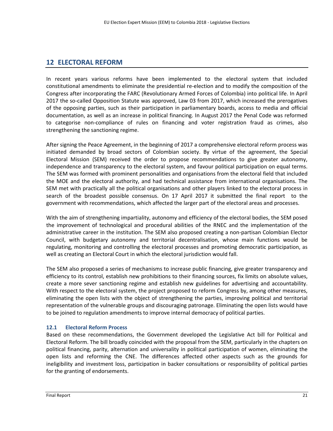## **12 ELECTORAL REFORM**

In recent years various reforms have been implemented to the electoral system that included constitutional amendments to eliminate the presidential re-election and to modify the composition of the Congress after incorporating the FARC (Revolutionary Armed Forces of Colombia) into political life. In April 2017 the so-called Opposition Statute was approved, Law 03 from 2017, which increased the prerogatives of the opposing parties, such as their participation in parliamentary boards, access to media and official documentation, as well as an increase in political financing. In August 2017 the Penal Code was reformed to categorise non-compliance of rules on financing and voter registration fraud as crimes, also strengthening the sanctioning regime.

After signing the Peace Agreement, in the beginning of 2017 a comprehensive electoral reform process was initiated demanded by broad sectors of Colombian society. By virtue of the agreement, the Special Electoral Mission (SEM) received the order to propose recommendations to give greater autonomy, independence and transparency to the electoral system, and favour political participation on equal terms. The SEM was formed with prominent personalities and organisations from the electoral field that included the MOE and the electoral authority, and had technical assistance from international organisations. The SEM met with practically all the political organisations and other players linked to the electoral process in search of the broadest possible consensus. On 17 April 2017 it submitted the final report to the government with recommendations, which affected the larger part of the electoral areas and processes.

With the aim of strengthening impartiality, autonomy and efficiency of the electoral bodies, the SEM posed the improvement of technological and procedural abilities of the RNEC and the implementation of the administrative career in the institution. The SEM also proposed creating a non-partisan Colombian Elector Council, with budgetary autonomy and territorial decentralisation, whose main functions would be regulating, monitoring and controlling the electoral processes and promoting democratic participation, as well as creating an Electoral Court in which the electoral jurisdiction would fall.

The SEM also proposed a series of mechanisms to increase public financing, give greater transparency and efficiency to its control, establish new prohibitions to their financing sources, fix limits on absolute values, create a more sever sanctioning regime and establish new guidelines for advertising and accountability. With respect to the electoral system, the project proposed to reform Congress by, among other measures, eliminating the open lists with the object of strengthening the parties, improving political and territorial representation of the vulnerable groups and discouraging patronage. Eliminating the open lists would have to be joined to regulation amendments to improve internal democracy of political parties.

#### **12.1 Electoral Reform Process**

Based on these recommendations, the Government developed the Legislative Act bill for Political and Electoral Reform. The bill broadly coincided with the proposal from the SEM, particularly in the chapters on political financing, parity, alternation and universality in political participation of women, eliminating the open lists and reforming the CNE. The differences affected other aspects such as the grounds for ineligibility and investment loss, participation in backer consultations or responsibility of political parties for the granting of endorsements.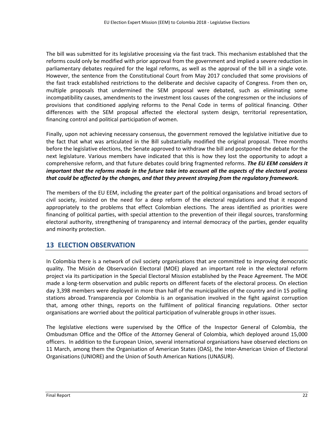The bill was submitted for its legislative processing via the fast track. This mechanism established that the reforms could only be modified with prior approval from the government and implied a severe reduction in parliamentary debates required for the legal reforms, as well as the approval of the bill in a single vote. However, the sentence from the Constitutional Court from May 2017 concluded that some provisions of the fast track established restrictions to the deliberate and decisive capacity of Congress. From then on, multiple proposals that undermined the SEM proposal were debated, such as eliminating some incompatibility causes, amendments to the investment loss causes of the congressmen or the inclusions of provisions that conditioned applying reforms to the Penal Code in terms of political financing. Other differences with the SEM proposal affected the electoral system design, territorial representation, financing control and political participation of women.

Finally, upon not achieving necessary consensus, the government removed the legislative initiative due to the fact that what was articulated in the Bill substantially modified the original proposal. Three months before the legislative elections, the Senate approved to withdraw the bill and postponed the debate for the next legislature. Various members have indicated that this is how they lost the opportunity to adopt a comprehensive reform, and that future debates could bring fragmented reforms. *The EU EEM considers it important that the reforms made in the future take into account all the aspects of the electoral process that could be affected by the changes, and that they prevent straying from the regulatory framework.*

The members of the EU EEM, including the greater part of the political organisations and broad sectors of civil society, insisted on the need for a deep reform of the electoral regulations and that it respond appropriately to the problems that effect Colombian elections. The areas identified as priorities were financing of political parties, with special attention to the prevention of their illegal sources, transforming electoral authority, strengthening of transparency and internal democracy of the parties, gender equality and minority protection.

## **13 ELECTION OBSERVATION**

In Colombia there is a network of civil society organisations that are committed to improving democratic quality. The Misión de Observación Electoral (MOE) played an important role in the electoral reform project via its participation in the Special Electoral Mission established by the Peace Agreement. The MOE made a long-term observation and public reports on different facets of the electoral process. On election day 3,398 members were deployed in more than half of the municipalities of the country and in 15 polling stations abroad. Transparencia por Colombia is an organisation involved in the fight against corruption that, among other things, reports on the fulfilment of political financing regulations. Other sector organisations are worried about the political participation of vulnerable groups in other issues.

The legislative elections were supervised by the Office of the Inspector General of Colombia, the Ombudsman Office and the Office of the Attorney General of Colombia, which deployed around 15,000 officers. In addition to the European Union, several international organisations have observed elections on 11 March, among them the Organisation of American States (OAS), the Inter-American Union of Electoral Organisations (UNIORE) and the Union of South American Nations (UNASUR).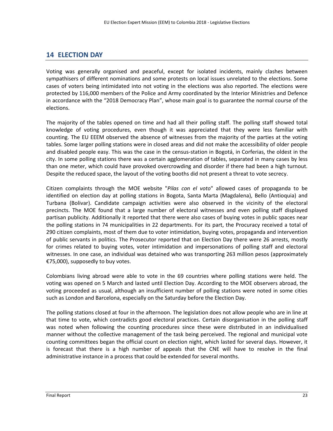### **14 ELECTION DAY**

Voting was generally organised and peaceful, except for isolated incidents, mainly clashes between sympathisers of different nominations and some protests on local issues unrelated to the elections. Some cases of voters being intimidated into not voting in the elections was also reported. The elections were protected by 116,000 members of the Police and Army coordinated by the Interior Ministries and Defence in accordance with the "2018 Democracy Plan", whose main goal is to guarantee the normal course of the elections.

The majority of the tables opened on time and had all their polling staff. The polling staff showed total knowledge of voting procedures, even though it was appreciated that they were less familiar with counting. The EU EEEM observed the absence of witnesses from the majority of the parties at the voting tables. Some larger polling stations were in closed areas and did not make the accessibility of older people and disabled people easy. This was the case in the census-station in Bogotá, in Corferias, the oldest in the city. In some polling stations there was a certain agglomeration of tables, separated in many cases by less than one meter, which could have provoked overcrowding and disorder if there had been a high turnout. Despite the reduced space, the layout of the voting booths did not present a threat to vote secrecy.

Citizen complaints through the MOE website "*Pilas con el voto*" allowed cases of propaganda to be identified on election day at polling stations in Bogota, Santa Marta (Magdalena), Bello (Antioquia) and Turbana (Bolivar). Candidate campaign activities were also observed in the vicinity of the electoral precincts. The MOE found that a large number of electoral witnesses and even polling staff displayed partisan publicity. Additionally it reported that there were also cases of buying votes in public spaces near the polling stations in 74 municipalities in 22 departments. For its part, the Procuracy received a total of 290 citizen complaints, most of them due to voter intimidation, buying votes, propaganda and intervention of public servants in politics. The Prosecutor reported that on Election Day there were 26 arrests, mostly for crimes related to buying votes, voter intimidation and impersonations of polling staff and electoral witnesses. In one case, an individual was detained who was transporting 263 million pesos (approximately €75,000), supposedly to buy votes.

Colombians living abroad were able to vote in the 69 countries where polling stations were held. The voting was opened on 5 March and lasted until Election Day. According to the MOE observers abroad, the voting proceeded as usual, although an insufficient number of polling stations were noted in some cities such as London and Barcelona, especially on the Saturday before the Election Day.

The polling stations closed at four in the afternoon. The legislation does not allow people who are in line at that time to vote, which contradicts good electoral practices. Certain disorganisation in the polling staff was noted when following the counting procedures since these were distributed in an individualised manner without the collective management of the task being perceived. The regional and municipal vote counting committees began the official count on election night, which lasted for several days. However, it is forecast that there is a high number of appeals that the CNE will have to resolve in the final administrative instance in a process that could be extended for several months.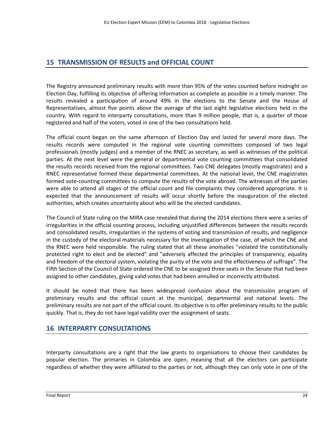### **15 TRANSMISSION OF RESULTS and OFFICIAL COUNT**

The Registry announced preliminary results with more than 95% of the votes counted before midnight on Election Day, fulfilling its objective of offering information as complete as possible in a timely manner. The results revealed a participation of around 49% in the elections to the Senate and the House of Representatives, almost five points above the average of the last eight legislative elections held in the country. With regard to interparty consultations, more than 9 million people, that is, a quarter of those registered and half of the voters, voted in one of the two consultations held.

The official count began on the same afternoon of Election Day and lasted for several more days. The results records were computed in the regional vote counting committees composed of two legal professionals (mostly judges) and a member of the RNEC as secretary, as well as witnesses of the political parties. At the next level were the general or departmental vote counting committees that consolidated the results records received from the regional committees. Two CNE delegates (mostly magistrates) and a RNEC representative formed these departmental committees. At the national level, the CNE magistrates formed vote-counting committees to compute the results of the vote abroad. The witnesses of the parties were able to attend all stages of the official count and file complaints they considered appropriate. It is expected that the announcement of results will occur shortly before the inauguration of the elected authorities, which creates uncertainty about who will be the elected candidates.

The Council of State ruling on the MIRA case revealed that during the 2014 elections there were a series of irregularities in the official counting process, including unjustified differences between the results records and consolidated results, irregularities in the systems of voting and transmission of results, and negligence in the custody of the electoral materials necessary for the investigation of the case, of which the CNE and the RNEC were held responsible. The ruling stated that all these anomalies "violated the constitutionally protected right to elect and be elected" and "adversely affected the principles of transparency, equality and freedom of the electoral system, violating the purity of the vote and the effectiveness of suffrage". The Fifth Section of the Council of State ordered the CNE to be assigned three seats in the Senate that had been assigned to other candidates, giving valid votes that had been annulled or incorrectly attributed.

It should be noted that there has been widespread confusion about the transmission program of preliminary results and the official count at the municipal, departmental and national levels. The preliminary results are not part of the official count. Its objective is to offer preliminary results to the public quickly. That is, they do not have legal validity over the assignment of seats.

## **16 INTERPARTY CONSULTATIONS**

Interparty consultations are a right that the law grants to organisations to choose their candidates by popular election. The primaries in Colombia are open, meaning that all the electors can participate regardless of whether they were affiliated to the parties or not, although they can only vote in one of the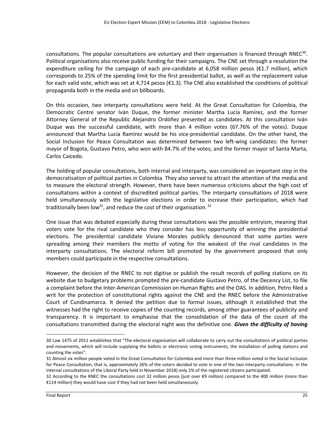consultations. The popular consultations are voluntary and their organisation is financed through RNEC<sup>30</sup>. Political organisations also receive public funding for their campaigns. The CNE set through a resolution the expenditure ceiling for the campaign of each pre-candidate at 6,058 million pesos (€1.7 million), which corresponds to 25% of the spending limit for the first presidential ballot, as well as the replacement value for each valid vote, which was set at 4,714 pesos (€1.3). The CNE also established the conditions of political propaganda both in the media and on billboards.

On this occasion, two interparty consultations were held. At the Great Consultation for Colombia, the Democratic Centre senator Iván Duque, the former minister Martha Lucía Ramírez, and the former Attorney General of the Republic Alejandro Ordóñez presented as candidates. At this consultation Iván Duque was the successful candidate, with more than 4 million votes (67.76% of the votes). Duque announced that Martha Lucía Ramírez would be his vice-presidential candidate. On the other hand, the Social Inclusion for Peace Consultation was determined between two left-wing candidates: the former mayor of Bogota, Gustavo Petro, who won with 84.7% of the votes; and the former mayor of Santa Marta, Carlos Caicedo.

The holding of popular consultations, both internal and interparty, was considered an important step in the democratisation of political parties in Colombia. They also served to attract the attention of the media and to measure the electoral strength. However, there have been numerous criticisms about the high cost of consultations within a context of discredited political parties. The interparty consultations of 2018 were held simultaneously with the legislative elections in order to increase their participation, which had traditionally been low<sup>31</sup>, and reduce the cost of their organisation.  $32$ 

One issue that was debated especially during these consultations was the possible entryism, meaning that voters vote for the rival candidate who they consider has less opportunity of winning the presidential elections. The presidential candidate Viviane Morales publicly denounced that some parties were spreading among their members the motto of voting for the weakest of the rival candidates in the interparty consultations. The electoral reform bill promoted by the government proposed that only members could participate in the respective consultations.

However, the decision of the RNEC to not digitise or publish the result records of polling stations on its website due to budgetary problems prompted the pre-candidate Gustavo Petro, of the Decency List, to file a complaint before the Inter-American Commission on Human Rights and the OAS. In addition, Petro filed a writ for the protection of constitutional rights against the CNE and the RNEC before the Administrative Court of Cundinamarca. It denied the petition due to formal issues, although it established that the witnesses had the right to receive copies of the counting records, among other guarantees of publicity and transparency. It is important to emphasise that the consolidation of the data of the count of the consultations transmitted during the electoral night was the definitive one. *Given the difficulty of having* 

<sup>30</sup> Law 1475 of 2011 establishes that "The electoral organisation will collaborate to carry out the consultations of political parties and movements, which will include supplying the ballots or electronic voting instruments, the installation of polling stations and counting the votes".

<sup>31</sup> Almost six million people voted in the Great Consultation for Colombia and more than three million voted in the Social Inclusion for Peace Consultation, that is, approximately 26% of the voters decided to vote in one of the two interparty consultations. In the internal consultations of the Liberal Party held in November 2018) only 2% of the registered citizens participated.

<sup>32</sup> According to the RNEC the consultations cost 32 million pesos (just over €9 million) compared to the 400 million (more than €114 million) they would have cost if they had not been held simultaneously.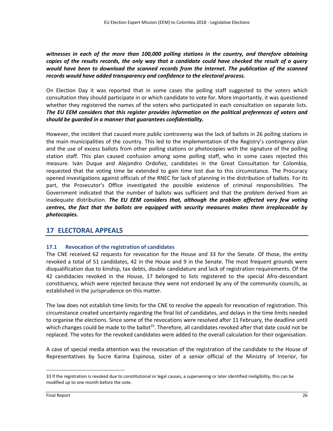*witnesses in each of the more than 100,000 polling stations in the country, and therefore obtaining copies of the results records, the only way that a candidate could have checked the result of a query*  would have been to download the scanned records from the Internet. The publication of the scanned *records would have added transparency and confidence to the electoral process.*

On Election Day it was reported that in some cases the polling staff suggested to the voters which consultation they should participate in or which candidate to vote for. More importantly, it was questioned whether they registered the names of the voters who participated in each consultation on separate lists. *The EU EEM considers that this register provides information on the political preferences of voters and should be guarded in a manner that guarantees confidentiality.*

However, the incident that caused more public controversy was the lack of ballots in 26 polling stations in the main municipalities of the country. This led to the implementation of the Registry's contingency plan and the use of excess ballots from other polling stations or photocopies with the signature of the polling station staff. This plan caused confusion among some polling staff, who in some cases rejected this measure. Iván Duque and Alejandro Ordoñez, candidates in the Great Consultation for Colombia, requested that the voting time be extended to gain time lost due to this circumstance. The Procuracy opened investigations against officials of the RNEC for lack of planning in the distribution of ballots. For its part, the Prosecutor's Office investigated the possible existence of criminal responsibilities. The Government indicated that the number of ballots was sufficient and that the problem derived from an inadequate distribution. *The EU EEM considers that, although the problem affected very few voting centres, the fact that the ballots are equipped with security measures makes them irreplaceable by photocopies.*

#### **17 ELECTORAL APPEALS**

#### **17.1 Revocation of the registration of candidates**

The CNE received 62 requests for revocation for the House and 33 for the Senate. Of those, the entity revoked a total of 51 candidates, 42 in the House and 9 in the Senate. The most frequent grounds were disqualification due to kinship, tax debts, double candidature and lack of registration requirements. Of the 42 candidacies revoked in the House, 17 belonged to lists registered to the special Afro-descendant constituency, which were rejected because they were not endorsed by any of the community councils, as established in the jurisprudence on this matter.

The law does not establish time limits for the CNE to resolve the appeals for revocation of registration. This circumstance created uncertainty regarding the final list of candidates, and delays in the time limits needed to organise the elections. Since some of the revocations were resolved after 11 February, the deadline until which changes could be made to the ballot<sup>33</sup>. Therefore, all candidates revoked after that date could not be replaced. The votes for the revoked candidates were added to the overall calculation for their organisation.

A case of special media attention was the revocation of the registration of the candidate to the House of Representatives by Sucre Karina Espinosa, sister of a senior official of the Ministry of Interior, for

<sup>33</sup> If the registration is revoked due to constitutional or legal causes, a supervening or later identified ineligibility, this can be modified up to one month before the vote.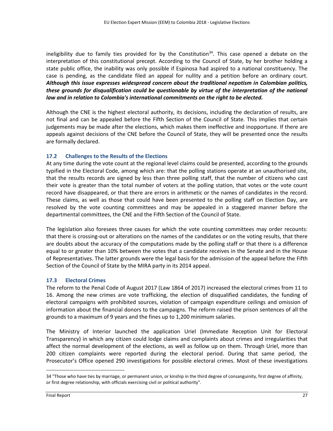ineligibility due to family ties provided for by the Constitution<sup>34</sup>. This case opened a debate on the interpretation of this constitutional precept. According to the Council of State, by her brother holding a state public office, the inability was only possible if Espinosa had aspired to a national constituency. The case is pending, as the candidate filed an appeal for nullity and a petition before an ordinary court. *Although this issue expresses widespread concern about the traditional nepotism in Colombian politics, these grounds for disqualification could be questionable by virtue of the interpretation of the national law and in relation to Colombia's international commitments on the right to be elected.*

Although the CNE is the highest electoral authority, its decisions, including the declaration of results, are not final and can be appealed before the Fifth Section of the Council of State. This implies that certain judgements may be made after the elections, which makes them ineffective and inopportune. If there are appeals against decisions of the CNE before the Council of State, they will be presented once the results are formally declared.

#### **17.2 Challenges to the Results of the Elections**

At any time during the vote count at the regional level claims could be presented, according to the grounds typified in the Electoral Code, among which are: that the polling stations operate at an unauthorised site, that the results records are signed by less than three polling staff, that the number of citizens who cast their vote is greater than the total number of voters at the polling station, that votes or the vote count record have disappeared, or that there are errors in arithmetic or the names of candidates in the record. These claims, as well as those that could have been presented to the polling staff on Election Day, are resolved by the vote counting committees and may be appealed in a staggered manner before the departmental committees, the CNE and the Fifth Section of the Council of State.

The legislation also foresees three causes for which the vote counting committees may order recounts: that there is crossing-out or alterations on the names of the candidates or on the voting results, that there are doubts about the accuracy of the computations made by the polling staff or that there is a difference equal to or greater than 10% between the votes that a candidate receives in the Senate and in the House of Representatives. The latter grounds were the legal basis for the admission of the appeal before the Fifth Section of the Council of State by the MIRA party in its 2014 appeal.

#### **17.3 Electoral Crimes**

The reform to the Penal Code of August 2017 (Law 1864 of 2017) increased the electoral crimes from 11 to 16. Among the new crimes are vote trafficking, the election of disqualified candidates, the funding of electoral campaigns with prohibited sources, violation of campaign expenditure ceilings and omission of information about the financial donors to the campaigns. The reform raised the prison sentences of all the grounds to a maximum of 9 years and the fines up to 1,200 minimum salaries.

The Ministry of Interior launched the application Uriel (Immediate Reception Unit for Electoral Transparency) in which any citizen could lodge claims and complaints about crimes and irregularities that affect the normal development of the elections, as well as follow up on them. Through Uriel, more than 200 citizen complaints were reported during the electoral period. During that same period, the Prosecutor's Office opened 290 investigations for possible electoral crimes. Most of these investigations

<sup>34</sup> "Those who have ties by marriage, or permanent union, or kinship in the third degree of consanguinity, first degree of affinity, or first degree relationship, with officials exercising civil or political authority".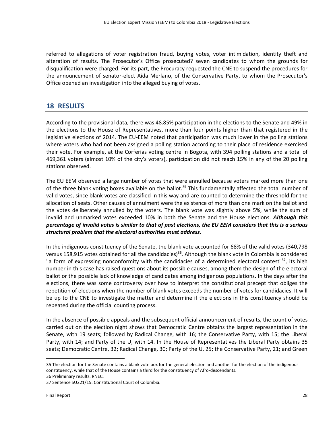referred to allegations of voter registration fraud, buying votes, voter intimidation, identity theft and alteration of results. The Prosecutor's Office prosecuted? seven candidates to whom the grounds for disqualification were charged. For its part, the Procuracy requested the CNE to suspend the procedures for the announcement of senator-elect Aída Merlano, of the Conservative Party, to whom the Prosecutor's Office opened an investigation into the alleged buying of votes.

#### **18 RESULTS**

According to the provisional data, there was 48.85% participation in the elections to the Senate and 49% in the elections to the House of Representatives, more than four points higher than that registered in the legislative elections of 2014. The EU-EEM noted that participation was much lower in the polling stations where voters who had not been assigned a polling station according to their place of residence exercised their vote. For example, at the Corferias voting centre in Bogota, with 394 polling stations and a total of 469,361 voters (almost 10% of the city's voters), participation did not reach 15% in any of the 20 polling stations observed.

The EU EEM observed a large number of votes that were annulled because voters marked more than one of the three blank voting boxes available on the ballot.<sup>35</sup> This fundamentally affected the total number of valid votes, since blank votes are classified in this way and are counted to determine the threshold for the allocation of seats. Other causes of annulment were the existence of more than one mark on the ballot and the votes deliberately annulled by the voters. The blank vote was slightly above 5%, while the sum of invalid and unmarked votes exceeded 10% in both the Senate and the House elections. *Although this percentage of invalid votes is similar to that of past elections, the EU EEM considers that this is a serious structural problem that the electoral authorities must address.*

In the indigenous constituency of the Senate, the blank vote accounted for 68% of the valid votes (340,798 versus 158,915 votes obtained for all the candidacies)<sup>36</sup>. Although the blank vote in Colombia is considered "a form of expressing nonconformity with the candidacies of a determined electoral contest"<sup>37</sup>, its high number in this case has raised questions about its possible causes, among them the design of the electoral ballot or the possible lack of knowledge of candidates among indigenous populations. In the days after the elections, there was some controversy over how to interpret the constitutional precept that obliges the repetition of elections when the number of blank votes exceeds the number of votes for candidacies. It will be up to the CNE to investigate the matter and determine if the elections in this constituency should be repeated during the official counting process.

In the absence of possible appeals and the subsequent official announcement of results, the count of votes carried out on the election night shows that Democratic Centre obtains the largest representation in the Senate, with 19 seats; followed by Radical Change, with 16; the Conservative Party, with 15; the Liberal Party, with 14; and Party of the U, with 14. In the House of Representatives the Liberal Party obtains 35 seats; Democratic Centre, 32; Radical Change, 30; Party of the U, 25; the Conservative Party, 21; and Green

<sup>35</sup> The election for the Senate contains a blank vote box for the general election and another for the election of the indigenous constituency, while that of the House contains a third for the constituency of Afro-descendants. 36 Preliminary results. RNEC.

<sup>37</sup> Sentence SU221/15. Constitutional Court of Colombia.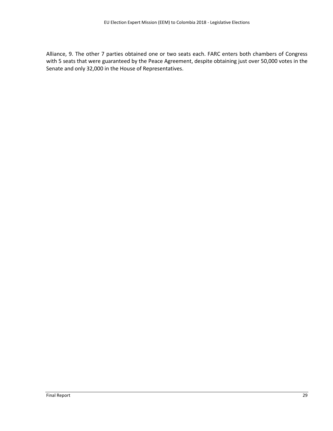Alliance, 9. The other 7 parties obtained one or two seats each. FARC enters both chambers of Congress with 5 seats that were guaranteed by the Peace Agreement, despite obtaining just over 50,000 votes in the Senate and only 32,000 in the House of Representatives.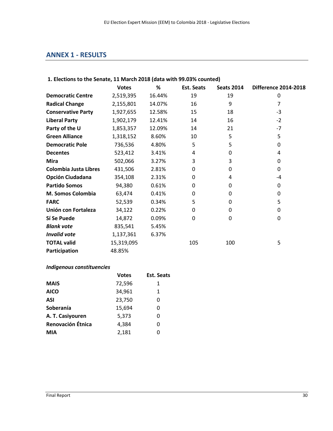# **ANNEX 1 - RESULTS**

#### **1. Elections to the Senate, 11 March 2018 (data with 99.03% counted)**

|                              | <b>Votes</b> | %      | <b>Est. Seats</b> | <b>Seats 2014</b> | <b>Difference 2014-2018</b> |
|------------------------------|--------------|--------|-------------------|-------------------|-----------------------------|
| <b>Democratic Centre</b>     | 2,519,395    | 16.44% | 19                | 19                | 0                           |
| <b>Radical Change</b>        | 2,155,801    | 14.07% | 16                | 9                 | 7                           |
| <b>Conservative Party</b>    | 1,927,655    | 12.58% | 15                | 18                | $-3$                        |
| <b>Liberal Party</b>         | 1,902,179    | 12.41% | 14                | 16                | $-2$                        |
| Party of the U               | 1,853,357    | 12.09% | 14                | 21                | $-7$                        |
| <b>Green Alliance</b>        | 1,318,152    | 8.60%  | 10                | 5                 | 5                           |
| <b>Democratic Pole</b>       | 736,536      | 4.80%  | 5                 | 5                 | 0                           |
| <b>Decentes</b>              | 523,412      | 3.41%  | 4                 | 0                 | 4                           |
| <b>Mira</b>                  | 502,066      | 3.27%  | 3                 | 3                 | 0                           |
| <b>Colombia Justa Libres</b> | 431,506      | 2.81%  | 0                 | 0                 | 0                           |
| <b>Opción Ciudadana</b>      | 354,108      | 2.31%  | 0                 | 4                 | -4                          |
| <b>Partido Somos</b>         | 94,380       | 0.61%  | 0                 | 0                 | 0                           |
| M. Somos Colombia            | 63,474       | 0.41%  | 0                 | 0                 | 0                           |
| <b>FARC</b>                  | 52,539       | 0.34%  | 5                 | 0                 | 5                           |
| Unión con Fortaleza          | 34,122       | 0.22%  | 0                 | 0                 | 0                           |
| Sí Se Puede                  | 14,872       | 0.09%  | 0                 | 0                 | 0                           |
| <b>Blank vote</b>            | 835,541      | 5.45%  |                   |                   |                             |
| <b>Invalid vote</b>          | 1,137,361    | 6.37%  |                   |                   |                             |
| <b>TOTAL valid</b>           | 15,319,095   |        | 105               | 100               | 5                           |
| Participation                | 48.85%       |        |                   |                   |                             |

# *Indigenous constituencies*

|                   | <b>Votes</b> | <b>Est. Seats</b> |
|-------------------|--------------|-------------------|
| <b>MAIS</b>       | 72,596       | 1                 |
| <b>AICO</b>       | 34,961       | 1                 |
| <b>ASI</b>        | 23,750       | 0                 |
| Soberanía         | 15,694       | 0                 |
| A. T. Casiyouren  | 5,373        | 0                 |
| Renovación Étnica | 4,384        | 0                 |
| <b>MIA</b>        | 2,181        | 0                 |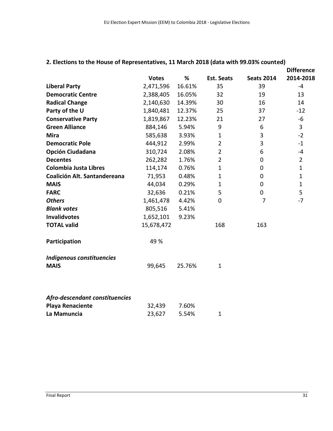|                                |              |        |                   |                   | <b>Difference</b> |
|--------------------------------|--------------|--------|-------------------|-------------------|-------------------|
|                                | <b>Votes</b> | %      | <b>Est. Seats</b> | <b>Seats 2014</b> | 2014-2018         |
| <b>Liberal Party</b>           | 2,471,596    | 16.61% | 35                | 39                | -4                |
| <b>Democratic Centre</b>       | 2,388,405    | 16.05% | 32                | 19                | 13                |
| <b>Radical Change</b>          | 2,140,630    | 14.39% | 30                | 16                | 14                |
| Party of the U                 | 1,840,481    | 12.37% | 25                | 37                | $-12$             |
| <b>Conservative Party</b>      | 1,819,867    | 12.23% | 21                | 27                | $-6$              |
| <b>Green Alliance</b>          | 884,146      | 5.94%  | 9                 | 6                 | 3                 |
| <b>Mira</b>                    | 585,638      | 3.93%  | 1                 | 3                 | $-2$              |
| <b>Democratic Pole</b>         | 444,912      | 2.99%  | $\overline{2}$    | 3                 | $-1$              |
| Opción Ciudadana               | 310,724      | 2.08%  | $\overline{2}$    | 6                 | $-4$              |
| <b>Decentes</b>                | 262,282      | 1.76%  | $\overline{2}$    | 0                 | $\overline{2}$    |
| Colombia Justa Libres          | 114,174      | 0.76%  | 1                 | 0                 | $\mathbf{1}$      |
| Coalición Alt. Santandereana   | 71,953       | 0.48%  | $\mathbf 1$       | 0                 | $\mathbf{1}$      |
| <b>MAIS</b>                    | 44,034       | 0.29%  | 1                 | 0                 | 1                 |
| <b>FARC</b>                    | 32,636       | 0.21%  | 5                 | 0                 | 5                 |
| <b>Others</b>                  | 1,461,478    | 4.42%  | 0                 | 7                 | $-7$              |
| <b>Blank votes</b>             | 805,516      | 5.41%  |                   |                   |                   |
| <b>Invalidvotes</b>            | 1,652,101    | 9.23%  |                   |                   |                   |
| <b>TOTAL valid</b>             | 15,678,472   |        | 168               | 163               |                   |
| Participation                  | 49 %         |        |                   |                   |                   |
| Indigenous constituencies      |              |        |                   |                   |                   |
| <b>MAIS</b>                    | 99,645       | 25.76% | $\mathbf 1$       |                   |                   |
| Afro-descendant constituencies |              |        |                   |                   |                   |
| <b>Playa Renaciente</b>        | 32,439       | 7.60%  |                   |                   |                   |
| La Mamuncia                    | 23,627       | 5.54%  | 1                 |                   |                   |

# **2. Elections to the House of Representatives, 11 March 2018 (data with 99.03% counted)**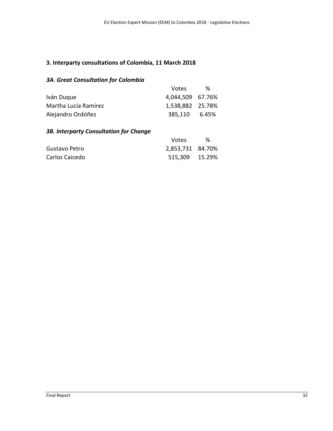# **3. Interparty consultations of Colombia, 11 March 2018**

# *3A. Great Consultation for Colombia*

|                      | Votes.           | % |
|----------------------|------------------|---|
| Iván Duque           | 4,044,509 67.76% |   |
| Martha Lucía Ramírez | 1,538,882 25.78% |   |
| Alejandro Ordóñez    | 385,110 6.45%    |   |

# *3B. Interparty Consultation for Change*

|                | Votes            | ℅ |
|----------------|------------------|---|
| Gustavo Petro  | 2,853,731 84.70% |   |
| Carlos Caicedo | 515,309 15.29%   |   |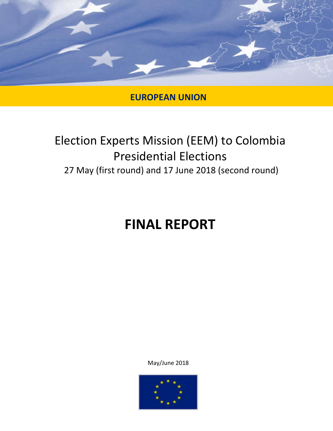

# **EUROPEAN UNION**

# Election Experts Mission (EEM) to Colombia Presidential Elections 27 May (first round) and 17 June 2018 (second round)

# **FINAL REPORT**

May/June 2018

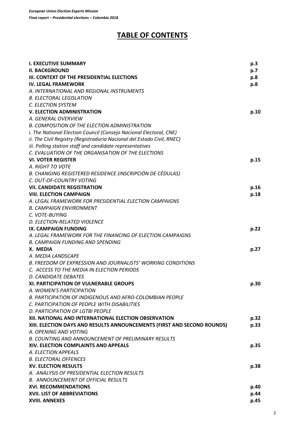# **TABLE OF CONTENTS**

| <b>I. EXECUTIVE SUMMARY</b>                                             | p.3  |
|-------------------------------------------------------------------------|------|
| <b>II. BACKGROUND</b>                                                   | p.7  |
| III. CONTEXT OF THE PRESIDENTIAL ELECTIONS                              | p.8  |
| <b>IV. LEGAL FRAMEWORK</b>                                              | p.8  |
| A. INTERNATIONAL AND REGIONAL INSTRUMENTS                               |      |
| <b>B. ELECTORAL LEGISLATION</b>                                         |      |
| C. ELECTION SYSTEM                                                      |      |
| <b>V. ELECTION ADMINISTRATION</b>                                       | p.10 |
| A. GENERAL OVERVIEW                                                     |      |
| <b>B. COMPOSITION OF THE ELECTION ADMINISTRATION</b>                    |      |
| i. The National Election Council (Consejo Nacional Electoral, CNE)      |      |
| ii. The Civil Registry (Registraduría Nacional del Estado Civil, RNEC)  |      |
| iii. Polling station staff and candidate representatives                |      |
| C. EVALUATION OF THE ORGANISATION OF THE ELECTIONS                      |      |
| <b>VI. VOTER REGISTER</b>                                               | p.15 |
| A. RIGHT TO VOTE                                                        |      |
| B. CHANGING REGISTERED RESIDENCE (INSCRIPCIÓN DE CÉDULAS)               |      |
| C. OUT-OF-COUNTRY VOTING                                                |      |
| <b>VII. CANDIDATE REGISTRATION</b>                                      | p.16 |
| <b>VIII. ELECTION CAMPAIGN</b>                                          | p.18 |
| A. LEGAL FRAMEWORK FOR PRESIDENTIAL ELECTION CAMPAIGNS                  |      |
| <b>B. CAMPAIGN ENVIRONMENT</b>                                          |      |
| C. VOTE-BUYING                                                          |      |
| D. ELECTION-RELATED VIOLENCE                                            |      |
| IX. CAMPAIGN FUNDING                                                    | p.22 |
| A. LEGAL FRAMEWORK FOR THE FINANCING OF ELECTION CAMPAIGNS              |      |
| <b>B. CAMPAIGN FUNDING AND SPENDING</b>                                 |      |
| X. MEDIA                                                                | p.27 |
| A. MEDIA LANDSCAPE                                                      |      |
| <b>B. FREEDOM OF EXPRESSION AND JOURNALISTS' WORKING CONDITIONS</b>     |      |
| C. ACCESS TO THE MEDIA IN ELECTION PERIODS                              |      |
| D. CANDIDATE DEBATES                                                    |      |
| <b>XI. PARTICIPATION OF VULNERABLE GROUPS</b>                           | p.30 |
| A. WOMEN'S PARTICIPATION                                                |      |
| <b>B. PARTICIPATION OF INDIGENOUS AND AFRO-COLOMBIAN PEOPLE</b>         |      |
| C. PARTICIPATION OF PEOPLE WITH DISABILITIES                            |      |
| D. PARTICIPATION OF LGTBI PEOPLE                                        |      |
| XII. NATIONAL AND INTERNATIONAL ELECTION OBSERVATION                    | p.32 |
| XIII. ELECTION DAYS AND RESULTS ANNOUNCEMENTS (FIRST AND SECOND ROUNDS) | p.33 |
| A. OPENING AND VOTING                                                   |      |
| <b>B. COUNTING AND ANNOUNCEMENT OF PRELIMINARY RESULTS</b>              |      |
| XIV. ELECTION COMPLAINTS AND APPEALS                                    | p.35 |
| A. ELECTION APPEALS                                                     |      |
| <b>B. ELECTORAL OFFENCES</b>                                            |      |
| <b>XV. ELECTION RESULTS</b>                                             | p.38 |
| A. ANALYSIS OF PRESIDENTIAL ELECTION RESULTS                            |      |
| <b>B. ANNOUNCEMENT OF OFFICIAL RESULTS</b>                              |      |
| <b>XVI. RECOMMENDATIONS</b>                                             | p.40 |
| <b>XVII. LIST OF ABBREVIATIONS</b>                                      | p.44 |
| XVIII. ANNEXES                                                          | p.45 |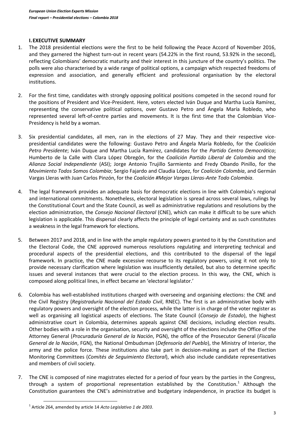#### **I.EXECUTIVE SUMMARY**

- 1. The 2018 presidential elections were the first to be held following the Peace Accord of November 2016, and they garnered the highest turn-out in recent years (54.22% in the first round, 53.92% in the second), reflecting Colombians' democratic maturity and their interest in this juncture of the country's politics. The polls were also characterised by a wide range of political options, a campaign which respected freedoms of expression and association, and generally efficient and professional organisation by the electoral institutions.
- 2. For the first time, candidates with strongly opposing political positions competed in the second round for the positions of President and Vice-President. Here, voters elected Iván Duque and Martha Lucía Ramírez, representing the conservative political options, over Gustavo Petro and Ángela María Robledo, who represented several left-of-centre parties and movements. It is the first time that the Colombian Vice-Presidency is held by a woman.
- 3. Six presidential candidates, all men, ran in the elections of 27 May. They and their respective vicepresidential candidates were the following: Gustavo Petro and Ángela María Robledo, for the *Coalición Petro Presidente*; Iván Duque and Martha Lucía Ramírez, candidates for the *Partido Centro Democrático*; Humberto de la Calle with Clara López Obregón, for the *Coalición Partido Liberal de Colombia* and the *Alianza Social Independiente* (ASI); Jorge Antonio Trujillo Sarmiento and Fredy Obando Pinillo, for the *Movimiento Todos Somos Colombia*; Sergio Fajardo and Claudia López, for *Coalición Colombia*, and Germán Vargas Lleras with Juan Carlos Pinzón, for the *Coalición #Mejor Vargas Lleras-Ante Todo Colombia*.
- 4. The legal framework provides an adequate basis for democratic elections in line with Colombia's regional and international commitments. Nonetheless, electoral legislation is spread across several laws, rulings by the Constitutional Court and the State Council, as well as administrative regulations and resolutions by the election administration, the *Consejo Nacional Electoral* (CNE), which can make it difficult to be sure which legislation is applicable. This dispersal clearly affects the principle of legal certainty and as such constitutes a weakness in the legal framework for elections.
- 5. Between 2017 and 2018, and in line with the ample regulatory powers granted to it by the Constitution and the Electoral Code, the CNE approved numerous resolutions regulating and interpreting technical and procedural aspects of the presidential elections, and this contributed to the dispersal of the legal framework. In practice, the CNE made excessive recourse to its regulatory powers, using it not only to provide necessary clarification where legislation was insufficiently detailed, but also to determine specific issues and several instances that were crucial to the election process. In this way, the CNE, which is composed along political lines, in effect became an 'electoral legislator.'
- 6. Colombia has well-established institutions charged with overseeing and organising elections: the CNE and the Civil Registry (*Registraduría Nacional del Estado Civil*, RNEC). The first is an administrative body with regulatory powers and oversight of the election process, while the latter is in charge of the voter register as well as organising all logistical aspects of elections. The State Council (*Consejo de Estado*), the highest administrative court in Colombia, determines appeals against CNE decisions, including election results. Other bodies with a role in the organisation, security and oversight of the elections include the Office of the Attorney General (*Procuraduría General de la Nación*, PGN), the office of the Prosecutor General (*Fiscalía General de la Nación*, FGN), the National Ombudsman (*Defensoría del Pueblo*), the Ministry of Interior, the army and the police force. These institutions also take part in decision-making as part of the Election Monitoring Committees (*Comités de Seguimiento Electoral*), which also include candidate representatives and members of civil society.
- 7. The CNE is composed of nine magistrates elected for a period of four years by the parties in the Congress, through a system of proportional representation established by the Constitution.<sup>1</sup> Although the Constitution guarantees the CNE's administrative and budgetary independence, in practice its budget is

<sup>1</sup> Article 264, amended by article 14 *Acto Legislativo 1 de 2003*.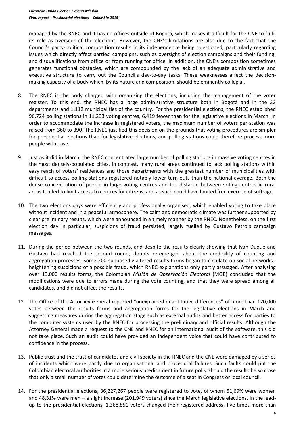managed by the RNEC and it has no offices outside of Bogotá, which makes it difficult for the CNE to fulfil its role as overseer of the elections. However, the CNE's limitations are also due to the fact that the Council's party-political composition results in its independence being questioned, particularly regarding issues which directly affect parties' campaigns, such as oversight of election campaigns and their funding, and disqualifications from office or from running for office. In addition, the CNE's composition sometimes generates functional obstacles, which are compounded by the lack of an adequate administrative and executive structure to carry out the Council's day-to-day tasks. These weaknesses affect the decisionmaking capacity of a body which, by its nature and composition, should be eminently collegial.

- 8. The RNEC is the body charged with organising the elections, including the management of the voter register. To this end, the RNEC has a large administrative structure both in Bogotá and in the 32 departments and 1,112 municipalities of the country. For the presidential elections, the RNEC established 96,724 polling stations in 11,233 voting centres, 6,419 fewer than for the legislative elections in March. In order to accommodate the increase in registered voters, the maximum number of voters per station was raised from 360 to 390. The RNEC justified this decision on the grounds that voting procedures are simpler for presidential elections than for legislative elections, and polling stations could therefore process more people with ease.
- 9. Just as it did in March, the RNEC concentrated large number of polling stations in massive voting centres in the most densely-populated cities. In contrast, many rural areas continued to lack polling stations within easy reach of voters' residences and those departments with the greatest number of municipalities with difficult-to-access polling stations registered notably lower turn-outs than the national average. Both the dense concentration of people in large voting centres and the distance between voting centres in rural areas tended to limit access to centres for citizens, and as such could have limited free exercise of suffrage.
- 10. The two elections days were efficiently and professionally organised, which enabled voting to take place without incident and in a peaceful atmosphere. The calm and democratic climate was further supported by clear preliminary results, which were announced in a timely manner by the RNEC. Nonetheless, on the first election day in particular, suspicions of fraud persisted, largely fuelled by Gustavo Petro's campaign messages.
- 11. During the period between the two rounds, and despite the results clearly showing that Iván Duque and Gustavo had reached the second round, doubts re-emerged about the credibility of counting and aggregation processes. Some 200 supposedly altered results forms began to circulate on social networks , heightening suspicions of a possible fraud, which RNEC explanations only partly assuaged. After analysing over 13,000 results forms, the Colombian *Misión de Observación Electoral* (MOE) concluded that the modifications were due to errors made during the vote counting, and that they were spread among all candidates, and did not affect the results.
- 12. The Office of the Attorney General reported "unexplained quantitative differences" of more than 170,000 votes between the results forms and aggregation forms for the legislative elections in March and suggesting measures during the aggregation stage such as external audits and better access for parties to the computer systems used by the RNEC for processing the preliminary and official results. Although the Attorney General made a request to the CNE and RNEC for an international audit of the software, this did not take place. Such an audit could have provided an independent voice that could have contributed to confidence in the process.
- 13. Public trust and the trust of candidates and civil society in the RNEC and the CNE were damaged by a series of incidents which were partly due to organisational and procedural failures. Such faults could put the Colombian electoral authorities in a more serious predicament in future polls, should the results be so close that only a small number of votes could determine the outcome of a seat in Congress or local council.
- 14. For the presidential elections, 36,227,267 people were registered to vote, of whom 51,69% were women and 48,31% were men – a slight increase (201,949 voters) since the March legislative elections. In the leadup to the presidential elections, 1,368,851 voters changed their registered address, five times more than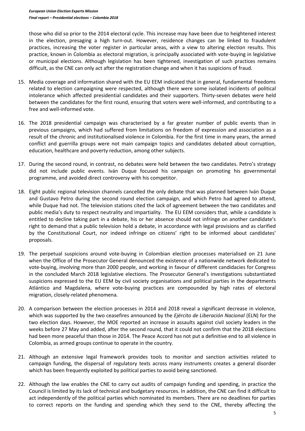those who did so prior to the 2014 electoral cycle. This increase may have been due to heightened interest in the election, presaging a high turn-out. However, residence changes can be linked to fraudulent practices, increasing the voter register in particular areas, with a view to altering election results. This practice, known in Colombia as electoral migration, is principally associated with vote-buying in legislative or municipal elections. Although legislation has been tightened, investigation of such practices remains difficult, as the CNE can only act after the registration change and when it has suspicions of fraud.

- 15. Media coverage and information shared with the EU EEM indicated that in general, fundamental freedoms related to election campaigning were respected, although there were some isolated incidents of political intolerance which affected presidential candidates and their supporters. Thirty-seven debates were held between the candidates for the first round, ensuring that voters were well-informed, and contributing to a free and well-informed vote.
- 16. The 2018 presidential campaign was characterised by a far greater number of public events than in previous campaigns, which had suffered from limitations on freedom of expression and association as a result of the chronic and institutionalised violence in Colombia. For the first time in many years, the armed conflict and guerrilla groups were not main campaign topics and candidates debated about corruption, education, healthcare and poverty reduction, among other subjects.
- 17. During the second round, in contrast, no debates were held between the two candidates. Petro's strategy did not include public events. Iván Duque focused his campaign on promoting his governmental programme, and avoided direct controversy with his competitor.
- 18. Eight public regional television channels cancelled the only debate that was planned between Iván Duque and Gustavo Petro during the second round election campaign, and which Petro had agreed to attend, while Duque had not. The television stations cited the lack of agreement between the two candidates and public media's duty to respect neutrality and impartiality. The EU EEM considers that, while a candidate is entitled to decline taking part in a debate, his or her absence should not infringe on another candidate's right to demand that a public television hold a debate, in accordance with legal provisions and as clarified by the Constitutional Court, nor indeed infringe on citizens' right to be informed about candidates' proposals.
- 19. The perpetual suspicions around vote-buying in Colombian election processes materialised on 21 June when the Office of the Prosecutor General denounced the existence of a nationwide network dedicated to vote-buying, involving more than 2000 people, and working in favour of different candidacies for Congress in the concluded March 2018 legislative elections. The Prosecutor General's investigations substantiated suspicions expressed to the EU EEM by civil society organisations and political parties in the departments Atlántico and Magdalena, where vote-buying practices are compounded by high rates of electoral migration, closely-related phenomena.
- 20. A comparison between the election processes in 2014 and 2018 reveal a significant decrease in violence, which was supported by the two ceasefires announced by the *Ejército de Liberación Nacional* (ELN) for the two election days. However, the MOE reported an increase in assaults against civil society leaders in the weeks before 27 May and added, after the second round, that it could not confirm that the 2018 elections had been more peaceful than those in 2014. The Peace Accord has not put a definitive end to all violence in Colombia, as armed groups continue to operate in the country.
- 21. Although an extensive legal framework provides tools to monitor and sanction activities related to campaign funding, the dispersal of regulatory texts across many instruments creates a general disorder which has been frequently exploited by political parties to avoid being sanctioned.
- 22. Although the law enables the CNE to carry out audits of campaign funding and spending, in practice the Council is limited by its lack of technical and budgetary resources. In addition, the CNE can find it difficult to act independently of the political parties which nominated its members. There are no deadlines for parties to correct reports on the funding and spending which they send to the CNE, thereby affecting the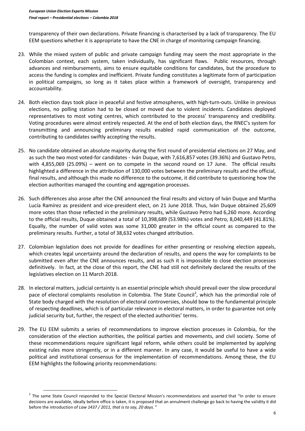$\overline{a}$ 

transparency of their own declarations. Private financing is characterised by a lack of transparency. The EU EEM questions whether it is appropriate to have the CNE in charge of monitoring campaign financing.

- 23. While the mixed system of public and private campaign funding may seem the most appropriate in the Colombian context, each system, taken individually, has significant flaws. Public resources, through advances and reimbursements, aims to ensure equitable conditions for candidates, but the procedure to access the funding is complex and inefficient. Private funding constitutes a legitimate form of participation in political campaigns, so long as it takes place within a framework of oversight, transparency and accountability.
- 24. Both election days took place in peaceful and festive atmospheres, with high-turn-outs. Unlike in previous elections, no polling station had to be closed or moved due to violent incidents. Candidates deployed representatives to most voting centres, which contributed to the process' transparency and credibility. Voting procedures were almost entirely respected. At the end of both election days, the RNEC's system for transmitting and announcing preliminary results enabled rapid communication of the outcome, contributing to candidates swiftly accepting the results.
- 25. No candidate obtained an absolute majority during the first round of presidential elections on 27 May, and as such the two most voted-for candidates - Iván Duque, with 7,616,857 votes (39.36%) and Gustavo Petro, with 4,855,069 (25.09%) – went on to compete in the second round on 17 June. The official results highlighted a difference in the attribution of 130,000 votes between the preliminary results and the official, final results, and although this made no difference to the outcome, it did contribute to questioning how the election authorities managed the counting and aggregation processes.
- 26. Such differences also arose after the CNE announced the final results and victory of Iván Duque and Martha Lucía Ramírez as president and vice-president elect, on 21 June 2018. Thus, Iván Duque obtained 25,609 more votes than those reflected in the preliminary results, while Gustavo Petro had 6,260 more. According to the official results, Duque obtained a total of 10,398,689 (53.98%) votes and Petro, 8,040,449 (41.81%). Equally, the number of valid votes was some 31,000 greater in the official count as compared to the preliminary results. Further, a total of 38,632 votes changed attribution.
- 27. Colombian legislation does not provide for deadlines for either presenting or resolving election appeals, which creates legal uncertainty around the declaration of results, and opens the way for complaints to be submitted even after the CNE announces results, and as such it is impossible to close election processes definitively. In fact, at the close of this report, the CNE had still not definitely declared the results of the legislatives election on 11 March 2018.
- 28. In electoral matters, judicial certainty is an essential principle which should prevail over the slow procedural pace of electoral complaints resolution in Colombia. The State Council<sup>2</sup>, which has the primordial role of State body charged with the resolution of electoral controversies, should bow to the fundamental principle of respecting deadlines, which is of particular relevance in electoral matters, in order to guarantee not only judicial security but, further, the respect of the elected authorities' terms.
- 29. The EU EEM submits a series of recommendations to improve election processes in Colombia, for the consideration of the election authorities, the political parties and movements, and civil society. Some of these recommendations require significant legal reform, while others could be implemented by applying existing rules more stringently, or in a different manner. In any case, it would be useful to have a wide political and institutional consensus for the implementation of recommendations. Among these, the EU EEM highlights the following priority recommendations:

<sup>&</sup>lt;sup>2</sup> The same State Council responded to the Special Electoral Mission's recommendations and asserted that "In order to ensure decisions are available, ideally before office is taken, it is proposed that an annulment challenge go back to having the validity it did before the introduction of *Law 1437 / 2011, that is to say, 20 days.* "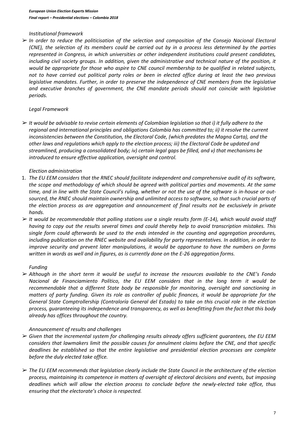#### *Institutional framework*

➢ *In order to reduce the politicisation of the selection and composition of the Consejo Nacional Electoral (CNE), the selection of its members could be carried out by in a process less determined by the parties represented in Congress, in which universities or other independent institutions could present candidates,*  including civil society groups. In addition, given the administrative and technical nature of the position, it *would be appropriate for those who aspire to CNE council membership to be qualified in related subjects, not to have carried out political party roles or been in elected office during at least the two previous legislative mandates. Further, in order to preserve the independence of CNE members from the legislative and executive branches of government, the CNE mandate periods should not coincide with legislative periods.*

# *Legal Framework*

➢ *It would be advisable to revise certain elements of Colombian legislation so that i) it fully adhere to the regional and international principles and obligations Colombia has committed to; ii) it resolve the current inconsistencies between the Constitution, the Electoral Code, (which predates the Magna Carta), and the other laws and regulations which apply to the election process; iii) the Electoral Code be updated and streamlined, producing a consolidated body; iv) certain legal gaps be filled, and v) that mechanisms be introduced to ensure effective application, oversight and control.* 

# *Election administration*

- 1. *The EU EEM considers that the RNEC should facilitate independent and comprehensive audit of its software, the scope and methodology of which should be agreed with political parties and movements. At the same time, and in line with the State Council's ruling, whether or not the use of the software is in-house or outsourced, the RNEC should maintain ownership and unlimited access to software, so that such crucial parts of the election process as are aggregation and announcement of final results not be exclusively in private hands.*
- ➢ *It would be recommendable that polling stations use a single results form (E-14), which would avoid staff having to copy out the results several times and could thereby help to avoid transcription mistakes. This single form could afterwards be used to the ends intended in the counting and aggregation procedures, including publication on the RNEC website and availability for party representatives. In addition, in order to improve security and prevent later manipulations, it would be opportune to have the numbers on forms written in words as well and in figures, as is currently done on the E-26 aggregation forms.*

# *Funding*

➢ *Although in the short term it would be useful to increase the resources available to the CNE's Fondo Nacional de Financiamiento Político, the EU EEM considers that in the long term it would be recommendable that a different State body be responsible for monitoring, oversight and sanctioning in matters of party funding. Given its role as controller of public finances, it would be appropriate for the General State Comptrollership (Contraloría General del Estado) to take on this crucial role in the election process, guaranteeing its independence and transparency, as well as benefitting from the fact that this body already has offices throughout the country.*

# *Announcement of results and challenges*

- ➢ *Given that the incremental system for challenging results already offers sufficient guarantees, the EU EEM considers that lawmakers limit the possible causes for annulment claims before the CNE, and that specific deadlines be established so that the entire legislative and presidential election processes are complete before the duly elected take office.*
- ➢ *The EU EEM recommends that legislation clearly include the State Council in the architecture of the election process, maintaining its competence in matters of oversight of electoral decisions and events, but imposing deadlines which will allow the election process to conclude before the newly-elected take office, thus ensuring that the electorate's choice is respected.*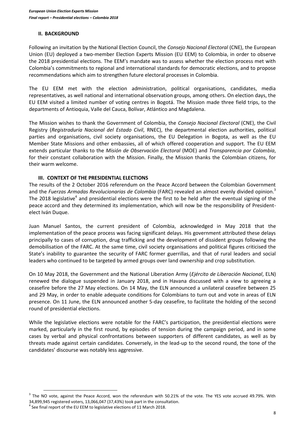#### **II. BACKGROUND**

Following an invitation by the National Election Council, the *Consejo Nacional Electoral* (CNE), the European Union (EU) deployed a two-member Election Experts Mission (EU EEM) to Colombia, in order to observe the 2018 presidential elections. The EEM's mandate was to assess whether the election process met with Colombia's commitments to regional and international standards for democratic elections, and to propose recommendations which aim to strengthen future electoral processes in Colombia.

The EU EEM met with the election administration, political organisations, candidates, media representatives, as well national and international observation groups, among others. On election days, the EU EEM visited a limited number of voting centres in Bogotá. The Mission made three field trips, to the departments of Antioquia, Valle del Cauca, Bolívar, Atlántico and Magdalena.

The Mission wishes to thank the Government of Colombia, the *Consejo Nacional Electoral* (CNE), the Civil Registry (*Registraduría Nacional del Estado Civil*, RNEC), the departmental election authorities, political parties and organisations, civil society organisations, the EU Delegation in Bogota, as well as the EU Member State Missions and other embassies, all of which offered cooperation and support. The EU EEM extends particular thanks to the *Misión de Observación Electoral* (MOE) and *Transparencia por Colombia*, for their constant collaboration with the Mission. Finally, the Mission thanks the Colombian citizens, for their warm welcome.

#### **III. CONTEXT OF THE PRESIDENTIAL ELECTIONS**

The results of the 2 October 2016 referendum on the Peace Accord between the Colombian Government and the *Fuerzas Armadas Revolucionarias de Colombia* (FARC) revealed an almost evenly divided opinion.<sup>3</sup> The 2018 legislative<sup>4</sup> and presidential elections were the first to be held after the eventual signing of the peace accord and they determined its implementation, which will now be the responsibility of Presidentelect Iván Duque.

Juan Manuel Santos, the current president of Colombia, acknowledged in May 2018 that the implementation of the peace process was facing significant delays. His government attributed these delays principally to cases of corruption, drug trafficking and the development of dissident groups following the demobilisation of the FARC. At the same time, civil society organisations and political figures criticised the State's inability to guarantee the security of FARC former guerrillas, and that of rural leaders and social leaders who continued to be targeted by armed groups over land ownership and crop substitution.

On 10 May 2018, the Government and the National Liberation Army (*Ejército de Liberación Nacional*, ELN) renewed the dialogue suspended in January 2018, and in Havana discussed with a view to agreeing a ceasefire before the 27 May elections. On 14 May, the ELN announced a unilateral ceasefire between 25 and 29 May, in order to enable adequate conditions for Colombians to turn out and vote in areas of ELN presence. On 11 June, the ELN announced another 5-day ceasefire, to facilitate the holding of the second round of presidential elections.

While the legislative elections were notable for the FARC's participation, the presidential elections were marked, particularly in the first round, by episodes of tension during the campaign period, and in some cases by verbal and physical confrontations between supporters of different candidates, as well as by threats made against certain candidates. Conversely, in the lead-up to the second round, the tone of the candidates' discourse was notably less aggressive.

 $3$  The NO vote, against the Peace Accord, won the referendum with 50.21% of the vote. The YES vote accrued 49.79%. With 34,899,945 registered voters, 13,066,047 (37,43%) took part in the consultation.

 $<sup>4</sup>$  See final report of the EU EEM to legislative elections of 11 March 2018.</sup>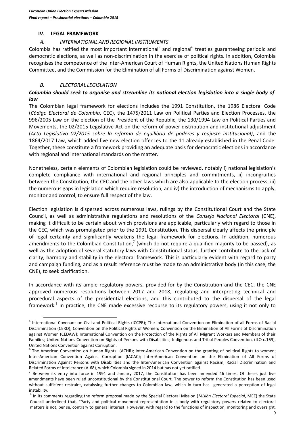#### **IV. LEGAL FRAMEWORK**

# *A. INTERNATIONAL AND REGIONAL INSTRUMENTS*

Colombia has ratified the most important international<sup>5</sup> and regional<sup>6</sup> treaties guaranteeing periodic and democratic elections, as well as non-discrimination in the exercise of political rights. In addition, Colombia recognises the competence of the Inter-American Court of Human Rights, the United Nations Human Rights Committee, and the Commission for the Elimination of all Forms of Discrimination against Women.

# *B. ELECTORAL LEGISLATION*

 $\overline{a}$ 

# *Colombia should seek to organise and streamline its national election legislation into a single body of law*

The Colombian legal framework for elections includes the 1991 Constitution, the 1986 Electoral Code (*Código Electoral de Colombia*, CEC), the 1475/2011 Law on Political Parties and Election Processes, the 996/2005 Law on the election of the President of the Republic, the 130/1994 Law on Political Parties and Movements, the 02/2015 Legislative Act on the reform of power distribution and institutional adjustment (*Acto Legislativo 02/2015 sobre la reforma de equilibrio de poderes y reajuste institucional)*, and the 1864/2017 Law, which added five new election offences to the 11 already established in the Penal Code. Together, these constitute a framework providing an adequate basis for democratic elections in accordance with regional and international standards on the matter.

Nonetheless, certain elements of Colombian legislation could be reviewed, notably i) national legislation's complete compliance with international and regional principles and commitments, ii) incongruities between the Constitution, the CEC and the other laws which are also applicable to the election process, iii) the numerous gaps in legislation which require resolution, and iv) the introduction of mechanisms to apply, monitor and control, to ensure full respect of the law.

Election legislation is dispersed across numerous laws, rulings by the Constitutional Court and the State Council, as well as administrative regulations and resolutions of the *Consejo Nacional Electoral* (CNE), making it difficult to be certain about which provisions are applicable, particularly with regard to those in the CEC, which was promulgated prior to the 1991 Constitution. This dispersal clearly affects the principle of legal certainty and significantly weakens the legal framework for elections. In addition, numerous amendments to the Colombian Constitution,<sup>7</sup> (which do not require a qualified majority to be passed), as well as the adoption of several statutory laws with Constitutional status, further contribute to the lack of clarity, harmony and stability in the electoral framework. This is particularly evident with regard to party and campaign funding, and as a result reference must be made to an administrative body (in this case, the CNE), to seek clarification.

In accordance with its ample regulatory powers, provided-for by the Constitution and the CEC, the CNE approved numerous resolutions between 2017 and 2018, regulating and interpreting technical and procedural aspects of the presidential elections, and this contributed to the dispersal of the legal framework.<sup>8</sup> In practice, the CNE made excessive recourse to its regulatory powers, using it not only to

<sup>&</sup>lt;sup>5</sup> International Covenant on Civil and Political Rights (ICCPR); The International Convention on Elimination of all Forms of Racial Discrimination (CERD); Convention on the Political Rights of Women; Convention on the Elimination of All Forms of Discrimination against Women (CEDAW); International Convention on the Protection of the Rights of All Migrant Workers and Members of their Families; United Nations Convention on Rights of Persons with Disabilities; Indigenous and Tribal Peoples Convention, (ILO c.169), United Nations Convention against Corruption.

<sup>&</sup>lt;sup>6</sup> The American Convention on Human Rights (ACHR); Inter-American Convention on the granting of political Rights to women; Inter-American Convention Against Corruption (IACAC); Inter-American Convention on the Elimination of All Forms of Discrimination Against Persons with Disabilities and the Inter-American Convention against Racism, Racial Discrimination and Related Forms of Intolerance (A-68), which Colombia signed in 2014 but has not yet ratified.

 $^7$  Between its entry into force in 1991 and January 2017, the Constitution has been amended 46 times. Of these, just five amendments have been ruled unconstitutional by the Constitutional Court. The power to reform the Constitution has been used without sufficient restraint, catalysing further changes to Colombian law, which in turn has generated a perception of legal instability.

<sup>8</sup> In its comments regarding the reform proposal made by the Special Electoral Mission (*Misión Electoral Especial*, MEE) the State Council underlined that, "Party and political movement representation in a body with regulatory powers related to electoral matters is not, per se, contrary to general interest. However, with regard to the functions of inspection, monitoring and oversight,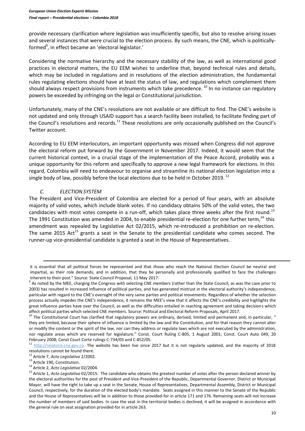provide necessary clarification where legislation was insufficiently specific, but also to resolve arising issues and several instances that were crucial to the election process. By such means, the CNE, which is politicallyformed<sup>9</sup>, in effect became an 'electoral legislator.'

Considering the normative hierarchy and the necessary stability of the law, as well as international good practices in electoral matters, the EU EEM wishes to underline that, beyond technical rules and details, which may be included in regulations and in resolutions of the election administration, the fundamental rules regulating elections should have at least the status of law, and regulations which complement them should always respect provisions from instruments which take precedence. <sup>10</sup> In no instance can regulatory powers be exceeded by infringing on the legal or Constitutional jurisdiction.

Unfortunately, many of the CNE's resolutions are not available or are difficult to find. The CNE's website is not updated and only through USAID support has a search facility been installed, to facilitate finding part of the Council's resolutions and records.<sup>11</sup> These resolutions are only occasionally published on the Council's Twitter account.

According to EU EEM interlocutors, an important opportunity was missed when Congress did not approve the electoral reform put forward by the Government in November 2017. Indeed, it would seem that the current historical context, in a crucial stage of the implementation of the Peace Accord, probably was a unique opportunity for this reform and specifically to approve a new legal framework for elections. In this regard, Colombia will need to endeavour to organise and streamline its national election legislation into a single body of law, possibly before the local elections due to be held in October 2019.<sup>12</sup>

# *C. ELECTION SYSTEM*

The President and Vice-President of Colombia are elected for a period of four years, with an absolute majority of valid votes, which include blank votes. If no candidacy obtains 50% of the valid votes, the two candidacies with most votes compete in a run-off, which takes place three weeks after the first round.<sup>13</sup> The 1991 Constitution was amended in 2004, to enable presidential re-election for one further term,<sup>14</sup> this amendment was repealed by Legislative Act 02/2015, which re-introduced a prohibition on re-election. The same 2015 Act<sup>15</sup> grants a seat in the Senate to the presidential candidate who comes second. The runner-up vice-presidential candidate is granted a seat in the House of Representatives.

**.** 

it is essential that all political forces be represented and that those who reach the National Election Council be neutral and impartial, as their role demands, and in addition, that they be personally and professionally qualified to face the challenges inherent to their post." Source: State Council Proposal, 11 May 2017.

<sup>&</sup>lt;sup>9</sup> As noted by the MEE, charging the Congress with selecting CNE members (rather than the State Council, as was the case prior to 2003) has resulted in increased influence of political parties, and has generated mistrust in the electoral authority's independence, particular with regard to the CNE's oversight of the very same parties and political movements. Regardless of whether the selection process actually impedes the CNE's independence, it remains the MEE's view that it affects the CNE's credibility and highlights the great influence parties have over the Council, as well as the difficulties entailed in reaching agreement and taking decisions which affect political parties which selected CNE members. Source: Political and Electoral Reform Proposals, April 2017.

 $10$  The Constitutional Court has clarified that regulatory powers are ordinary, derived, limited and permanent and, in particular, " they are limited, because their sphere of influence is limited by the law and the Constitution, and for that reason they cannot alter or modify the content or the spirit of the law, nor can they address or regulate laws which are not executed by the administration, nor regulate areas which are reserved for legislature." Const. Court Ruling C-805, 1 August 2001; Const. Court Auto 049, 20 February 2008; Const Court Corte rulings C-734/03 and C-852/05.

<sup>&</sup>lt;sup>11</sup> [http://relatoria.cne.gov.co.](http://relatoria.cne.gov.co/) The website has been live since 2017 but it is not regularly updated, and the majority of 2018 resolutions cannot be found there.

<sup>12</sup> Article 7, *Acto Legislativo* 2/2002.

<sup>&</sup>lt;sup>13</sup> Article 190, Constitution.

<sup>14</sup> Article 2, *Acto Legislativo* 02/2004.

<sup>15</sup> Article 1, *Acto Legislativo* 02/2015: The candidate who obtains the greatest number of votes after the person declared winner by the electoral authorities for the post of President and Vice-President of the Republic, Departmental Governor, District or Municipal Mayor, will have the right to take up a seat in the Senate, House of Representatives, Departmental Assembly, District or Municipal Council, respectively, for the duration of the elected body's mandate. Seats assigned in this manner to the Senate of the Republic and the House of Representatives will be in addition to those provided-for in article 171 and 176. Remaining seats will not increase the number of members of said bodies. In case the seat in the territorial bodies is declined, it will be assigned in accordance with the general rule on seat assignation provided-for in article 263.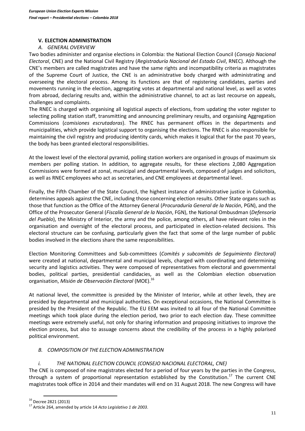# **V. ELECTION ADMINISTRATION**

# *A. GENERAL OVERVIEW*

Two bodies administer and organise elections in Colombia: the National Election Council (*Consejo Nacional Electoral*, CNE) and the National Civil Registry (*Registraduría Nacional del Estado Civil*, RNEC). Although the CNE's members are called magistrates and have the same rights and incompatibility criteria as magistrates of the Supreme Court of Justice, the CNE is an administrative body charged with administrating and overseeing the electoral process. Among its functions are that of registering candidates, parties and movements running in the election, aggregating votes at departmental and national level, as well as votes from abroad, declaring results and, within the administrative channel, to act as last recourse on appeals, challenges and complaints.

The RNEC is charged with organising all logistical aspects of elections, from updating the voter register to selecting polling station staff, transmitting and announcing preliminary results, and organising Aggregation Commissions (*comisiones escrutadoras*). The RNEC has permanent offices in the departments and municipalities, which provide logistical support to organising the elections. The RNEC is also responsible for maintaining the civil registry and producing identity cards, which makes it logical that for the past 70 years, the body has been granted electoral responsibilities.

At the lowest level of the electoral pyramid, polling station workers are organised in groups of maximum six members per polling station. In addition, to aggregate results, for these elections 2,080 Aggregation Commissions were formed at zonal, municipal and departmental levels, composed of judges and solicitors, as well as RNEC employees who act as secretaries, and CNE employees at departmental level.

Finally, the Fifth Chamber of the State Council, the highest instance of administrative justice in Colombia, determines appeals against the CNE, including those concerning election results. Other State organs such as those that function as the Office of the Attorney General (*Procuraduría General de la Nación*, PGN), and the Office of the Prosecutor General (*Fiscalía General de la Nación*, FGN), the National Ombusdman (*Defensoría del Pueblo*), the Ministry of Interior, the army and the police, among others, all have relevant roles in the organisation and oversight of the electoral process, and participated in election-related decisions. This electoral structure can be confusing, particularly given the fact that some of the large number of public bodies involved in the elections share the same responsibilities.

Election Monitoring Committees and Sub-committees (*Comités y subcomités de Seguimiento Electoral)* were created at national, departmental and municipal levels, charged with coordinating and determining security and logistics activities. They were composed of representatives from electoral and governmental bodies, political parties, presidential candidacies, as well as the Colombian election observation organisation, *Misión de Observación Electoral* (MOE).<sup>16</sup>

At national level, the committee is presided by the Minister of Interior, while at other levels, they are presided by departmental and municipal authorities. On exceptional occasions, the National Committee is presided by the President of the Republic. The EU EEM was invited to all four of the National Committee meetings which took place during the election period, two prior to each election day. These committee meetings were extremely useful, not only for sharing information and proposing initiatives to improve the election process, but also to assuage concerns about the credibility of the process in a highly polarised political environment.

# *B. COMPOSITION OF THE ELECTION ADMINISTRATION*

# *i. THE NATIONAL ELECTION COUNCIL (CONSEJO NACIONAL ELECTORAL, CNE)*

The CNE is composed of nine magistrates elected for a period of four years by the parties in the Congress, through a system of proportional representation established by the Constitution.<sup>17</sup> The current CNE magistrates took office in 2014 and their mandates will end on 31 August 2018. The new Congress will have

 $\overline{a}$ <sup>16</sup> Decree 2821 (2013)

<sup>17</sup> Article 264, amended by article 14 *Acto Legislativo 1 de 2003*.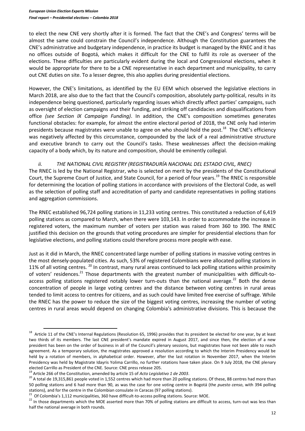to elect the new CNE very shortly after it is formed. The fact that the CNE's and Congress' terms will be almost the same could constrain the Council's independence. Although the Constitution guarantees the CNE's administrative and budgetary independence, in practice its budget is managed by the RNEC and it has no offices outside of Bogotá, which makes it difficult for the CNE to fulfil its role as overseer of the elections. These difficulties are particularly evident during the local and Congressional elections, when it would be appropriate for there to be a CNE representative in each department and municipality, to carry out CNE duties on site. To a lesser degree, this also applies during presidential elections.

However, the CNE's limitations, as identified by the EU EEM which observed the legislative elections in March 2018, are also due to the fact that the Council's composition, absolutely party-political, results in its independence being questioned, particularly regarding issues which directly affect parties' campaigns, such as oversight of election campaigns and their funding, and striking off candidacies and disqualifications from office *(see Section IX Campaign Funding)*. In addition, the CNE's composition sometimes generates functional obstacles: for example, for almost the entire electoral period of 2018, the CNE only had interim presidents because magistrates were unable to agree on who should hold the post.<sup>18</sup> The CNE's efficiency was negatively affected by this circumstance, compounded by the lack of a real administrative structure and executive branch to carry out the Council's tasks. These weaknesses affect the decision-making capacity of a body which, by its nature and composition, should be eminently collegial.

# *ii. THE NATIONAL CIVIL REGISTRY (REGISTRADURÍA NACIONAL DEL ESTADO CIVIL, RNEC)*

The RNEC is led by the National Registrar, who is selected on merit by the presidents of the Constitutional Court, the Supreme Court of Justice, and State Council, for a period of four years.<sup>19</sup> The RNEC is responsible for determining the location of polling stations in accordance with provisions of the Electoral Code, as well as the selection of polling staff and accreditation of party and candidate representatives in polling stations and aggregation commissions.

The RNEC established 96,724 polling stations in 11,233 voting centres. This constituted a reduction of 6,419 polling stations as compared to March, when there were 103,143. In order to accommodate the increase in registered voters, the maximum number of voters per station was raised from 360 to 390. The RNEC justified this decision on the grounds that voting procedures are simpler for presidential elections than for legislative elections, and polling stations could therefore process more people with ease.

Just as it did in March, the RNEC concentrated large number of polling stations in massive voting centres in the most densely-populated cities. As such, 53% of registered Colombians were allocated polling stations in 11% of all voting centres. <sup>20</sup> In contrast, many rural areas continued to lack polling stations within proximity of voters' residences.<sup>21</sup> Those departments with the greatest number of municipalities with difficult-toaccess polling stations registered notably lower turn-outs than the national average.<sup>22</sup> Both the dense concentration of people in large voting centres and the distance between voting centres in rural areas tended to limit access to centres for citizens, and as such could have limited free exercise of suffrage. While the RNEC has the power to reduce the size of the biggest voting centres, increasing the number of voting centres in rural areas would depend on changing Colombia's administrative divisions. This is because the

<sup>&</sup>lt;sup>18</sup> Article 11 of the CNE's Internal Regulations (Resolution 65, 1996) provides that its president be elected for one year, by at least two thirds of its members. The last CNE president's mandate expired in August 2017, and since then, the election of a new president has been on the order of business in all of the Council's plenary sessions, but magistrates have not been able to reach agreement. As a temporary solution, the magistrates approved a resolution according to which the Interim Presidency would be held by a rotation of members, in alphabetical order. However, after the last rotation in November 2017, when the Interim Presidency was held by Magistrate Idayris Yolima Carrillo, no further rotations have taken place. On 9 July 2018, the CNE plenary elected Carrillo as President of the CNE. Source: CNE press release 205.

<sup>19</sup> Article 266 of the Constitution, amended by article 15 of *Acto Legislativo 1 de 2003*.

<sup>&</sup>lt;sup>20</sup> A total de 19,315,861 people voted in 1,552 centres which had more than 20 polling stations. Of these, 88 centres had more than 50 polling stations and 6 had more than 90, as was the case for one voting centre in Bogotá (the *puesto censo*, with 394 polling stations), and for the centre in the Colombian consulate in Caracas (97 polling stations).

<sup>&</sup>lt;sup>21</sup> Of Colombia's 1,112 municipalities, 360 have difficult-to-access polling stations. Source: MOE.

<sup>&</sup>lt;sup>22</sup> In those departments which the MOE asserted more than 70% of polling stations are difficult to access, turn-out was less than half the national average in both rounds.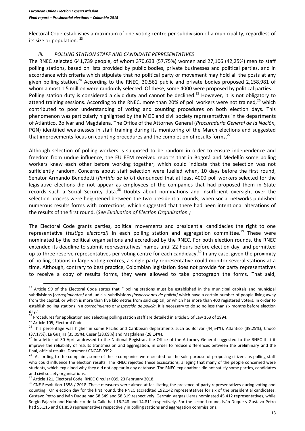Electoral Code establishes a maximum of one voting centre per subdivision of a municipality, regardless of its size or population.<sup>23</sup>

#### *iii. POLLING STATION STAFF AND CANDIDATE REPRESENTATIVES*

The RNEC selected 641,739 people, of whom 370,633 (57,75%) women and 27,106 (42,25%) men to staff polling stations, based on lists provided by public bodies, private businesses and political parties, and in accordance with criteria which stipulate that no political party or movement may hold all the posts at any given polling station.<sup>24</sup> According to the RNEC, 30,561 public and private bodies proposed 2,158,981 of whom almost 1.5 million were randomly selected. Of these, some 4000 were proposed by political parties. Polling station duty is considered a civic duty and cannot be declined.<sup>25</sup> However, it is not obligatory to attend training sessions. According to the RNEC, more than 20% of poll workers were not trained, $^{26}$  which contributed to poor understanding of voting and counting procedures on both election days. This phenomenon was particularly highlighted by the MOE and civil society representatives in the departments of Atlántico, Bolívar and Magdalena. The Office of the Attorney General (*Procuraduría General de la Nación,* PGN) identified weaknesses in staff training during its monitoring of the March elections and suggested that improvements focus on counting procedures and the completion of results forms.<sup>27</sup>

Although selection of polling workers is supposed to be random in order to ensure independence and freedom from undue influence, the EU EEM received reports that in Bogotá and Medellín some polling workers knew each other before working together, which could indicate that the selection was not sufficiently random. Concerns about staff selection were fuelled when, 10 days before the first round, Senator Armando Benedetti (*Partido de la U*) denounced that at least 4000 poll workers selected for the legislative elections did not appear as employees of the companies that had proposed them in State records such a Social Security data.<sup>28</sup> Doubts about nominations and insufficient oversight over the selection process were heightened between the two presidential rounds, when social networks published numerous results forms with corrections, which suggested that there had been intentional alterations of the results of the first round. (*See Evaluation of Election Organisation.)*

The Electoral Code grants parties, political movements and presidential candidacies the right to one representative (testigo electoral) in each polling station and aggregation committee.<sup>29</sup> These were nominated by the political organisations and accredited by the RNEC. For both election rounds, the RNEC extended its deadline to submit representatives' names until 22 hours before election day, and permitted up to three reserve representatives per voting centre for each candidacy.<sup>30</sup> In any case, given the proximity of polling stations in large voting centres, a single party representative could monitor several stations at a time. Although, contrary to best practice, Colombian legislation does not provide for party representatives to receive a copy of results forms, they were allowed to take photograph the forms. That said,

<sup>&</sup>lt;sup>23</sup> Article 99 of the Electoral Code states that " polling stations must be established in the municipal capitals and municipal subdivisions [*corregimientos]* and judicial subdivisions *[inspecciones de policía]* which have a certain number of people living away from the capital, or which is more than five kilometres from said capital, or which has more than 400 registered voters. In order to establish polling stations in a *corregimiento* or *inspección de policía*, it is necessary to do so no less than six months before election day."

<sup>&</sup>lt;sup>24</sup> Procedures for application and selecting polling station staff are detailed in article 5 of Law 163 of 1994.

<sup>&</sup>lt;sup>25</sup> Article 105, Electoral Code.

<sup>&</sup>lt;sup>26</sup> This percentage was higher in some Pacific and Caribbean departments such as Bolívar (44,54%), Atlántico (39,25%), Chocó (37,17%), La Guajira (35,05%), Cesar (28,69%) and Magdalena (28,14%).

<sup>27</sup> In a letter of 30 April addressed to the National Registrar, the Office of the Attorney General suggested to the RNEC that it improve the reliability of results transmission and aggregation, in order to reduce differences between the preliminary and the final, official results. Document CNCAE-0392.

<sup>28</sup> According to the complaint, some of these companies were created for the sole purpose of proposing citizens as polling staff who could influence the election results. The RNEC rejected these accusations, alleging that many of the people concerned were students, which explained why they did not appear in any database. The RNEC explanations did not satisfy some parties, candidates and civil society organisations.

<sup>&</sup>lt;sup>29</sup> Article 121, Electoral Code. RNEC Circular 039, 23 February 2018.

<sup>&</sup>lt;sup>30</sup> CNE Resolution 1358 / 2018. These measures were aimed at facilitating the presence of party representatives during voting and counting. On election day for the first round, the RNEC accredited 192,142 representatives for six of the presidential candidates: Gustavo Petro and Iván Duque had 58.549 and 58.319,respectively. Germán Vargas Lleras nominated 45.412 representatives, while Sergio Fajardo and Humberto de la Calle had 16.248 and 14.811 respectively. For the second round, Iván Duque y Gustavo Petro had 55.116 and 61.858 representatives respectively in polling stations and aggregation commissions.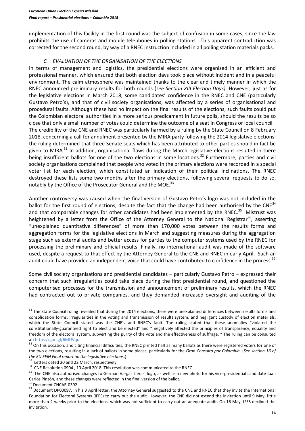implementation of this facility in the first round was the subject of confusion in some cases, since the law prohibits the use of cameras and mobile telephones in polling stations. This apparent contradiction was corrected for the second round, by way of a RNEC instruction included in all polling station materials packs.

# *C. EVALUATION OF THE ORGANISATION OF THE ELECTIONS*

In terms of management and logistics, the presidential elections were organised in an efficient and professional manner, which ensured that both election days took place without incident and in a peaceful environment. The calm atmosphere was maintained thanks to the clear and timely manner in which the RNEC announced preliminary results for both rounds (*see Section XIII Election Days).* However, just as for the legislative elections in March 2018, some candidates' confidence in the RNEC and CNE (particularly Gustavo Petro's), and that of civil society organisations, was affected by a series of organisational and procedural faults. Although these had no impact on the final results of the elections, such faults could put the Colombian electoral authorities in a more serious predicament in future polls, should the results be so close that only a small number of votes could determine the outcome of a seat in Congress or local council. The credibility of the CNE and RNEC was particularly harmed by a ruling by the State Council on 8 February 2018, concerning a call for annulment presented by the MIRA party following the 2014 legislative elections: the ruling determined that three Senate seats which has been attributed to other parties should in fact be given to MIRA. $31$  In addition, organisational flaws during the March legislative elections resulted in there being insufficient ballots for one of the two elections in some locations.<sup>32</sup> Furthermore, parties and civil society organisations complained that people who voted in the primary elections were recorded in a special voter list for each election, which constituted an indication of their political inclinations. The RNEC destroyed these lists some two months after the primary elections, following several requests to do so, notably by the Office of the Prosecutor General and the MOE.<sup>33</sup>

Another controversy was caused when the final version of Gustavo Petro's logo was not included in the ballot for the first round of elections, despite the fact that the change had been authorised by the CNE<sup>34</sup> and that comparable changes for other candidates had been implemented by the RNEC.<sup>35</sup> Mistrust was heightened by a letter from the Office of the Attorney General to the National Registrar<sup>36</sup>, asserting "unexplained quantitative differences" of more than 170,000 votes between the results forms and aggregation forms for the legislative elections in March and suggesting measures during the aggregation stage such as external audits and better access for parties to the computer systems used by the RNEC for processing the preliminary and official results. Finally, no international audit was made of the software used, despite a request to that effect by the Attorney General to the CNE and RNEC in early April. Such an audit could have provided an independent voice that could have contributed to confidence in the process.<sup>37</sup>

Some civil society organisations and presidential candidates – particularly Gustavo Petro – expressed their concern that such irregularities could take place during the first presidential round, and questioned the computerised processes for the transmission and announcement of preliminary results, which the RNEC had contracted out to private companies, and they demanded increased oversight and auditing of the

 $31$  The State Council ruling revealed that during the 2014 elections, there were unexplained differences between results forms and consolidation forms, irregularities in the voting and transmission of results system, and negligent custody of election materials, which the State Council stated was the CNE's and RNEC's fault. The ruling stated that these anomalies "violated the constitutionally-guaranteed right to elect and be elected" and " negatively affected the principles of transparency, equality and freedom of the electoral system, subverting the purity of the vote and the effectiveness of suffrage. " The ruling can be consulted at[: https://goo.gl/6MUVqu](https://goo.gl/6MUVqu)

<sup>&</sup>lt;sup>32</sup> On this occasion, and citing financial difficulties, the RNEC printed half as many ballots as there were registered voters for one of the two elections, resulting in a lack of ballots in some places, particularly for the *Gran Consulta por Colombia.* (*See section 16 of the EU EEM Final report on the legislative elections*.)

<sup>&</sup>lt;sup>33</sup> Letters dated 20 and 22 March, respectively.

<sup>&</sup>lt;sup>34</sup> CNE Resolution 0904, 10 April 2018. This resolution was communicated to the RNEC.

<sup>&</sup>lt;sup>35</sup> The CNE also authorised changes to German Vargas Lleras' logo, as well as a new photo for his vice-presidential candidate Juan Carlos Pinzón, and these changes were reflected in the final version of the ballot.

 $^5$  Document CNCAE-0392.

<sup>&</sup>lt;sup>37</sup> Document DP00097. In his 3 April letter, the Attorney General suggested to the CNE and RNEC that they invite the International Foundation for Electoral Systems (IFES) to carry out the audit. However, the CNE did not extend the invitation until 9 May, little more than 2 weeks prior to the elections, which was not sufficient to carry out an adequate audit. On 16 May, IFES declined the invitation.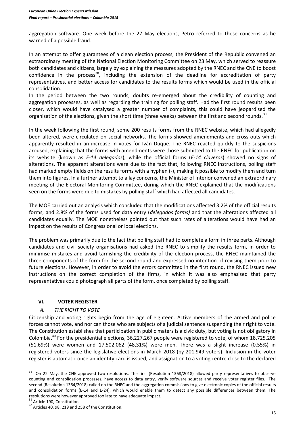aggregation software. One week before the 27 May elections, Petro referred to these concerns as he warned of a possible fraud.

In an attempt to offer guarantees of a clean election process, the President of the Republic convened an extraordinary meeting of the National Election Monitoring Committee on 23 May, which served to reassure both candidates and citizens, largely by explaining the measures adopted by the RNEC and the CNE to boost confidence in the process<sup>38</sup>, including the extension of the deadline for accreditation of party representatives, and better access for candidates to the results forms which would be used in the official consolidation.

In the period between the two rounds, doubts re-emerged about the credibility of counting and aggregation processes, as well as regarding the training for polling staff. Had the first round results been closer, which would have catalysed a greater number of complaints, this could have jeopardised the organisation of the elections, given the short time (three weeks) between the first and second rounds.<sup>39</sup>

In the week following the first round, some 200 results forms from the RNEC website, which had allegedly been altered, were circulated on social networks. The forms showed amendments and cross-outs which apparently resulted in an increase in votes for Iván Duque. The RNEC reacted quickly to the suspicions aroused, explaining that the forms with amendments were those submitted to the RNEC for publication on its website (known as *E-14 delegados*), while the official forms (*E-14 claveros*) showed no signs of alterations. The apparent alterations were due to the fact that, following RNEC instructions, polling staff had marked empty fields on the results forms with a hyphen (-), making it possible to modify them and turn them into figures. In a further attempt to allay concerns, the Minister of Interior convened an extraordinary meeting of the Electoral Monitoring Committee, during which the RNEC explained that the modifications seen on the forms were due to mistakes by polling staff which had affected all candidates.

The MOE carried out an analysis which concluded that the modifications affected 3.2% of the official results forms, and 2.8% of the forms used for data entry (*delegados forms)* and that the alterations affected all candidates equally. The MOE nonetheless pointed out that such rates of alterations would have had an impact on the results of Congressional or local elections.

The problem was primarily due to the fact that polling staff had to complete a form in three parts. Although candidates and civil society organisations had asked the RNEC to simplify the results form, in order to minimise mistakes and avoid tarnishing the credibility of the election process, the RNEC maintained the three components of the form for the second round and expressed no intention of revising them prior to future elections. However, in order to avoid the errors committed in the first round, the RNEC issued new instructions on the correct completion of the firms, in which it was also emphasised that party representatives could photograph all parts of the form, once completed by polling staff.

# **VI. VOTER REGISTER**

# *A. THE RIGHT TO VOTE*

Citizenship and voting rights begin from the age of eighteen. Active members of the armed and police forces cannot vote, and nor can those who are subjects of a judicial sentence suspending their right to vote. The Constitution establishes that participation in public maters is a civic duty, but voting is not obligatory in Colombia.<sup>40</sup> For the presidential elections, 36,227,267 people were registered to vote, of whom 18,725,205 (51,69%) were women and 17,502,062 (48,31%) were men. There was a slight increase (0.55%) in registered voters since the legislative elections in March 2018 (by 201,949 voters). Inclusion in the voter register is automatic once an identity card is issued, and assignation to a voting centre close to the declared

<sup>&</sup>lt;sup>38</sup> On 22 May, the CNE approved two resolutions. The first (Resolution 1368/2018) allowed party representatives to observe counting and consolidation processes, have access to data entry, verify software sources and receive voter register files. The second (Resolution 1364/2018) called on the RNEC and the aggregation commissions to give electronic copies of the official results and consolidation forms (E-14 and E-24), which would enable them to detect any possible differences between them. The resolutions were however approved too late to have adequate impact.

<sup>&</sup>lt;sup>39</sup> Article 190, Constitution.

<sup>&</sup>lt;sup>40</sup> Articles 40, 98, 219 and 258 of the Constitution.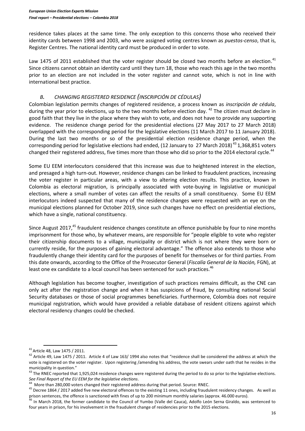residence takes places at the same time. The only exception to this concerns those who received their identity cards between 1998 and 2003, who were assigned voting centres known as *puestos-censo*, that is, Register Centres. The national identity card must be produced in order to vote.

Law 1475 of 2011 established that the voter register should be closed two months before an election.<sup>41</sup> Since citizens cannot obtain an identity card until they turn 18, those who reach this age in the two months prior to an election are not included in the voter register and cannot vote, which is not in line with international best practice.

# *B. CHANGING REGISTERED RESIDENCE (INSCRIPCIÓN DE CÉDULAS)*

Colombian legislation permits changes of registered residence, a process known as *inscripción de cédula*, during the year prior to elections, up to the two months before election day. <sup>42</sup> The citizen must declare in good faith that they live in the place where they wish to vote, and does not have to provide any supporting evidence. The residence change period for the presidential elections (27 May 2017 to 27 March 2018) overlapped with the corresponding period for the legislative elections (11 March 2017 to 11 January 2018). During the last two months or so of the presidential election residence change period, when the corresponding period for legislative elections had ended, (12 January to 27 March 2018)<sup>43</sup> 1,368,851 voters changed their registered address, five times more than those who did so prior to the 2014 electoral cycle.<sup>44</sup>

Some EU EEM interlocutors considered that this increase was due to heightened interest in the election, and presaged a high turn-out. However, residence changes can be linked to fraudulent practices, increasing the voter register in particular areas, with a view to altering election results. This practice, known in Colombia as electoral migration, is principally associated with vote-buying in legislative or municipal elections, where a small number of votes can affect the results of a small constituency. Some EU EEM interlocutors indeed suspected that many of the residence changes were requested with an eye on the municipal elections planned for October 2019, since such changes have no effect on presidential elections, which have a single, national constituency.

Since August 2017,<sup>45</sup> fraudulent residence changes constitute an offence punishable by four to nine months imprisonment for those who, by whatever means, are responsible for "people eligible to vote who register their citizenship documents to a village, municipality or district which is not where they were born or currently reside, for the purposes of gaining electoral advantage." The offence also extends to those who fraudulently change their identity card for the purposes of benefit for themselves or for third parties. From this date onwards, according to the Office of the Prosecutor General (*Fiscalía General de la Nación,* FGN), at least one ex candidate to a local council has been sentenced for such practices.<sup>46</sup>

Although legislation has become tougher, investigation of such practices remains difficult, as the CNE can only act after the registration change and when it has suspicions of fraud, by consulting national Social Security databases or those of social programmes beneficiaries. Furthermore, Colombia does not require municipal registration, which would have provided a reliable database of resident citizens against which electoral residency changes could be checked.

 $41$  Article 48, Law 1475 / 2011.

<sup>&</sup>lt;sup>42</sup> Article 49, Law 1475 / 2011. Article 4 of Law 163/ 1994 also notes that "residence shall be considered the address at which the vote is registered on the voter register. Upon registering /amending his address, the vote swears under oath that he resides in the municipality in question."

<sup>&</sup>lt;sup>43</sup> The RNEC reported that 1,925,024 residence changes were registered during the period to do so prior to the legislative elections. *See Final Report of the EU EEM for the legislative elections*. 44

More than 280,000 voters changed their registered address during that period. Source: RNEC.

<sup>&</sup>lt;sup>45</sup> Decree 1864 / 2017 added five new electoral offences to the existing 11 ones, including fraudulent residency changes. As well as prison sentences, the offence is sanctioned with fines of up to 200 minimum monthly salaries (approx. 46.000 euros).

<sup>&</sup>lt;sup>46</sup> In March 2018, the former candidate to the Council of Yumbo (Valle del Cauca), Adolfo León Serna Giraldo, was sentenced to four years in prison, for his involvement in the fraudulent change of residencies prior to the 2015 elections.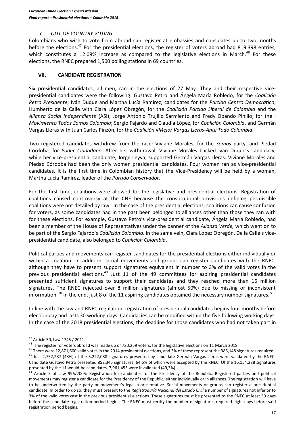#### *C. OUT-OF-COUNTRY VOTING*

Colombians who wish to vote from abroad can register at embassies and consulates up to two months before the elections.<sup>47</sup> For the presidential elections, the register of voters abroad had 819.398 entries, which constitutes a 12.09% increase as compared to the legislative elections in March.<sup>48</sup> For these elections, the RNEC prepared 1,500 polling stations in 69 countries.

#### **VII. CANDIDATE REGISTRATION**

Six presidential candidates, all men, ran in the elections of 27 May. They and their respective vicepresidential candidates were the following: Gustavo Petro and Ángela María Robledo, for the *Coalición Petro Presidente*; Iván Duque and Martha Lucía Ramírez, candidates for the *Partido Centro Democrático*; Humberto de la Calle with Clara López Obregón, for the *Coalición Partido Liberal de Colombia* and the *Alianza Social Independiente* (ASI); Jorge Antonio Trujillo Sarmiento and Fredy Obando Pinillo, for the l *Movimiento Todos Somos Colombia*; Sergio Fajardo and Claudia López, for *Coalición Colombia*, and Germán Vargas Lleras with Juan Carlos Pinzón, for the *Coalición #Mejor Vargas Lleras-Ante Todo Colombia*.

Two registered candidates withdrew from the race: Viviane Morales, for the *Somos* party, and Piedad Córdoba, for *Poder Ciudadano*. After her withdrawal, Viviane Morales backed Iván Duque's candidacy, while her vice-presidential candidate, Jorge Leyva, supported Germán Vargas Lleras. Viviane Morales and Piedad Córdoba had been the only women presidential candidates. Four women ran as vice-presidential candidates. It is the first time in Colombian history that the Vice-Presidency will be held by a woman, Martha Lucía Ramírez, leader of the *Partido Conservador*.

For the first time, coalitions were allowed for the legislative and presidential elections. Registration of coalitions caused controversy at the CNE because the constitutional provisions defining permissible coalitions were not detailed by law. In the case of the presidential elections, coalitions can cause confusion for voters, as some candidates had in the past been belonged to alliances other than those they ran with for these elections. For example, Gustavo Petro's vice-presidential candidate, Ángela María Robledo, had been a member of the House of Representatives under the banner of the *Alianza Verde,* which went on to be part of the Sergio Fajardo's *Coalición Colombia*. In the same vein, Clara López Obregón, De la Calle's vicepresidential candidate, also belonged to *Coalición Colombia*.

Political parties and movements can register candidates for the presidential elections either individually or within a coalition. In addition, social movements and groups can register candidates with the RNEC, although they have to present support signatures equivalent in number to 3% of the valid votes in the previous presidential elections.<sup>49</sup> Just 11 of the 49 committees for aspiring presidential candidates presented sufficient signatures to support their candidates and they reached more than 16 million signatures. The RNEC rejected over 8 million signatures (almost 50%) due to missing or inconsistent information.<sup>50</sup> In the end, just 8 of the 11 aspiring candidates obtained the necessary number signatures.<sup>51</sup>

In line with the law and RNEC regulation, registration of presidential candidates begins four months before election day and lasts 30 working days. Candidacies can be modified within the five following working days. In the case of the 2018 presidential elections, the deadline for those candidates who had not taken part in

<sup>47</sup> Article 50, Law 1745 / 2011.

 $^{48}$  The register for voters abroad was made up of 720,259 voters, for the legislative elections on 11 March 2018.

<sup>49</sup> There were 12,871,600 valid votes in the 2014 presidential elections, and 3% of these represent the 386,148 signatures required. <sup>50</sup> Just 2,752,287 (48%) of the 5,222,088 signatures presented by candidate Germán Vargas Lleras were validated by the RNEC. Candidate Gustavo Petro presented 852,345 signatures, 64,6% of which were accepted by the RNEC. Of the 16,154,288 signatures presented by the 11 would-be candidates, 7,961,453 were invalidated (49,3%).

<sup>51</sup> Article 7 of Law 996/2005: Registration for candidates for the Presidency of the Republic. Registered parties and political movements may register a candidate for the Presidency of the Republic, either individually or in alliances. The registration will have to be underwritten by the party or movement's legal representative. Social movements or groups can register a presidential candidate. In order to do so, they must present to the *Registraduría Nacional del Estado Civil* a number of signatures not inferior to 3% of the valid votes cast in the previous presidential elections. These signatures must be presented to the RNEC at least 30 days before the candidate registration period begins. The RNEC must certify the number of signatures required eight days before said registration period begins.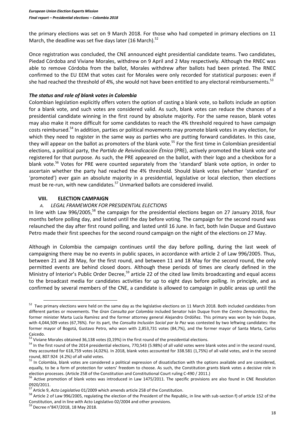the primary elections was set on 9 March 2018. For those who had competed in primary elections on 11 March, the deadline was set five days later (16 March). $52$ 

Once registration was concluded, the CNE announced eight presidential candidate teams. Two candidates, Piedad Córdoba and Viviane Morales, withdrew on 9 April and 2 May respectively. Although the RNEC was able to remove Córdoba from the ballot, Morales withdrew after ballots had been printed. The RNEC confirmed to the EU EEM that votes cast for Morales were only recorded for statistical purposes: even if she had reached the threshold of 4%, she would not have been entitled to any electoral reimbursements.  $53$ 

#### *The status and role of blank votes in Colombia*

Colombian legislation explicitly offers voters the option of casting a blank vote, so ballots include an option for a blank vote, and such votes are considered valid. As such, blank votes can reduce the chances of a presidential candidate winning in the first round by absolute majority. For the same reason, blank votes may also make it more difficult for some candidates to reach the 4% threshold required to have campaign costs reimbursed.<sup>54</sup> In addition, parties or political movements may promote blank votes in any election, for which they need to register in the same way as parties who are putting forward candidates. In this case, they will appear on the ballot as promoters of the blank vote.<sup>55</sup> For the first time in Colombian presidential elections, a political party, the *Partido de Reivindicación Étnica* (PRE), actively promoted the blank vote and registered for that purpose. As such, the PRE appeared on the ballot, with their logo and a checkbox for a blank vote.<sup>56</sup> Votes for PRE were counted separately from the 'standard' blank vote option, in order to ascertain whether the party had reached the 4% threshold. Should blank votes (whether 'standard' or 'promoted') ever gain an absolute majority in a presidential, legislative or local election, then elections must be re-run, with new candidates.<sup>57</sup> Unmarked ballots are considered invalid.

#### **VIII. ELECTION CAMPAIGN**

#### *A. LEGAL FRAMEWORK FOR PRESIDENTIAL ELECTIONS*

In line with Law 996/2005,<sup>58</sup> the campaign for the presidential elections began on 27 January 2018, four months before polling day, and lasted until the day before voting. The campaign for the second round was relaunched the day after first round polling, and lasted until 16 June. In fact, both Iván Duque and Gustavo Petro made their first speeches for the second round campaign on the night of the elections on 27 May.

Although in Colombia the campaign continues until the day before polling, during the last week of campaigning there may be no events in public spaces, in accordance with article 2 of Law 996/2005. Thus, between 21 and 28 May, for the first round, and between 11 and 18 May for the second round, the only permitted events are behind closed doors. Although these periods of times are clearly defined in the Ministry of Interior's Public Order Decree.<sup>59</sup> article 22 of the cited law limits broadcasting and equal access to the broadcast media for candidates activities for up to eight days before polling. In principle, and as confirmed by several members of the CNE, a candidate is allowed to campaign in public areas up until the

<sup>&</sup>lt;sup>52</sup> Two primary elections were held on the same day as the legislative elections on 11 March 2018. Both included candidates from different parties or movements. The *Gran Consulta por Colombia* included Senator Iván Duque from the *Centro Democrático*, the former minister Marta Lucía Ramírez and the former attorney general Alejandro Ordóñez. This primary was won by Iván Duque, with 4,044,509 votes (67,76%). For its part, the *Consulta Inclusión Social por la Paz* was contested by two leftwing candidates: the former mayor of Bogotá, Gustavo Petro, who won with 2,853,731 votes (84,7%), and the former mayor of Santa Marta, Carlos Caicedo.

<sup>&</sup>lt;sup>53</sup> Viviane Morales obtained 36,138 votes (0,19%) in the first round of the presidential elections.

<sup>&</sup>lt;sup>54</sup> In the first round of the 2014 presidential elections, 770,543 (5.98%) of all valid votes were blank votes and in the second round, they accounted for 618,759 votes (4,02%). In 2018, blank votes accounted for 338.581 (1,75%) of all valid votes, and in the second round, 807.924 (4.2%) of all valid votes.

<sup>&</sup>lt;sup>55</sup> In Colombia, blank votes are considered a political expression of dissatisfaction with the options available and are considered, equally, to be a form of protection for voters' freedom to choose. As such, the Constitution grants blank votes a decisive role in election processes. (Article 258 of the Constitution and Constitutional Court ruling C-490 / 2011.)

<sup>&</sup>lt;sup>56</sup> Active promotion of blank votes was introduced in Law 1475/2011. The specific provisions are also found in CNE Resolution 0920/2011.

<sup>57</sup> Article 9, *Acto Legislativo* 01/2009 which amends article 258 of the Constitution.

<sup>&</sup>lt;sup>58</sup> Article 2 of Law 996/2005, regulating the election of the President of the Republic, in line with sub-section f) of article 152 of the Constitution, and in line with Acto Legislativo 02/2004 and other provisions.

<sup>59</sup> Decree n°847/2018, 18 May 2018.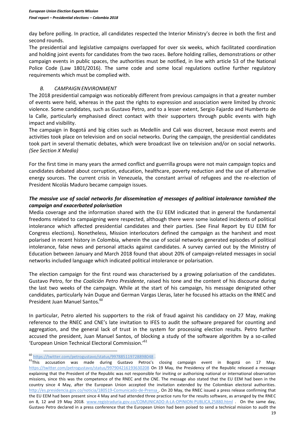day before polling. In practice, all candidates respected the Interior Ministry's decree in both the first and second rounds.

The presidential and legislative campaigns overlapped for over six weeks, which facilitated coordination and holding joint events for candidates from the two races. Before holding rallies, demonstrations or other campaign events in public spaces, the authorities must be notified, in line with article 53 of the National Police Code (Law 1801/2016). The same code and some local regulations outline further regulatory requirements which must be complied with.

# *B. CAMPAIGN ENVIRONMENT*

The 2018 presidential campaign was noticeably different from previous campaigns in that a greater number of events were held, whereas in the past the rights to expression and association were limited by chronic violence. Some candidates, such as Gustavo Petro, and to a lesser extent, Sergio Fajardo and Humberto de la Calle, particularly emphasised direct contact with their supporters through public events with high impact and visibility.

The campaign in Bogotá and big cities such as Medellín and Cali was discreet, because most events and activities took place on television and on social networks. During the campaign, the presidential candidates took part in several thematic debates, which were broadcast live on television and/or on social networks. *(See Section X Media)*

For the first time in many years the armed conflict and guerrilla groups were not main campaign topics and candidates debated about corruption, education, healthcare, poverty reduction and the use of alternative energy sources. The current crisis in Venezuela, the constant arrival of refugees and the re-election of President Nicolás Maduro became campaign issues.

# *The massive use of social networks for dissemination of messages of political intolerance tarnished the campaign and exacerbated polarisation*

Media coverage and the information shared with the EU EEM indicated that in general the fundamental freedoms related to campaigning were respected, although there were some isolated incidents of political intolerance which affected presidential candidates and their parties. (See Final Report by EU EEM for Congress elections). Nonetheless, Mission interlocutors defined the campaign as the harshest and most polarised in recent history in Colombia, wherein the use of social networks generated episodes of political intolerance, false news and personal attacks against candidates. A survey carried out by the Ministry of Education between January and March 2018 found that about 20% of campaign-related messages in social networks included language which indicated political intolerance or polarisation.

The election campaign for the first round was characterised by a growing polarisation of the candidates. Gustavo Petro, for the *Coalición Petro Presidente*, raised his tone and the content of his discourse during the last two weeks of the campaign. While at the start of his campaign, his message denigrated other candidates, particularly Iván Duque and German Vargas Lleras, later he focused his attacks on the RNEC and President Juan Manuel Santos.<sup>60</sup>

In particular, Petro alerted his supporters to the risk of fraud against his candidacy on 27 May, making reference to the RNEC and CNE's late invitation to IFES to audit the software prepared for counting and aggregation, and the general lack of trust in the system for processing election results. Petro further accused the president, Juan Manuel Santos, of blocking a study of the software algorithm by a so-called 'European Union Technical Electoral Commission.'<sup>61</sup>

 $\overline{a}$ <sup>60</sup> <https://twitter.com/petrogustavo/status/997885119728898048> .

<sup>&</sup>lt;sup>61</sup>This accusation was made during Gustavo Petros's closing campaign event in Bogotá on 17 May. <https://twitter.com/petrogustavo/status/997904216193630208> On 19 May, the Presidency of the Republic released a message explaining that the President of the Republic was not responsible for inviting or authorising national or international observation missions, since this was the competence of the RNEC and the CNE. The message also stated that the EU EEM had been in the country since 4 May, after the European Union accepted the invitation extended by the Colombian electoral authorities. <http://es.presidencia.gov.co/noticia/180519-Comunicado-de-Prensa> . On 20 May, the RNEC issued a press release confirming that the EU EEM had been present since 4 May and had attended three practice runs for the results software, as arranged by the RNEC on 8, 12 and 19 May 2018. [www.registraduria.gov.co/COMUNICADO-A-LA-OPINION-PUBLICA,25880.html](http://www.registraduria.gov.co/COMUNICADO-A-LA-OPINION-PUBLICA,25880.html) . On the same day, Gustavo Petro declared in a press conference that the European Union had been poised to send a technical mission to audit the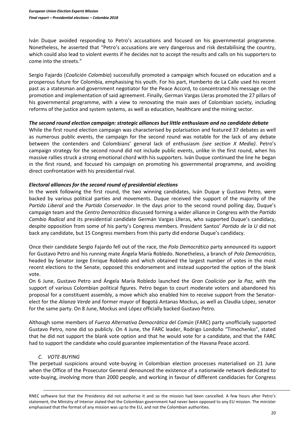Iván Duque avoided responding to Petro's accusations and focused on his governmental programme. Nonetheless, he asserted that "Petro's accusations are very dangerous and risk destabilising the country, which could also lead to violent events if he decides not to accept the results and calls on his supporters to come into the streets."

Sergio Fajardo (*Coalición Colombia*) successfully promoted a campaign which focused on education and a prosperous future for Colombia, emphasising his youth. For his part, Humberto de La Calle used his recent past as a statesman and government negotiator for the Peace Accord, to concentrated his message on the promotion and implementation of said agreement. Finally, German Vargas Lleras promoted the 27 pillars of his governmental programme, with a view to renovating the main axes of Colombian society, including reforms of the justice and system systems, as well as education, healthcare and the mining sector.

#### *The second round election campaign: strategic alliances but little enthusiasm and no candidate debate*

While the first round election campaign was characterised by polarisation and featured 37 debates as well as numerous public events, the campaign for the second round was notable for the lack of any debate between the contenders and Colombians' general lack of enthusiasm *(see section X Media)*. Petro's campaign strategy for the second round did not include public events, unlike in the first round, when his massive rallies struck a strong emotional chord with his supporters. Iván Duque continued the line he began in the first round, and focused his campaign on promoting his governmental programme, and avoiding direct confrontation with his presidential rival.

# *Electoral alliances for the second round of presidential elections*

In the week following the first round, the two winning candidates, Iván Duque y Gustavo Petro, were backed by various political parties and movements. Duque received the support of the majority of the *Partido Liberal* and the *Partido Conservador*. In the days prior to the second round polling day, Duque's campaign team and the *Centro Democrático* discussed forming a wider alliance in Congress with the *Partido Cambio Radical* and its presidential candidate Germán Vargas Llleras, who supported Duque's candidacy, despite opposition from some of his party's Congress members. President Santos' *Partido de la U* did not back any candidate, but 15 Congress members from this party did endorse Duque's candidacy.

Once their candidate Sergio Fajardo fell out of the race, the *Polo Democrático* party announced its support for Gustavo Petro and his running mate Ángela María Robledo. Nonetheless, a branch of *Polo Democrático*, headed by Senator Jorge Enrique Robledo and which obtained the largest number of votes in the most recent elections to the Senate, opposed this endorsement and instead supported the option of the blank vote.

On 6 June, Gustavo Petro and Ángela María Robledo launched the *Gran Coalición por la Paz,* with the support of various Colombian political figures. Petro began to court moderate voters and abandoned his proposal for a constituent assembly, a move which also enabled him to receive support from the Senatorelect for the *Alianza Verde* and former mayor of Bogotá Antanas Mockus, as well as Claudia López, senator for the same party. On 8 June, Mockus and López officially backed Gustavo Petro.

Although some members of *Fuerza Alternativa Democrática del Común* (FARC) party unofficially supported Gustavo Petro, none did so publicly. On 4 June, the FARC leader, Rodrigo Londoño "Timochenko", stated that he did not support the blank vote option and that he would vote for a candidate, and that the FARC had to support the candidate who could guarantee implementation of the Havana Peace accord.

# *C. VOTE-BUYING*

**.** 

The perpetual suspicions around vote-buying in Colombian election processes materialised on 21 June when the Office of the Prosecutor General denounced the existence of a nationwide network dedicated to vote-buying, involving more than 2000 people, and working in favour of different candidacies for Congress

RNEC software but that the Presidency did not authorise it and so the mission had been cancelled. A few hours after Petro's statement, the Ministry of Interior stated that the Colombian government had never been opposed to any EU mission. The minister emphasised that the format of any mission was up to the EU, and not the Colombian authorities.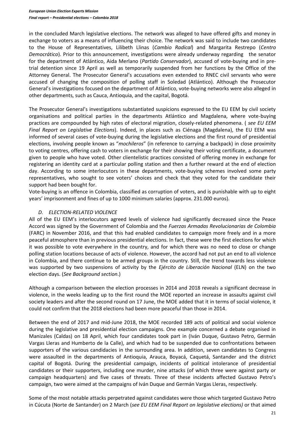in the concluded March legislative elections. The network was alleged to have offered gifts and money in exchange to voters as a means of influencing their choice. The network was said to include two candidates to the House of Representatives, Lilibeth Llinas (*Cambio Radical*) and Margarita Restrepo (*Centro Democrático*). Prior to this announcement, investigations were already underway regarding the senator for the department of Atlántico, Aida Merlano (*Partido Conservador*), accused of vote-buying and in pretrial detention since 19 April as well as temporarily suspended from her functions by the Office of the Attorney General. The Prosecutor General's accusations even extended to RNEC civil servants who were accused of changing the composition of polling staff in Soledad (Atlántico). Although the Prosecutor General's investigations focused on the department of Atlántico, vote-buying networks were also alleged in other departments, such as Cauca, Antioquia, and the capital, Bogotá.

The Prosecutor General's investigations substantiated suspicions expressed to the EU EEM by civil society organisations and political parties in the departments Atlántico and Magdalena, where vote-buying practices are compounded by high rates of electoral migration, closely-related phenomena. ( *see EU EEM Final Report on Legislative Elections*). Indeed, in places such as Ciénaga (Magdalena), the EU EEM was informed of several cases of vote-buying during the legislative elections and the first round of presidential elections, involving people known as "*mochileros*" (in reference to carrying a backpack) in close proximity to voting centres, offering cash to voters in exchange for their showing their voting certificate, a document given to people who have voted. Other clientelistic practices consisted of offering money in exchange for registering an identity card at a particular polling station and then a further reward at the end of election day. According to some interlocutors in these departments, vote-buying schemes involved some party representatives, who sought to see voters' choices and check that they voted for the candidate their support had been bought for.

Vote-buying is an offence in Colombia, classified as corruption of voters, and is punishable with up to eight years' imprisonment and fines of up to 1000 minimum salaries (approx. 231.000 euros).

# *D. ELECTION-RELATED VIOLENCE*

All of the EU EEM's interlocutors agreed levels of violence had significantly decreased since the Peace Accord was signed by the Government of Colombia and the *Fuerzas Armadas Revolucionarias de Colombia* (FARC) in November 2016, and that this had enabled candidates to campaign more freely and in a more peaceful atmosphere than in previous presidential elections. In fact, these were the first elections for which it was possible to vote everywhere in the country, and for which there was no need to close or change polling station locations because of acts of violence. However, the accord had not put an end to all violence in Colombia, and there continue to be armed groups in the country. Still, the trend towards less violence was supported by two suspensions of activity by the *Ejército de Liberación Nacional* (ELN) on the two election days. (*See Background section*.)

Although a comparison between the election processes in 2014 and 2018 reveals a significant decrease in violence, in the weeks leading up to the first round the MOE reported an increase in assaults against civil society leaders and after the second round on 17 June, the MOE added that it in terms of social violence, it could not confirm that the 2018 elections had been more peaceful than those in 2014.

Between the end of 2017 and mid-June 2018, the MOE recorded 189 acts of political and social violence during the legislative and presidential election campaigns. One example concerned a debate organised in Manizales (Caldas) on 18 April, which four candidates took part in (Iván Duque, Gustavo Petro, Germán Vargas Lleras and Humberto de la Calle), and which had to be suspended due to confrontations between supporters of the various candidacies in the surrounding area. In addition, seven candidates to Congress were assaulted in the departments of Antioquia, Arauca, Boyacá, Caquetá, Santander and the district capital of Bogotá. During the presidential campaign, incidents of political intolerance of presidential candidates or their supporters, including one murder, nine attacks (of which three were against party or campaign headquarters) and five cases of threats. Three of these incidents affected Gustavo Petro's campaign, two were aimed at the campaigns of Iván Duque and Germán Vargas Lleras, respectively.

Some of the most notable attacks perpetrated against candidates were those which targeted Gustavo Petro in Cúcuta (Norte de Santander) on 2 March (*see EU EEM Final Report on legislative elections)* or that aimed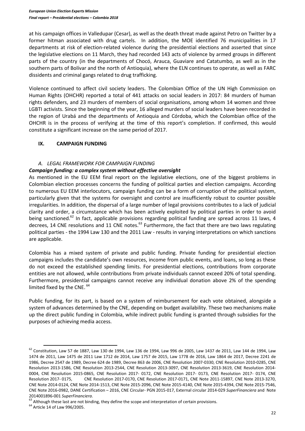at his campaign offices in Valledupar (Cesar), as well as the death threat made against Petro on Twitter by a former hitman associated with drug cartels. In addition, the MOE identified 76 municipalities in 17 departments at risk of election-related violence during the presidential elections and asserted that since the legislative elections on 11 March, they had recorded 143 acts of violence by armed groups in different parts of the country (in the departments of Chocó, Arauca, Guaviare and Catatumbo, as well as in the southern parts of Bolívar and the north of Antioquia), where the ELN continues to operate, as well as FARC dissidents and criminal gangs related to drug trafficking.

Violence continued to affect civil society leaders. The Colombian Office of the UN High Commission on Human Rights (OHCHR) reported a total of 441 attacks on social leaders in 2017: 84 murders of human rights defenders, and 23 murders of members of social organisations, among whom 14 women and three LGBTI activists. Since the beginning of the year, 16 alleged murders of social leaders have been recorded in the region of Urabá and the departments of Antioquia and Córdoba, which the Colombian office of the OHCHR is in the process of verifying at the time of this report's completion. If confirmed, this would constitute a significant increase on the same period of 2017.

# **IX. CAMPAIGN FUNDING**

# *A. LEGAL FRAMEWORK FOR CAMPAIGN FUNDING*

# *Campaign funding: a complex system without effective oversight*

As mentioned in the EU EEM final report on the legislative elections, one of the biggest problems in Colombian election processes concerns the funding of political parties and election campaigns. According to numerous EU EEM interlocutors, campaign funding can be a form of corruption of the political system, particularly given that the systems for oversight and control are insufficiently robust to counter possible irregularities. In addition, the dispersal of a large number of legal provisions contributes to a lack of judicial clarity and order, a circumstance which has been actively exploited by political parties in order to avoid being sanctioned.<sup>62</sup> In fact, applicable provisions regarding political funding are spread across 11 laws, 4 decrees, 14 CNE resolutions and 11 CNE notes. $^{63}$  Furthermore, the fact that there are two laws regulating political parties - the 1994 Law 130 and the 2011 Law - results in varying interpretations on which sanctions are applicable.

Colombia has a mixed system of private and public funding. Private funding for presidential election campaigns includes the candidate's own resources, income from public events, and loans, so long as these do not exceed the established spending limits. For presidential elections, contributions from corporate entities are not allowed, while contributions from private individuals cannot exceed 20% of total spending. Furthermore, presidential campaigns cannot receive any individual donation above 2% of the spending limited fixed by the CNE. <sup>64</sup>

Public funding, for its part, is based on a system of reimbursement for each vote obtained, alongside a system of advances determined by the CNE, depending on budget availability. These two mechanisms make up the direct public funding in Colombia, while indirect public funding is granted through subsidies for the purposes of achieving media access.

<sup>63</sup> Although these last are not binding, they define the scope and interpretation of certain provisions.

 $62$  Constitution, [Law 57 de 1887,](http://www.alcaldiabogota.gov.co/sisjur/normas/Norma1.jsp?i=39535) [Law 130 de 1994,](http://www.alcaldiabogota.gov.co/sisjur/normas/Norma1.jsp?i=4814) [Law 136 de 1994,](http://www.alcaldiabogota.gov.co/sisjur/normas/Norma1.jsp?i=329) [Law 996](http://www.alcaldiabogota.gov.co/sisjur/normas/Norma1.jsp?i=18232) de 2005, [Law 1437 de 2011,](http://www.secretariasenado.gov.co/senado/basedoc/ley_1437_2011.html) [Law 144 de 1994,](http://www.secretariasenado.gov.co/senado/basedoc/ley_0144_1994.html) Law [1474 de 2011,](http://www.secretariasenado.gov.co/senado/basedoc/ley_1474_2011.html) [Law 1475 de 2011 Law 1712 de 2014,](http://www.secretariasenado.gov.co/senado/basedoc/ley_1475_2011.html) [Law 1757 de 2015,](http://www.alcaldiabogota.gov.co/sisjur/normas/Norma1.jsp?i=62230) [Law 1778 de 2016,](http://es.presidencia.gov.co/normativa/normativa/LEY%201778%20DEL%2002%20DE%20FEBRERO%20DE%202016.pdf) Law 1864 de 2017, [Decree 2241 de](http://www.alcaldiabogota.gov.co/sisjur/normas/Norma1.jsp?i=9029)  [1986,](http://www.alcaldiabogota.gov.co/sisjur/normas/Norma1.jsp?i=9029) [Decree 2547 de 1989,](https://www.redjurista.com/Documents/decreto_2547_de_1989_ministerio_de_gobierno.aspx#/) [Decree 624 de 1989,](http://www.alcaldiabogota.gov.co/sisjur/normas/Norma1.jsp?i=6533) [Decree 863 de 2006,](http://www.alcaldiabogota.gov.co/sisjur/normas/Norma1.jsp?i=19828) CNE Resolution 2007-0330, CNE Resolution 2010-0285, CNE Resolution 2013-1586, CNE Resolution 2013-2544, CNE Resolution 2013-3097, CNE Resolution 2013-3619, CNE Resolution 2014- 0004, CNE Resolution 2015-0865, CNE Resolution 2017- 0172, CNE Resolution 2017- 0173, CNE Resolution 2017- 0174, CNE Resolution 2017- 0175, CNE Resolution 2017-0170, CNE Resolution 2017-0171, CNE Note 2011-15897, CNE Note 2013-3270, CNE Note 2014-0124, CNE Note 2014-1513, CNE Note 2015-2096, CNE Note 2015-4140, CNE Note 2015-4394, CNE Note 2015-7546, CNE Note 2016-0982, DANE Certification – 2016, CNE Circular- PGN 2015-017, External circular 2014-029 *SuperFinanciera* and Note 2014001896-001 *SuperFinanciera*.

<sup>&</sup>lt;sup>64</sup> Article 14 of Law 996/2005.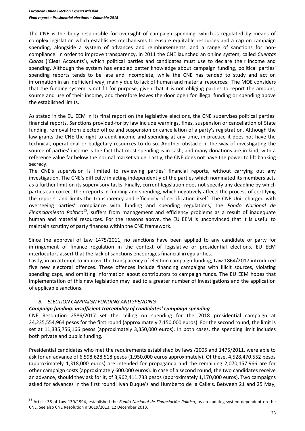The CNE is the body responsible for oversight of campaign spending, which is regulated by means of complex legislation which establishes mechanisms to ensure equitable resources and a cap on campaign spending, alongside a system of advances and reimbursements, and a range of sanctions for noncompliance. In order to improve transparency, in 2011 the CNE launched an online system, called *Cuentas Claras* ('Clear Accounts'), which political parties and candidates must use to declare their income and spending. Although the system has enabled better knowledge about campaign funding, political parties' spending reports tends to be late and incomplete, while the CNE has tended to study and act on information in an inefficient way, mainly due to lack of human and material resources. The MOE considers that the funding system is not fit for purpose, given that it is not obliging parties to report the amount, source and use of their income, and therefore leaves the door open for illegal funding or spending above the established limits.

As stated in the EU EEM in its final report on the legislative elections, the CNE supervises political parties' financial reports. Sanctions provided-for by law include warnings, fines, suspension or cancellation of State funding, removal from elected office and suspension or cancellation of a party's registration. Although the law grants the CNE the right to audit income and spending at any time, in practice it does not have the technical, operational or budgetary resources to do so. Another obstacle in the way of investigating the source of parties' income is the fact that most spending is in cash, and many donations are in kind, with a reference value far below the normal market value. Lastly, the CNE does not have the power to lift banking secrecy.

The CNE's supervision is limited to reviewing parties' financial reports, without carrying out any investigation. The CNE's difficulty in acting independently of the parties which nominated its members acts as a further limit on its supervisory tasks. Finally, current legislation does not specify any deadline by which parties can correct their reports in funding and spending, which negatively affects the process of certifying the reports, and limits the transparency and efficiency of certification itself. The CNE Unit charged with overseeing parties' compliance with funding and spending regulations, the *Fondo Nacional de*  Financiamiento Político<sup>65</sup>, suffers from management and efficiency problems as a result of inadequate human and material resources. For the reasons above, the EU EEM is unconvinced that it is useful to maintain scrutiny of party finances within the CNE framework.

Since the approval of Law 1475/2011, no sanctions have been applied to any candidate or party for infringement of finance regulation in the context of legislative or presidential elections. EU EEM interlocutors assert that the lack of sanctions encourages financial irregularities.

Lastly, in an attempt to improve the transparency of election campaign funding, Law 1864/2017 introduced five new electoral offences. These offences include financing campaigns with illicit sources, violating spending caps, and omitting information about contributors to campaign funds. The EU EEM hopes that implementation of this new legislation may lead to a greater number of investigations and the application of applicable sanctions.

# *B. ELECTION CAMPAIGN FUNDING AND SPENDING*

 $\overline{a}$ 

# *Campaign funding: insufficient traceability of candidates' campaign spending*

CNE Resolution 2586/2017 set the ceiling on spending for the 2018 presidential campaign at 24,235,554,964 pesos for the first round (approximately 7,150,000 euros). For the second round, the limit is set at 11,335,756,166 pesos (approximately 3,350,000 euros). In both cases, the spending limit includes both private and public funding.

Presidential candidates who met the requirements established by laws /2005 and 1475/2011, were able to ask for an advance of 6,598,628,518 pesos (1,950,000 euros approximately). Of these, 4,528,470.552 pesos (approximately 1,318,000 euros) are intended for propaganda and the remaining 2,070,157.966 are for other campaign costs (approximately 600.000 euros). In case of a second round, the two candidates receive an advance, should they ask for it, of 3,962,411.733 pesos (approximately 1,170,000 euros). Two campaigns asked for advances in the first round: Iván Duque's and Humberto de la Calle's. Between 21 and 25 May,

<sup>65</sup> Article 38 of Law 130/1994, established the *Fondo Nacional de Financiación Política*, as an auditing system dependent on the CNE. See also CNE Resolution n°3619/2013, 12 December 2013.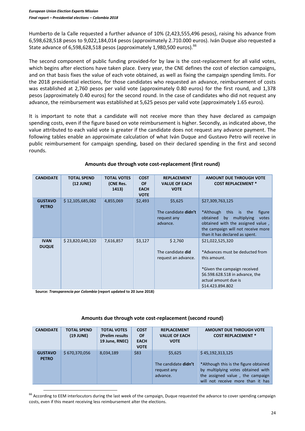Humberto de la Calle requested a further advance of 10% (2,423,555,496 pesos), raising his advance from 6,598,628,518 pesos to 9,022,184,014 pesos (approximately 2.710.000 euros). Iván Duque also requested a State advance of 6,598,628,518 pesos (approximately 1,980,500 euros).<sup>66</sup>

The second component of public funding provided-for by law is the cost-replacement for all valid votes, which begins after elections have taken place. Every year, the CNE defines the cost of election campaigns, and on that basis fixes the value of each vote obtained, as well as fixing the campaign spending limits. For the 2018 presidential elections, for those candidates who requested an advance, reimbursement of costs was established at 2,760 pesos per valid vote (approximately 0.80 euros) for the first round, and 1,378 pesos (approximately 0.40 euros) for the second round. In the case of candidates who did not request any advance, the reimbursement was established at 5,625 pesos per valid vote (approximately 1.65 euros).

It is important to note that a candidate will not receive more than they have declared as campaign spending costs, even if the figure based on vote reimbursement is higher. Secondly, as indicated above, the value attributed to each valid vote is greater if the candidate does not request any advance payment. The following tables enable an approximate calculation of what Iván Duque and Gustavo Petro will receive in public reimbursement for campaign spending, based on their declared spending in the first and second rounds.

| <b>CANDIDATE</b>               | <b>TOTAL SPEND</b><br>(12 JUNE) | <b>TOTAL VOTES</b><br>(CNE Res.<br>1413) | <b>COST</b><br><b>OF</b><br><b>EACH</b><br><b>VOTE</b> | <b>REPLACEMENT</b><br><b>VALUE OF EACH</b><br><b>VOTE</b>         | <b>AMOUNT DUE THROUGH VOTE</b><br><b>COST REPLACEMENT *</b>                                                                                                                                                   |
|--------------------------------|---------------------------------|------------------------------------------|--------------------------------------------------------|-------------------------------------------------------------------|---------------------------------------------------------------------------------------------------------------------------------------------------------------------------------------------------------------|
| <b>GUSTAVO</b><br><b>PETRO</b> | \$12,105,685,082                | 4,855,069                                | \$2,493                                                | \$5,625<br>The candidate <b>didn't</b><br>request any<br>advance. | \$27,309,763,125<br>*Although<br>this is the<br>figure<br>multiplying<br>obtained<br>by<br>votes<br>obtained with the assigned value,<br>the campaign will not receive more<br>than it has declared as spent. |
| <b>IVAN</b><br><b>DUQUE</b>    | \$23,820,640,320                | 7,616,857                                | \$3,127                                                | \$2,760<br>The candidate did<br>request an advance.               | \$21,022,525,320<br>*Advances must be deducted from<br>this amount.<br>*Given the campaign received<br>\$6.598.628.518 in advance, the<br>actual amount due is<br>\$14.423.894.802                            |

#### **Amounts due through vote cost-replacement (first round)**

 **Source:** *Transparencia por Colombia* **(report updated to 20 June 2018)**

 $\overline{a}$ 

#### **Amounts due through vote cost-replacement (second round)**

| <b>CANDIDATE</b>               | <b>TOTAL SPEND</b><br>(19 JUNE) | <b>TOTAL VOTES</b><br>(Prelim results)<br>19 June, RNEC) | <b>COST</b><br><b>OF</b><br><b>EACH</b><br><b>VOTE</b> | <b>REPLACEMENT</b><br><b>VALUE OF EACH</b><br><b>VOTE</b>         | <b>AMOUNT DUE THROUGH VOTE</b><br><b>COST REPLACEMENT *</b>                                                                                                              |
|--------------------------------|---------------------------------|----------------------------------------------------------|--------------------------------------------------------|-------------------------------------------------------------------|--------------------------------------------------------------------------------------------------------------------------------------------------------------------------|
| <b>GUSTAVO</b><br><b>PETRO</b> | \$670,370,056                   | 8,034,189                                                | \$83                                                   | \$5,625<br>The candidate <b>didn't</b><br>request any<br>advance. | \$45,192,313,125<br>*Although this is the figure obtained<br>by multiplying votes obtained with<br>the assigned value, the campaign<br>will not receive more than it has |

<sup>66</sup> According to EEM interlocutors during the last week of the campaign, Duque requested the advance to cover spending campaign costs, even if this meant receiving less reimbursement alter the elections.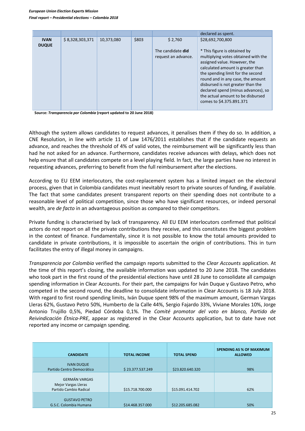|                             |                 |            |       |                                                     | declared as spent.                                                                                                                                                                                                                                                                                                                                                                  |
|-----------------------------|-----------------|------------|-------|-----------------------------------------------------|-------------------------------------------------------------------------------------------------------------------------------------------------------------------------------------------------------------------------------------------------------------------------------------------------------------------------------------------------------------------------------------|
| <b>IVAN</b><br><b>DUQUE</b> | \$8,328,303,371 | 10,373,080 | \$803 | \$2,760<br>The candidate did<br>request an advance. | \$28,692,700,800<br>* This figure is obtained by<br>multiplying votes obtained with the<br>assigned value. However, the<br>calculated amount is greater than<br>the spending limit for the second<br>round and in any case, the amount<br>disbursed is not greater than the<br>declared spend (minus advances), so<br>the actual amount to be disbursed<br>comes to \$4.375.891.371 |

 **Source:** *Transparencia por Colombia* **(report updated to 20 June 2018)**

Although the system allows candidates to request advances, it penalises them if they do so. In addition, a CNE Resolution, in line with article 11 of Law 1476/2011 establishes that if the candidate requests an advance, and reaches the threshold of 4% of valid votes, the reimbursement will be significantly less than had he not asked for an advance. Furthermore, candidates receive advances with delays, which does not help ensure that all candidates compete on a level playing field. In fact, the large parties have no interest in requesting advances, preferring to benefit from the full reimbursement after the elections.

According to EU EEM interlocutors, the cost-replacement system has a limited impact on the electoral process, given that in Colombia candidates must inevitably resort to private sources of funding, if available. The fact that some candidates present transparent reports on their spending does not contribute to a reasonable level of political competition, since those who have significant resources, or indeed personal wealth, are *de facto* in an advantageous position as compared to their competitors.

Private funding is characterised by lack of transparency. All EU EEM interlocutors confirmed that political actors do not report on all the private contributions they receive, and this constitutes the biggest problem in the context of finance. Fundamentally, since it is not possible to know the total amounts provided to candidate in private contributions, it is impossible to ascertain the origin of contributions. This in turn facilitates the entry of illegal money in campaigns.

*Transparencia por Colombia* verified the campaign reports submitted to the *Clear Accounts* application. At the time of this report's closing, the available information was updated to 20 June 2018. The candidates who took part in the first round of the presidential elections have until 28 June to consolidate all campaign spending information in Clear Accounts. For their part, the campaigns for Iván Duque y Gustavo Petro, who competed in the second round, the deadline to consolidate information in Clear Accounts is 18 July 2018. With regard to first round spending limits, Iván Duque spent 98% of the maximum amount, German Vargas Lleras 62%, Gustavo Petro 50%, Humberto de la Calle 44%, Sergio Fajardo 33%, Viviane Morales 10%, Jorge Antonio Trujillo 0,5%, Piedad Córdoba 0,1%. The *Comité promotor del voto en blanco, Partido de Reivindicación Étnica-PRE*, appear as registered in the Clear Accounts application, but to date have not reported any income or campaign spending.

| <b>CANDIDATE</b>                                                      | <b>TOTAL INCOME</b> | <b>TOTAL SPEND</b> | <b>SPENDING AS % OF MAXIMUM</b><br><b>ALLOWED</b> |
|-----------------------------------------------------------------------|---------------------|--------------------|---------------------------------------------------|
| <b>IVAN DUQUE</b><br>Partido Centro Democrático                       | \$23.377.537.249    | \$23.820.640.320   | 98%                                               |
| <b>GERMÁN VARGAS</b><br>Mejor Vargas Lleras<br>Partido Cambio Radical | \$15.718.700.000    | \$15.091.414.702   | 62%                                               |
| <b>GUSTAVO PETRO</b><br>G.S.C. Colombia Humana                        | \$14.468.357.000    | \$12.205.685.082   | 50%                                               |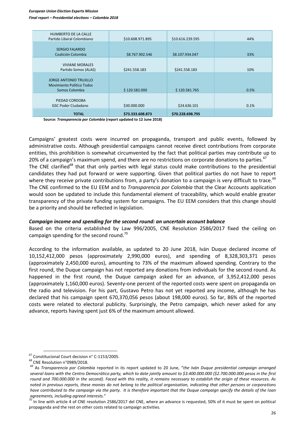#### *European Union Election Experts Mission Final report – Presidential elections – Colombia 2018*

| <b>HUMBERTO DE LA CALLE</b><br>Partido Liberal Colombiano                    | \$10.608.971.895 | \$10.616.239.595 | 44%  |
|------------------------------------------------------------------------------|------------------|------------------|------|
| <b>SERGIO FAJARDO</b><br>Coalición Colombia                                  | \$8.767.902.546  | \$8.107.934.047  | 33%  |
| <b>VIVIANE MORALES</b><br>Partido Somos (ALAS)                               | \$241.558.183    | \$241.558.183    | 10%  |
| <b>JORGE ANTONIO TRUJILLO</b><br>Movimiento Político Todos<br>Somos Colombia | \$120.582.000    | \$120.581.765    | 0.5% |
| PIEDAD CORDOBA<br><b>GSC Poder Ciudadano</b>                                 | \$30.000.000     | \$24.636.101     | 0.1% |
| <b>TOTAL</b>                                                                 | \$73.333.608.873 | \$70.228.698.795 |      |

**Source:** *Transparencia por Colombia* **(report updated to 12 June 2018)**

Campaigns' greatest costs were incurred on propaganda, transport and public events, followed by administrative costs. Although presidential campaigns cannot receive direct contributions from corporate entities, this prohibition is somewhat circumvented by the fact that political parties may contribute up to 20% of a campaign's maximum spend, and there are no restrictions on corporate donations to parties.<sup>67</sup> The CNE clarified<sup>68</sup> that that only parties with legal status could make contributions to the presidential candidates they had put forward or were supporting. Given that political parties do not have to report where they receive private contributions from, a party's donation to a campaign is very difficult to trace.<sup>69</sup> The CNE confirmed to the EU EEM and to *Transparencia por Colombia* that the Clear Accounts application would soon be updated to include this fundamental element of traceability, which would enable greater transparency of the private funding system for campaigns. The EU EEM considers that this change should be a priority and should be reflected in legislation.

#### *Campaign income and spending for the second round: an uncertain account balance*

Based on the criteria established by Law 996/2005, CNE Resolution 2586/2017 fixed the ceiling on campaign spending for the second round.<sup>70</sup>

According to the information available, as updated to 20 June 2018, Iván Duque declared income of 10,152,412,000 pesos (approximately 2,990,000 euros), and spending of 8,328,303,371 pesos (approximately 2,450,000 euros), amounting to 73% of the maximum allowed spending. Contrary to the first round, the Duque campaign has not reported any donations from individuals for the second round. As happened in the first round, the Duque campaign asked for an advance, of 3,952,412,000 pesos (approximately 1,160,000 euros). Seventy-one percent of the reported costs were spent on propaganda on the radio and television. For his part, Gustavo Petro has not yet reported any income, although he has declared that his campaign spent 670,370,056 pesos (about 198,000 euros). So far, 86% of the reported costs were related to electoral publicity. Surprisingly, the Petro campaign, which never asked for any advance, reports having spent just 6% of the maximum amount allowed.

 $\overline{a}$ 

 $70$  In line with article 4 of CNE resolution 2586/2017 del CNE, where an advance is requested, 50% of it must be spent on political propaganda and the rest on other costs related to campaign activities.

<sup>&</sup>lt;sup>67</sup> Constitucional Court decision n° C-1153/2005.

<sup>68</sup> CNE Resolution n°0989/2018.

<sup>69</sup> As *Transparencia por Colombia* reported in its report updated to 20 June, "*the Iván Duque presidential campaign arranged several loans with the Centro Democrático party, which to date jointly amount to \$3.400.000.000 (\$2.700.000.000 pesos in the first round and 700.000.000 in the second). Faced with this reality, it remains necessary to establish the origin of these resources. As noted in previous reports, these monies do not belong to the political organisation, indicating that other persons or corporations have contributed to the campaign via the party. It is therefore important that the Duque campaign specify the details of the loan agreements, including agreed interests.*"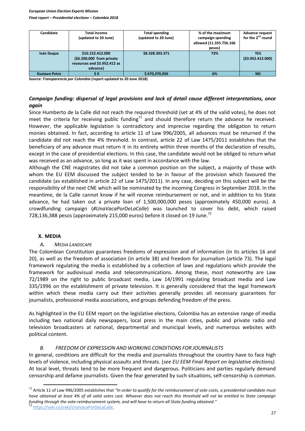#### *European Union Election Experts Mission Final report – Presidential elections – Colombia 2018*

| Candidate            | Total income                 | <b>Total spending</b> | % of the maximum        | <b>Advance request</b>        |
|----------------------|------------------------------|-----------------------|-------------------------|-------------------------------|
|                      | (updated to 20 June)         | (updated to 20 June)  | campaign spending       | for the 2 <sup>nd</sup> round |
|                      |                              |                       | allowed (11.335.756.166 |                               |
|                      |                              |                       | pesos)                  |                               |
| Iván Duque           | \$10.152.412.000             | \$8.328.303.371       | 73%                     | YES                           |
|                      | (\$6.200.000 from private    |                       |                         | (53.952.412.000)              |
|                      | resources and \$3.952.412 as |                       |                         |                               |
|                      | advance)                     |                       |                         |                               |
| <b>Gustavo Petro</b> | S 0                          | \$670,370,056         | 6%                      | <b>NO</b>                     |

**Source:** *Transparencia por Colombia* **(report updated to 20 June 2018)**

# *Campaign funding: dispersal of legal provisions and lack of detail cause different interpretations, once again*

Since Humberto de la Calle did not reach the required threshold (set at 4% of the valid votes), he does not meet the criteria for receiving public funding $<sup>71</sup>$  and should therefore return the advance he received.</sup> However, the applicable legislation is contradictory and imprecise regarding the obligation to return monies obtained. In fact, according to article 11 of Law 996/2005, all advances must be returned if the candidate did not reach the 4% threshold. In contrast, article 22 of Law 1475/2011 establishes that the beneficiary of any advance must return it in its entirety within three months of the declaration of results, except in the case of presidential elections. In this case, the candidate would not be obliged to return what was received as an advance, so long as it was spent in accordance with the law.

Although the CNE magistrates did not take a common position on the subject, a majority of those with whom the EU EEM discussed the subject tended to be in favour of the provision which favoured the candidate (as established in article 22 of Law 1475/2011). In any case, deciding on this subject will be the responsibility of the next CNE which will be nominated by the incoming Congress in September 2018. In the meantime, de la Calle cannot know if he will receive reimbursement or not, and in addition to his State advance, he had taken out a private loan of 1,500,000,000 pesos (approximately 450,000 euros). A crowdfunding campaign (*#UnaVacaPorDeLaCalle*) was launched to cover his debt, which raised 728,136,388 pesos (approximately 215,000 euros) before it closed on 19 June.<sup>72</sup>

#### **X. MEDIA**

 $\overline{a}$ 

# *A. MEDIA LANDSCAPE*

The Colombian Constitution guarantees freedoms of expression and of information (in its articles 16 and 20), as well as the freedom of association (in article 38) and freedom for journalism (article 73). The legal framework regulating the media is established by a collection of laws and regulations which provide the framework for audiovisual media and telecommunications. Among these, most noteworthy are Law 72/1989 on the right to public broadcast media, Law 14/1991 regulating broadcast media and Law 335/1996 on the establishment of private television. It is generally considered that the legal framework within which these media carry out their activities generally provides all necessary guarantees for journalists, professional media associations, and groups defending freedom of the press.

As highlighted in the EU EEM report on the legislative elections, Colombia has an extensive range of media including two national daily newspapers, local press in the main cities, public and private radio and television broadcasters at national, departmental and municipal levels, and numerous websites with political content.

# *B. FREEDOM OF EXPRESSION AND WORKING CONDITIONS FOR JOURNALISTS*

In general, conditions are difficult for the media and journalists throughout the country have to face high levels of violence, including physical assaults and threats. (*see EU EEM Final Report on legislative elections).* At local level, threats tend to be more frequent and dangerous. Politicians and parties regularly demand censorship and defame journalists. Given the fear generated by such situations, self-censorship is common.

<sup>71</sup> Article 11 of Law 996/2005 establishes that *"In order to qualify for the reimbursement of vote costs, a presidential candidate must have obtained at least 4% of all valid votes cast. Whoever does not reach this threshold will not be entitled to State campaign funding through the vote-reimbursement system, and will have to return all State funding obtained."* <sup>72</sup> [https://vaki.co/vaki/UnaVacaPorDeLaCalle.](https://vaki.co/vaki/UnaVacaPorDeLaCalle)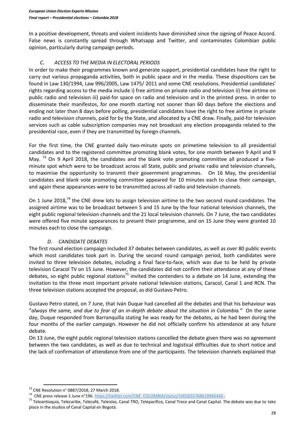In a positive development, threats and violent incidents have diminished since the signing of Peace Accord. False news is constantly spread through Whatsapp and Twitter, and contaminates Colombian public opinion, particularly during campaign periods.

# *C. ACCESS TO THE MEDIA IN ELECTORAL PERIODS*

In order to make their programmes known and generate support, presidential candidates have the right to carry out various propaganda activities, both in public space and in the media. These dispositions can be found in Law 130/1994, Law 996/2005, Law 1475/ 2011 and some CNE resolutions. Presidential candidates' rights regarding access to the media include i) free airtime on private radio and television ii) free airtime on public radio and television iii) paid-for space on radio and television and in the printed press. In order to disseminate their manifestos, for one month starting not sooner than 60 days before the elections and ending not later than 8 days before polling, presidential candidates have the right to free airtime in private radio and television channels, paid for by the State, and allocated by a CNE draw. Finally, paid-for television services such as cable subscription companies may not broadcast any election propaganda related to the presidential race, even if they are transmitted by foreign channels.

For the first time, the CNE granted daily two-minute spots on primetime television to all presidential candidates and to the registered committee promoting blank votes, for one month between 9 April and 9 May.  $^{73}$  On 9 April 2018, the candidates and the blank vote promoting committee all produced a fiveminute spot which were to be broadcast across all State, public and private radio and television channels, to maximise the opportunity to transmit their government programmes. On 16 May, the presidential candidates and blank vote promoting committee appeared for 10 minutes each to close their campaign, and again these appearances were to be transmitted across all radio and television channels.

On 1 June 2018,<sup>74</sup> the CNE drew lots to assign television airtime to the two second round candidates. The assigned airtime was to be broadcast between 5 and 15 June by the four national television channels, the eight public regional television channels and the 21 local television channels. On 7 June, the two candidates were offered five minute appearances to present their programme, and on 15 June they were granted 10 minutes each to close the campaign.

# *D. CANDIDATE DEBATES*

The first round election campaign included 37 debates between candidates, as well as over 80 public events which most candidates took part in. During the second round campaign period, both candidates were invited to three television debates, including a final face-to-face, which was due to be held by private television Caracol TV on 15 June. However, the candidates did not confirm their attendance at any of these debates, so eight public regional stations<sup>75</sup> invited the contenders to a debate on 14 June, extending the invitation to the three most important private national television stations, Caracol, Canal 1 and RCN. The three television stations accepted the proposal, as did Gustavo Petro.

Gustavo Petro stated, on 7 June, that Iván Duque had cancelled all the debates and that his behaviour was "*always the same, and due to fear of an in-depth debate about the situation in Colombia."* On the same day, Duque responded from Barranquilla stating he was ready for the debates, as he had been during the four months of the earlier campaign. However he did not officially confirm his attendance at any future debate.

On 13 June, the eight public regional television stations cancelled the debate given there was no agreement between the two candidates, as well as due to technical and logistical difficulties due to short notice and the lack of confirmation of attendance from one of the participants. The television channels explained that

 $\overline{a}$ <sup>73</sup> CNE Resolution n° 0887/2018, 27 March 2018.

<sup>&</sup>lt;sup>74</sup> CNE press release 1 June n°196. [https://twitter.com/CNE\\_COLOMBIA/status/1002655768619966466](https://twitter.com/CNE_COLOMBIA/status/1002655768619966466).

<sup>&</sup>lt;sup>75</sup> Teleantioquia, Telecaribe, Telecafé, Teleislas, Canal TRO, Telepacífico, Canal Trece and Canal Capital. The debate was due to take place in the studios of Canal Capital en Bogotá.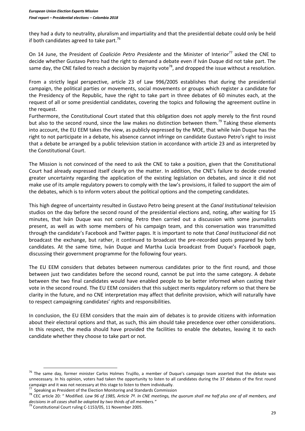they had a duty to neutrality, pluralism and impartiality and that the presidential debate could only be held if both candidates agreed to take part.<sup>76</sup>

On 14 June, the President of *Coalición Petro Presidente* and the Minister of Interior<sup>77</sup> asked the CNE to decide whether Gustavo Petro had the right to demand a debate even if Iván Duque did not take part. The same day, the CNE failed to reach a decision by majority vote<sup>78</sup>, and dropped the issue without a resolution.

From a strictly legal perspective, article 23 of Law 996/2005 establishes that during the presidential campaign, the political parties or movements, social movements or groups which register a candidate for the Presidency of the Republic, have the right to take part in three debates of 60 minutes each, at the request of all or some presidential candidates, covering the topics and following the agreement outline in the request.

Furthermore, the Constitutional Court stated that this obligation does not apply merely to the first round but also to the second round, since the law makes no distinction between them.<sup>79</sup> Taking these elements into account, the EU EEM takes the view, as publicly expressed by the MOE, that while Iván Duque has the right to not participate in a debate, his absence cannot infringe on candidate Gustavo Petro's right to insist that a debate be arranged by a public television station in accordance with article 23 and as interpreted by the Constitutional Court.

The Mission is not convinced of the need to ask the CNE to take a position, given that the Constitutional Court had already expressed itself clearly on the matter. In addition, the CNE's failure to decide created greater uncertainty regarding the application of the existing legislation on debates, and since it did not make use of its ample regulatory powers to comply with the law's provisions, it failed to support the aim of the debates, which is to inform voters about the political options and the competing candidates.

This high degree of uncertainty resulted in Gustavo Petro being present at the *Canal Institutional* television studios on the day before the second round of the presidential elections and, noting, after waiting for 15 minutes, that Iván Duque was not coming. Petro then carried out a discussion with some journalists present, as well as with some members of his campaign team, and this conversation was transmitted through the candidate's Facebook and Twitter pages. It is important to note that *Canal Institucional* did not broadcast the exchange, but rather, it continued to broadcast the pre-recorded spots prepared by both candidates. At the same time, Iván Duque and Martha Lucía broadcast from Duque's Facebook page, discussing their government programme for the following four years.

The EU EEM considers that debates between numerous candidates prior to the first round, and those between just two candidates before the second round, cannot be put into the same category. A debate between the two final candidates would have enabled people to be better informed when casting their vote in the second round. The EU EEM considers that this subject merits regulatory reform so that there be clarity in the future, and no CNE interpretation may affect that definite provision, which will naturally have to respect campaigning candidates' rights and responsibilities.

In conclusion, the EU EEM considers that the main aim of debates is to provide citizens with information about their electoral options and that, as such, this aim should take precedence over other considerations. In this respect, the media should have provided the facilities to enable the debates, leaving it to each candidate whether they choose to take part or not.

 $76$  The same day, former minister Carlos Holmes Trujillo, a member of Duque's campaign team asserted that the debate was unnecessary. In his opinion, voters had taken the opportunity to listen to all candidates during the 37 debates of the first round campaign and it was not necessary at this stage to listen to them individually.

<sup>&</sup>lt;sup>77</sup> Speaking as President of the Election Monitoring and Standards Commission

<sup>78</sup> CEC article 20: " Modified. *Law 96 of 1985, Article 7º. In CNE meetings, the quorum shall me half plus one of all members, and decisions in all cases shall be adopted by two thirds of all members."*

<sup>79</sup> Constitutional Court ruling C-1153/05, 11 November 2005.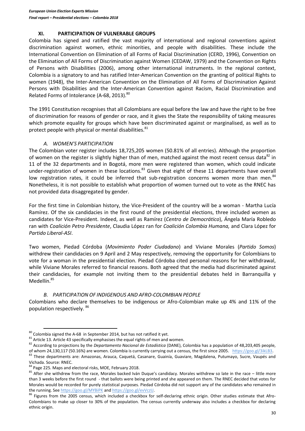#### **XI. PARTICIPATION OF VULNERABLE GROUPS**

Colombia has signed and ratified the vast majority of international and regional conventions against discrimination against women, ethnic minorities, and people with disabilities. These include the International Convention on Elimination of all Forms of Racial Discrimination (CERD, 1996), Convention on the Elimination of All Forms of Discrimination against Women (CEDAW, 1979) and the Convention on Rights of Persons with Disabilities (2006), among other international instruments. In the regional context, Colombia is a signatory to and has ratified Inter-American Convention on the granting of political Rights to women (1948), the Inter-American Convention on the Elimination of All Forms of Discrimination Against Persons with Disabilities and the Inter-American Convention against Racism, Racial Discrimination and Related Forms of Intolerance (A-68, 2013).<sup>80</sup>

The 1991 Constitution recognises that all Colombians are equal before the law and have the right to be free of discrimination for reasons of gender or race, and it gives the State the responsibility of taking measures which promote equality for groups which have been discriminated against or marginalised, as well as to protect people with physical or mental disabilities.<sup>81</sup>

#### *A. WOMEN'S PARTICIPATION*

The Colombian voter register includes 18,725,205 women (50.81% of all entries). Although the proportion of women on the register is slightly higher than of men, matched against the most recent census data $^{82}$  in 11 of the 32 departments and in Bogotá, more men were registered than women, which could indicate under-registration of women in these locations.<sup>83</sup> Given that eight of these 11 departments have overall low registration rates, it could be inferred that sub-registration concerns women more than men.<sup>84</sup> Nonetheless, it is not possible to establish what proportion of women turned out to vote as the RNEC has not provided data disaggregated by gender.

For the first time in Colombian history, the Vice-President of the country will be a woman - Martha Lucía Ramírez. Of the six candidacies in the first round of the presidential elections, three included women as candidates for Vice-President. Indeed, as well as Ramírez (*Centro de Democrático*), Ángela María Robledo ran with *Coalición Petro Presidente*, Claudia López ran for *Coalición Colombia Humana,* and Clara López for *Partido Liberal-ASI*.

Two women, Piedad Córdoba (*Movimiento Poder Ciudadano*) and Viviane Morales (*Partido Somos*) withdrew their candidacies on 9 April and 2 May respectively, removing the opportunity for Colombians to vote for a woman in the presidential election. Piedad Córdoba cited personal reasons for her withdrawal, while Viviane Morales referred to financial reasons. Both agreed that the media had discriminated against their candidacies, for example not inviting them to the presidential debates held in Barranquilla y Medellín.<sup>85</sup>

#### *B. PARTICIPATION OF INDIGENOUS AND AFRO-COLOMBIAN PEOPLE*

Colombians who declare themselves to be indigenous or Afro-Colombian make up 4% and 11% of the population respectively. <sup>86</sup>

 $80$  Colombia signed the A-68 in September 2014, but has not ratified it yet.

<sup>81</sup> Article 13. Article 43 specifically emphasises the equal rights of men and women.

<sup>82</sup> According to projections by the *Departamento Nacional de Estadística* (DANE), Colombia has a population of 48,203,405 people, of whom 24,130,117 (50.16%) are women. Colombia is currently carrying out a census, the first since 2005. [https://goo.gl/3ikLB3.](https://goo.gl/3ikLB3)

<sup>&</sup>lt;sup>83</sup> These departments are: Amazonas, Arauca, Caquetá, Casanare, Guainía, Guaviare, Magdalena, Putumayo, Sucre, Vaupés and Vichada. Source: RNEC.

<sup>84</sup> Page 225. Maps and electoral risks, MOE, February 2018.

 $85$  After she withdrew from the race, Morales backed Iván Duque's candidacy. Morales withdrew so late in the race – little more than 3 weeks before the first round - that ballots were being printed and she appeared on them. The RNEC decided that votes for Morales would be recorded for purely statistical purposes. Piedad Córdoba did not support any of the candidates who remained in the running. Se[e https://goo.gl/MYBiPK](https://goo.gl/MYBiPK) an[d https://goo.gl/evVczU.](https://goo.gl/evVczU)

<sup>&</sup>lt;sup>86</sup> Figures from the 2005 census, which included a checkbox for self-declaring ethnic origin. Other studies estimate that Afro-Colombians to make up closer to 30% of the population. The census currently underway also includes a checkbox for declaring ethnic origin.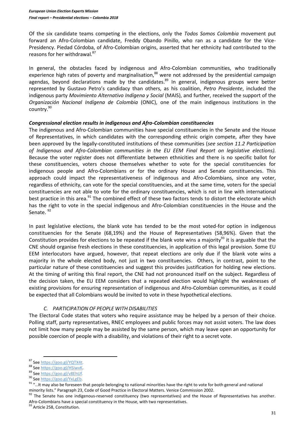Of the six candidate teams competing in the elections, only the *Todos Somos Colombia* movement put forward an Afro-Colombian candidate, Freddy Obando Pinillo, who ran as a candidate for the Vice-Presidency. Piedad Córdoba, of Afro-Colombian origins, asserted that her ethnicity had contributed to the reasons for her withdrawal.<sup>87</sup>

In general, the obstacles faced by indigenous and Afro-Colombian communities, who traditionally experience high rates of poverty and marginalisation,<sup>88</sup> were not addressed by the presidential campaign agendas, beyond declarations made by the candidates. $89$  In general, indigenous groups were better represented by Gustavo Petro's candidacy than others, as his coalition, *Petro Presidente*, included the indigenous party *Movimiento Alternativo Indígena y Social* (MAIS), and further, received the support of the *Organización Nacional Indígena de Colombia* (ONIC), one of the main indigenous institutions in the country.<sup>90</sup>

#### *Congressional election results in indigenous and Afro-Colombian constituencies*

The indigenous and Afro-Colombian communities have special constituencies in the Senate and the House of Representatives, in which candidates with the corresponding ethnic origin compete, after they have been approved by the legally-constituted institutions of these communities (*see section 11.2 Participation of Indigenous and Afro-Colombian communities in the EU EEM Final Report on legislative elections).*  Because the voter register does not differentiate between ethnicities and there is no specific ballot for these constituencies, voters choose themselves whether to vote for the special constituencies for indigenous people and Afro-Colombians or for the ordinary House and Senate constituencies. This approach could impact the representativeness of indigenous and Afro-Colombians, since any voter, regardless of ethnicity, can vote for the special constituencies, and at the same time, voters for the special constituencies are not able to vote for the ordinary constituencies, which is not in line with international best practice in this area.<sup>91</sup> The combined effect of these two factors tends to distort the electorate which has the right to vote in the special indigenous and Afro-Colombian constituencies in the House and the Senate.<sup>92</sup>

In past legislative elections, the blank vote has tended to be the most voted-for option in indigenous constituencies for the Senate (68,19%) and the House of Representatives (58,96%). Given that the Constitution provides for elections to be repeated if the blank vote wins a majority<sup>93</sup> it is arguable that the CNE should organise fresh elections in these constituencies, in application of this legal provision. Some EU EEM interlocutors have argued, however, that repeat elections are only due if the blank vote wins a majority in the whole elected body, not just in two constituencies. Others, in contrast, point to the particular nature of these constituencies and suggest this provides justification for holding new elections. At the timing of writing this final report, the CNE had not pronounced itself on the subject. Regardless of the decision taken, the EU EEM considers that a repeated election would highlight the weaknesses of existing provisions for ensuring representation of indigenous and Afro-Colombian communities, as it could be expected that all Colombians would be invited to vote in these hypothetical elections.

# *C. PARTICIPATION OF PEOPLE WITH DISABILITIES*

The Electoral Code states that voters who require assistance may be helped by a person of their choice. Polling staff, party representatives, RNEC employees and public forces may not assist voters. The law does not limit how many people may be assisted by the same person, which may leave open an opportunity for possible coercion of people with a disability, and violations of their right to a secret vote.

 $\overline{a}$ 

93 Article 258, Constitution.

<sup>87</sup> See [https://goo.gl/YQTX4t.](https://goo.gl/YQTX4t)

<sup>88</sup> See [https://goo.gl/HSiwvK.](https://goo.gl/HSiwvK)

<sup>89</sup> See [https://goo.gl/v8EhUf.](https://goo.gl/v8EhUf) 

<sup>90</sup> See https://goo.gl/YxLgEb.

<sup>&</sup>lt;sup>91</sup> "...It may also be foreseen that people belonging to national minorities have the right to vote for both general and national minority lists." Paragraph 23, Code of Good Practice in Electoral Matters. Venice Commission 2002.

<sup>92</sup> The Senate has one indigenous-reserved constituency (two representatives) and the House of Representatives has another. Afro-Colombians have a special constituency in the House, with two representatives.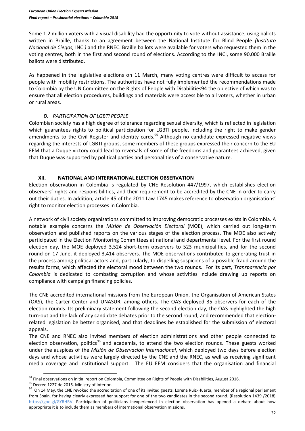Some 1.2 million voters with a visual disability had the opportunity to vote without assistance, using ballots written in Braille, thanks to an agreement between the National Institute for Blind People *(Instituto Nacional de Ciegos,* INCI*)* and the RNEC. Braille ballots were available for voters who requested them in the voting centres, both in the first and second round of elections. According to the INCI, some 90,000 Braille ballots were distributed.

As happened in the legislative elections on 11 March, many voting centres were difficult to access for people with mobility restrictions. The authorities have not fully implemented the recommendations made to Colombia by the UN Committee on the Rights of People with Disabilities94 the objective of which was to ensure that all election procedures, buildings and materials were accessible to all voters, whether in urban or rural areas.

## *D. PARTICIPATION OF LGBTI PEOPLE*

Colombian society has a high degree of tolerance regarding sexual diversity, which is reflected in legislation which guarantees rights to political participation for LGBTI people, including the right to make gender amendments to the Civil Register and identity cards.<sup>95</sup> Although no candidate expressed negative views regarding the interests of LGBTI groups, some members of these groups expressed their concern to the EU EEM that a Duque victory could lead to reversals of some of the freedoms and guarantees achieved, given that Duque was supported by political parties and personalities of a conservative nature.

#### **XII. NATIONAL AND INTERNATIONAL ELECTION OBSERVATION**

Election observation in Colombia is regulated by CNE Resolution 447/1997, which establishes election observers' rights and responsibilities, and their requirement to be accredited by the CNE in order to carry out their duties. In addition, article 45 of the 2011 Law 1745 makes reference to observation organisations' right to monitor election processes in Colombia.

A network of civil society organisations committed to improving democratic processes exists in Colombia. A notable example concerns the *Misión de Observación Electoral* (MOE), which carried out long-term observation and published reports on the various stages of the election process. The MOE also actively participated in the Election Monitoring Committees at national and departmental level. For the first round election day, the MOE deployed 3,524 short-term observers to 523 municipalities, and for the second round on 17 June, it deployed 3,414 observers. The MOE observations contributed to generating trust in the process among political actors and, particularly, to dispelling suspicions of a possible fraud around the results forms, which affected the electoral mood between the two rounds. For its part, *Transparencia por Colombia* is dedicated to combating corruption and whose activities include drawing up reports on compliance with campaign financing policies.

The CNE accredited international missions from the European Union, the Organisation of American States (OAS), the Carter Center and UNASUR, among others. The OAS deployed 35 observers for each of the election rounds. Its preliminary statement following the second election day, the OAS highlighted the high turn-out and the lack of any candidate debates prior to the second round, and recommended that electionrelated legislation be better organised, and that deadlines be established for the submission of electoral appeals.

The CNE and RNEC also invited members of election administrations and other people connected to election observation, politics<sup>96</sup> and academia, to attend the two election rounds. These guests worked under the auspices of the *Misión de Observación Internacional*, which deployed two days before election days and whose activities were largely directed by the CNE and the RNEC, as well as receiving significant media coverage and institutional support. The EU EEM considers that the organisation and financial

95 Decree 1227 de 2015. Ministry of Interior.

 $\ddot{\phantom{a}}$ 

<sup>&</sup>lt;sup>94</sup> Final observations on initial report on Colombia, Committee on Rights of People with Disabilities, August 2016.

<sup>&</sup>lt;sup>96</sup> On 14 May, the CNE revoked the accreditation of one of its invited guests, Lorena Ruiz-Huerta, member of a regional parliament from Spain, for having clearly expressed her support for one of the two candidates in the second round. (Resolution 1439 /2018) [https://goo.gl/GYRHRV.](https://goo.gl/GYRHRV) Participation of politicians inexperienced in election observation has opened a debate about how appropriate it is to include them as members of international observation missions.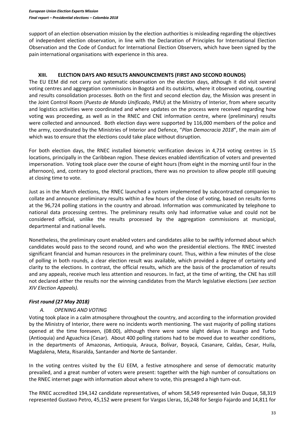support of an election observation mission by the election authorities is misleading regarding the objectives of independent election observation, in line with the Declaration of Principles for International Election Observation and the Code of Conduct for International Election Observers, which have been signed by the pain international organisations with experience in this area.

## **XIII. ELECTION DAYS AND RESULTS ANNOUNCEMENTS (FIRST AND SECOND ROUNDS)**

The EU EEM did not carry out systematic observation on the election days, although it did visit several voting centres and aggregation commissions in Bogotá and its outskirts, where it observed voting, counting and results consolidation processes. Both on the first and second election day, the Mission was present in the Joint Control Room (*Puesto de Mando Unificado*, PMU) at the Ministry of Interior, from where security and logistics activities were coordinated and where updates on the process were received regarding how voting was proceeding, as well as in the RNEC and CNE information centre, where (preliminary) results were collected and announced. Both election days were supported by 116,000 members of the police and the army, coordinated by the Ministries of Interior and Defence, "*Plan Democracia 2018*", the main aim of which was to ensure that the elections could take place without disruption.

For both election days, the RNEC installed biometric verification devices in 4,714 voting centres in 15 locations, principally in the Caribbean region. These devices enabled identification of voters and prevented impersonation. Voting took place over the course of eight hours (from eight in the morning until four in the afternoon), and, contrary to good electoral practices, there was no provision to allow people still queuing at closing time to vote.

Just as in the March elections, the RNEC launched a system implemented by subcontracted companies to collate and announce preliminary results within a few hours of the close of voting, based on results forms at the 96,724 polling stations in the country and abroad. Information was communicated by telephone to national data processing centres. The preliminary results only had informative value and could not be considered official, unlike the results processed by the aggregation commissions at municipal, departmental and national levels.

Nonetheless, the preliminary count enabled voters and candidates alike to be swiftly informed about which candidates would pass to the second round, and who won the presidential elections. The RNEC invested significant financial and human resources in the preliminary count. Thus, within a few minutes of the close of polling in both rounds, a clear election result was available, which provided a degree of certainty and clarity to the elections. In contrast, the official results, which are the basis of the proclamation of results and any appeals, receive much less attention and resources. In fact, at the time of writing, the CNE has still not declared either the results nor the winning candidates from the March legislative elections (*see section XIV Election Appeals).*

## *First round (27 May 2018)*

## *A. OPENING AND VOTING*

Voting took place in a calm atmosphere throughout the country, and according to the information provided by the Ministry of Interior, there were no incidents worth mentioning. The vast majority of polling stations opened at the time foreseen, (08:00), although there were some slight delays in Ituango and Turbo (Antioquia) and Aguachica (Cesar). About 400 polling stations had to be moved due to weather conditions, in the departments of Amazonas, Antioquia, Arauca, Bolívar, Boyacá, Casanare, Caldas, Cesar, Huila, Magdalena, Meta, Risaralda, Santander and Norte de Santander.

In the voting centres visited by the EU EEM, a festive atmosphere and sense of democratic maturity prevailed, and a great number of voters were present: together with the high number of consultations on the RNEC internet page with information about where to vote, this presaged a high turn-out.

The RNEC accredited 194,142 candidate representatives, of whom 58,549 represented Iván Duque, 58,319 represented Gustavo Petro, 45,152 were present for Vargas Lleras, 16,248 for Sergio Fajardo and 14,811 for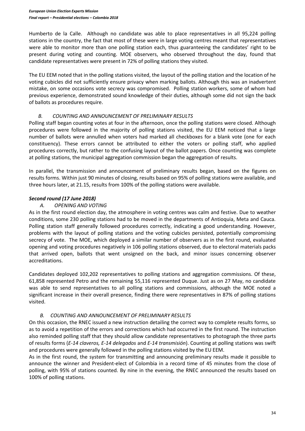Humberto de la Calle. Although no candidate was able to place representatives in all 95,224 polling stations in the country, the fact that most of these were in large voting centres meant that representatives were able to monitor more than one polling station each, thus guaranteeing the candidates' right to be present during voting and counting. MOE observers, who observed throughout the day, found that candidate representatives were present in 72% of polling stations they visited.

The EU EEM noted that in the polling stations visited, the layout of the polling station and the location of he voting cubicles did not sufficiently ensure privacy when marking ballots. Although this was an inadvertent mistake, on some occasions vote secrecy was compromised. Polling station workers, some of whom had previous experience, demonstrated sound knowledge of their duties, although some did not sign the back of ballots as procedures require.

## *B. COUNTING AND ANNOUNCEMENT OF PRELIMINARY RESULTS*

Polling staff began counting votes at four in the afternoon, once the polling stations were closed. Although procedures were followed in the majority of polling stations visited, the EU EEM noticed that a large number of ballots were annulled when voters had marked all checkboxes for a blank vote (one for each constituency). These errors cannot be attributed to either the voters or polling staff, who applied procedures correctly, but rather to the confusing layout of the ballot papers. Once counting was complete at polling stations, the municipal aggregation commission began the aggregation of results.

In parallel, the transmission and announcement of preliminary results began, based on the figures on results forms. Within just 90 minutes of closing, results based on 95% of polling stations were available, and three hours later, at 21.15, results from 100% of the polling stations were available.

## *Second round (17 June 2018)*

## *A. OPENING AND VOTING*

As in the first round election day, the atmosphere in voting centres was calm and festive. Due to weather conditions, some 230 polling stations had to be moved in the departments of Antioquia, Meta and Cauca. Polling station staff generally followed procedures correctly, indicating a good understanding. However, problems with the layout of polling stations and the voting cubicles persisted, potentially compromising secrecy of vote. The MOE, which deployed a similar number of observers as in the first round, evaluated opening and voting procedures negatively in 106 polling stations observed, due to electoral materials packs that arrived open, ballots that went unsigned on the back, and minor issues concerning observer accreditations.

Candidates deployed 102,202 representatives to polling stations and aggregation commissions. Of these, 61,858 represented Petro and the remaining 55,116 represented Duque. Just as on 27 May, no candidate was able to send representatives to all polling stations and commissions, although the MOE noted a significant increase in their overall presence, finding there were representatives in 87% of polling stations visited.

## *B. COUNTING AND ANNOUNCEMENT OF PRELIMINARY RESULTS*

On this occasion, the RNEC issued a new instruction detailing the correct way to complete results forms, so as to avoid a repetition of the errors and corrections which had occurred in the first round. The instruction also reminded polling staff that they should allow candidate representatives to photograph the three parts of results forms (*E-14 claveros, E-14 delegados* and *E-14 transmisión*). Counting at polling stations was swift and procedures were generally followed in the polling stations visited by the EU EEM.

As in the first round, the system for transmitting and announcing preliminary results made it possible to announce the winner and President-elect of Colombia in a record time of 45 minutes from the close of polling, with 95% of stations counted. By nine in the evening, the RNEC announced the results based on 100% of polling stations.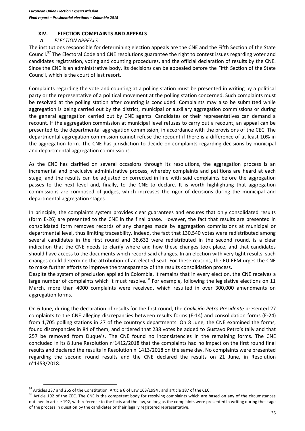#### **XIV. ELECTION COMPLAINTS AND APPEALS**

#### *A. ELECTION APPEALS*

The institutions responsible for determining election appeals are the CNE and the Fifth Section of the State Council.<sup>97</sup> The Electoral Code and CNE resolutions guarantee the right to contest issues regarding voter and candidates registration, voting and counting procedures, and the official declaration of results by the CNE. Since the CNE is an administrative body, its decisions can be appealed before the Fifth Section of the State Council, which is the court of last resort.

Complaints regarding the vote and counting at a polling station must be presented in writing by a political party or the representative of a political movement at the polling station concerned. Such complaints must be resolved at the polling station after counting is concluded. Complaints may also be submitted while aggregation is being carried out by the district, municipal or auxiliary aggregation commissions or during the general aggregation carried out by CNE agents. Candidates or their representatives can demand a recount. If the aggregation commission at municipal level refuses to carry out a recount, an appeal can be presented to the departmental aggregation commission, in accordance with the provisions of the CEC. The departmental aggregation commission cannot refuse the recount if there is a difference of at least 10% in the aggregation form. The CNE has jurisdiction to decide on complaints regarding decisions by municipal and departmental aggregation commissions.

As the CNE has clarified on several occasions through its resolutions, the aggregation process is an incremental and preclusive administrative process, whereby complaints and petitions are heard at each stage, and the results can be adjusted or corrected in line with said complaints before the aggregation passes to the next level and, finally, to the CNE to declare. It is worth highlighting that aggregation commissions are composed of judges, which increases the rigor of decisions during the municipal and departmental aggregation stages.

In principle, the complaints system provides clear guarantees and ensures that only consolidated results (form E-26) are presented to the CNE in the final phase. However, the fact that results are presented in consolidated form removes records of any changes made by aggregation commissions at municipal or departmental level, thus limiting traceability. Indeed, the fact that 130,540 votes were redistributed among several candidates in the first round and 38,632 were redistributed in the second round, is a clear indication that the CNE needs to clarify where and how these changes took place, and that candidates should have access to the documents which record said changes. In an election with very tight results, such changes could determine the attribution of an elected seat. For these reasons, the EU EEM urges the CNE to make further efforts to improve the transparency of the results consolidation process.

Despite the system of preclusion applied in Colombia, it remains that in every election, the CNE receives a large number of complaints which it must resolve.<sup>98</sup> For example, following the legislative elections on 11 March, more than 4000 complaints were received, which resulted in over 300,000 amendments on aggregation forms.

On 6 June, during the declaration of results for the first round, the *Coalición Petro Presidente* presented 27 complaints to the CNE alleging discrepancies between results forms (E-14) and consolidation forms (E-24) from 1,705 polling stations in 27 of the country's departments. On 8 June, the CNE examined the forms, found discrepancies in 84 of them, and ordered that 238 votes be added to Gustavo Petro's tally and that 257 be removed from Duque's. The CNE found no inconsistencies in the remaining forms. The CNE concluded in its 8 June Resolution n°1412/2018 that the complaints had no impact on the first round final results and declared the results in Resolution n°1413/2018 on the same day. No complaints were presented regarding the second round results and the CNE declared the results on 21 June, in Resolution n°1453/2018.

 $\overline{a}$ 

 $^{97}$  Articles 237 and 265 of the Constitution. Article 6 of Law 163/1994, and article 187 of the CEC.

<sup>98</sup> Article 192 of the CEC. The CNE is the competent body for resolving complaints which are based on any of the circumstances outlined in article 192, with reference to the facts and the law, so long as the complaints were presented in writing during the stage of the process in question by the candidates or their legally registered representative.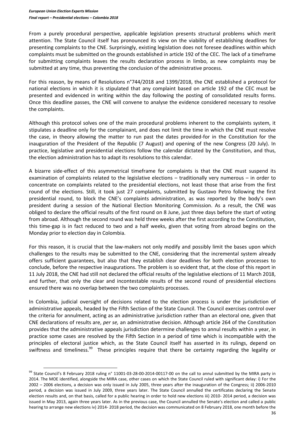$\overline{a}$ 

From a purely procedural perspective, applicable legislation presents structural problems which merit attention. The State Council itself has pronounced its view on the viability of establishing deadlines for presenting complaints to the CNE. Surprisingly, existing legislation does not foresee deadlines within which complaints must be submitted on the grounds established in article 192 of the CEC. The lack of a timeframe for submitting complaints leaves the results declaration process in limbo, as new complaints may be submitted at any time, thus preventing the conclusion of the administrative process.

For this reason, by means of Resolutions n°744/2018 and 1399/2018, the CNE established a protocol for national elections in which it is stipulated that any complaint based on article 192 of the CEC must be presented and evidenced in writing within the day following the posting of consolidated results forms. Once this deadline passes, the CNE will convene to analyse the evidence considered necessary to resolve the complaints.

Although this protocol solves one of the main procedural problems inherent to the complaints system, it stipulates a deadline only for the complainant, and does not limit the time in which the CNE must resolve the case, in theory allowing the matter to run past the dates provided-for in the Constitution for the inauguration of the President of the Republic (7 August) and opening of the new Congress (20 July). In practice, legislative and presidential elections follow the calendar dictated by the Constitution, and thus, the election administration has to adapt its resolutions to this calendar.

A bizarre side-effect of this asymmetrical timeframe for complaints is that the CNE must suspend its examination of complaints related to the legislative elections – traditionally very numerous – in order to concentrate on complaints related to the presidential elections, not least those that arise from the first round of the elections. Still, it took just 27 complaints, submitted by Gustavo Petro following the first presidential round, to block the CNE's complaints administration, as was reported by the body's own president during a session of the National Election Monitoring Commission. As a result, the CNE was obliged to declare the official results of the first round on 8 June, just three days before the start of voting from abroad. Although the second round was held three weeks after the first according to the Constitution, this time-gap is in fact reduced to two and a half weeks, given that voting from abroad begins on the Monday prior to election day in Colombia.

For this reason, it is crucial that the law-makers not only modify and possibly limit the bases upon which challenges to the results may be submitted to the CNE, considering that the incremental system already offers sufficient guarantees, but also that they establish clear deadlines for both election processes to conclude, before the respective inaugurations. The problem is so evident that, at the close of this report in 11 July 2018, the CNE had still not declared the official results of the legislative elections of 11 March 2018, and further, that only the clear and incontestable results of the second round of presidential elections ensured there was no overlap between the two complaints processes.

In Colombia, judicial oversight of decisions related to the election process is under the jurisdiction of administrative appeals, headed by the Fifth Section of the State Council. The Council exercises control over the criteria for annulment, acting as an administrative jurisdiction rather than an electoral one, given that CNE declarations of results are, *per se,* an administrative decision. Although article 264 of the Constitution provides that the administrative appeals jurisdiction determine challenges to annul results within a year, in practice some cases are resolved by the Fifth Section in a period of time which is incompatible with the principles of electoral justice which, as the State Council itself has asserted in its rulings, depend on swiftness and timeliness.<sup>99</sup> These principles require that there be certainty regarding the legality or

<sup>99</sup> State Council's 8 February 2018 ruling n° 11001-03-28-00-2014-00117-00 on the call to annul submitted by the MIRA party in 2014. The MOE identified, alongside the MIRA case, other cases on which the State Council ruled with significant delay: i) For the 2002 – 2006 elections, a decision was only issued in July 2005, three years after the inauguration of the Congress; ii) 2006-2010 period, a decision was issued in July 2009, three years later. The State Council annulled the certificates declaring the Senate election results and, on that basis, called for a public hearing in order to hold new elections iii) 2010- 2014 period, a decision was issued in May 2013, again three years later. As in the previous case, the Council annulled the Senate's election and called a public hearing to arrange new elections iv) 2014- 2018 period, the decision was communicated on 8 February 2018, one month before the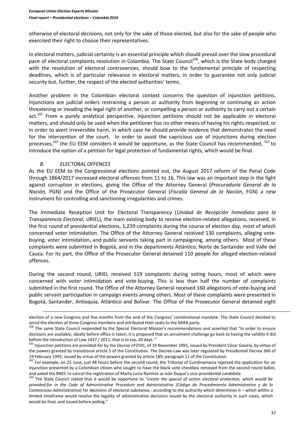otherwise of electoral decisions, not only for the sake of those elected, but also for the sake of people who exercised their right to choose their representatives.

In electoral matters, judicial certainty is an essential principle which should prevail over the slow procedural pace of electoral complaints resolution in Colombia. The State Council<sup>100</sup>, which is the State body charged with the resolution of electoral controversies, should bow to the fundamental principle of respecting deadlines, which is of particular relevance in electoral matters, in order to guarantee not only judicial security but, further, the respect of the elected authorities' terms.

Another problem in the Colombian electoral context concerns the question of injunction petitions. Injunctions are judicial orders restraining a person or authority from beginning or continuing an action threatening or invading the legal right of another, or compelling a person or authority to carry out a certain act.<sup>101</sup> From a purely analytical perspective, injunction petitions should not be applicable in electoral matters, and should only be used when the petitioner has no other means of having his rights respected, or in order to avert irreversible harm, in which case he should provide evidence that demonstrates the need for the intervention of the court. In order to avoid the capricious use of injunctions during election processes, $102$  the EU EEM considers it would be opportune, as the State Council has recommended,  $103$  to introduce the option of a petition for legal protection of fundamental rights, which would be final.

## *B. ELECTORAL OFFENCES*

 $\overline{\phantom{a}}$ 

As the EU EEM to the Congressional elections pointed out, the August 2017 reform of the Penal Code through 1864/2017 increased electoral offences from 11 to 16. This law was an important step in the fight against corruption in elections, giving the Office of the Attorney General (*Procuraduría General de la Nación,* PGN) and the Office of the Prosecutor General (*Fiscalía General de la Nación*, FGN) a new instrument for controlling and sanctioning irregularities and crimes.

The Immediate Reception Unit for Electoral Transparency (*Unidad de Recepción Inmediata para la Transparencia Electoral*, URIEL), the main existing body to receive election-related allegations, received, in the first round of presidential elections, 1,239 complaints during the course of election day, most of which concerned voter intimidation. The Office of the Attorney General received 130 complaints, alleging votebuying, voter intimidation, and public servants taking part in campaigning, among others. Most of these complaints were submitted in Bogotá, and in the departments Atlántico, Norte de Santander and Valle del Cauca. For its part, the Office of the Prosecutor General detained 110 people for alleged election-related offences.

During the second round, URIEL received 519 complaints during voting hours, most of which were concerned with voter intimidation and vote-buying. This is less than half the number of complaints submitted in the first round. The Office of the Attorney General received 160 allegations of vote-buying and public servant participation in campaign events among others. Most of these complaints were presented in Bogotá, Santander, Antioquia, Atlántico and Bolívar. The Office of the Prosecutor General detained eight

election of a new Congress and five months from the end of the Congress' constitutional mandate. The State Council decided to annul the election of three Congress members and attributed their seats to the MIRA party.

<sup>&</sup>lt;sup>100</sup> The same State Council responded to the Special Electoral Mission's recommendations and asserted that "In order to ensure decisions are available, ideally before office is taken, it is proposed that an annulment challenge go back to having the validity it did before the introduction of Law 1437 / 2011, that is to say, 20 days. "

<sup>&</sup>lt;sup>101</sup> Injunction petitions are provided-for by the Decree nº2591, of 19 November 1991, issued by President César Gaviria, by virtue of the powers granted by transitional article 5 of the Constitution. The Decree-Law was later regulated by Presidential Decree 306 of 19 February 1992, issued by virtue of the powers granted by article 189, paragraph 11 of the Constitution.

<sup>&</sup>lt;sup>102</sup> For example, on 25 June, just 48 hours before the second round, the Tribunal of Cundinamarca rejected the application for an injunction presented by a Colombian citizen who sought to have the blank vote checkbox removed from the second round ballot, and asked the RNEC to cancel the registration of Marta Lucia Ramírez as Iván Duque's vice-presidential candidate.

<sup>103</sup> The State Council stated that it would be opportune to *"create the special of action electoral protection, which would be provided-for in the Code of Administrative Procedure and Administrative (Código de Procedimiento Administrativo y de lo Contencioso Administrativo*) for decisions of electoral substance,- according to the authority which determines it – which within a limited timeframe would resolve the legality of administrative decisions issued by the electoral authority in such cases, which would be final, and issued before polling."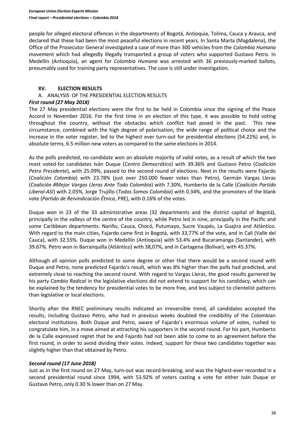people for alleged electoral offences in the departments of Bogotá, Antioquia, Tolima, Cauca y Arauca, and declared that these had been the most peaceful elections in recent years. In Santa Marta (Magdalena), the Office of the Prosecutor General investigated a case of more than 300 vehicles from the *Colombia Humana*  movement which had allegedly illegally transported a group of voters who supported Gustavo Petro. In Medellín (Antioquia), an agent for *Colombia Humana* was arrested with 36 previously-marked ballots, presumably used for training party representatives. The case is still under investigation.

#### **XV. ELECTION RESULTS**

# A. ANALYSIS OF THE PRESIDENTIAL ELECTION RESULTS

#### *First round (27 May 2018)*

The 27 May presidential elections were the first to be held in Colombia since the signing of the Peace Accord in November 2016. For the first time in an election of this type, it was possible to hold voting throughout the country, without the obstacles which conflict had posed in the past. This new circumstance, combined with the high degree of polarisation, the wide range of political choice and the increase in the voter register, led to the highest ever turn-out for presidential elections (54.22%) and, in absolute terms, 6.5 million new voters as compared to the same elections in 2014.

As the polls predicted, no candidate won an absolute majority of valid votes, as a result of which the two most voted-for candidates Iván Duque (*Centro Democrático*) with 39.36% and Gustavo Petro (*Coalición Petro Presidente*), with 25.09%, passed to the second round of elections. Next in the results were Fajardo (*Coalición Colombia*) with 23.78% (just over 250.000 fewer votes than Petro), Germán Vargas Lleras (*Coalición #Mejor Vargas Lleras Ante Todo Colombia*) with 7.30%, Humberto de la Calle (*Coalición Partido Liberal-ASI*) with 2.05%, Jorge Trujillo (*Todos Somos Colombia*) with 0.34%, and the promoters of the blank vote (*Partido de Reivindicación Étnica*, PRE), with 0.16% of the votes.

Duque won in 23 of the 33 administrative areas (32 departments and the district capital of Bogotá), principally in the valleys of the centre of the country, while Petro led in nine, principally in the Pacific and some Caribbean departments: Nariño, Cauca, Chocó, Putumayo, Sucre Vaupés, La Guajira and Atlántico. With regard to the main cities, Fajardo came first in Bogotá, with 33,77% of the vote, and in Cali (Valle del Cauca), with 32.55%. Duque won in Medellín (Antioquia) with 53.4% and Bucaramanga (Santander), with 39.67%. Petro won in Barranquilla (Atlántico) with 38,07%, and in Cartagena (Bolívar), with 45.37%.

Although all opinion polls predicted to some degree or other that there would be a second round with Duque and Petro, none predicted Fajardo's result, which was 8% higher than the polls had predicted, and extremely close to reaching the second round. With regard to Vargas Lleras, the good results garnered by his party *Cambio Radical* in the legislative elections did not extend to support for his candidacy, which can be explained by the tendency for presidential votes to be more free, and less subject to clientelist patterns than legislative or local elections.

Shortly after the RNEC preliminary results indicated an irreversible trend, all candidates accepted the results, including Gustavo Petro, who had in previous weeks doubted the credibility of the Colombian electoral institutions. Both Duque and Petro, aware of Fajardo's enormous volume of votes, rushed to congratulate him, in a move aimed at attracting his supporters in the second round. For his part, Humberto de la Calle expressed regret that he and Fajardo had not been able to come to an agreement before the first round, in order to avoid dividing their votes. Indeed, support for these two candidates together was slightly higher than that obtained by Petro.

#### *Second round (17 June 2018)*

Just as in the first round on 27 May, turn-out was record-breaking, and was the highest-ever recorded in a second presidential round since 1994, with 53.92% of voters casting a vote for either Iván Duque or Gustavo Petro, only 0.30 % lower than on 27 May.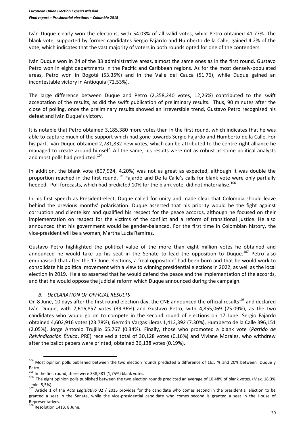Iván Duque clearly won the elections, with 54.03% of all valid votes, while Petro obtained 41.77%. The blank vote, supported by former candidates Sergio Fajardo and Humberto de la Calle, gained 4.2% of the vote, which indicates that the vast majority of voters in both rounds opted for one of the contenders.

Iván Duque won in 24 of the 33 administrative areas, almost the same ones as in the first round. Gustavo Petro won in eight departments in the Pacific and Caribbean regions. As for the most densely-populated areas, Petro won in Bogotá (53.35%) and in the Valle del Cauca (51.76), while Duque gained an incontestable victory in Antioquia (72.53%).

The large difference between Duque and Petro (2,358,240 votes, 12,26%) contributed to the swift acceptation of the results, as did the swift publication of preliminary results. Thus, 90 minutes after the close of polling, once the preliminary results showed an irreversible trend, Gustavo Petro recognised his defeat and Iván Duque's victory.

It is notable that Petro obtained 3,185,380 more votes than in the first round, which indicates that he was able to capture much of the support which had gone towards Sergio Fajardo and Humberto de la Calle. For his part, Iván Duque obtained 2,781,832 new votes, which can be attributed to the centre-right alliance he managed to create around himself. All the same, his results were not as robust as some political analysts and most polls had predicted.<sup>104</sup>

In addition, the blank vote (807,924, 4.20%) was not as great as expected, although it was double the proportion reached in the first round.<sup>105</sup> Fajardo and De la Calle's calls for blank vote were only partially heeded. Poll forecasts, which had predicted 10% for the blank vote, did not materialise.<sup>106</sup>

In his first speech as President-elect, Duque called for unity and made clear that Colombia should leave behind the previous months' polarisation. Duque asserted that his priority would be the fight against corruption and clientelism and qualified his respect for the peace accords, although he focused on their implementation on respect for the victims of the conflict and a reform of transitional justice. He also announced that his government would be gender-balanced. For the first time in Colombian history, the vice-president will be a woman, Martha Lucía Ramírez.

Gustavo Petro highlighted the political value of the more than eight million votes he obtained and announced he would take up his seat in the Senate to lead the opposition to Duque.<sup>107</sup> Petro also emphasised that after the 17 June elections, a 'real opposition' had been born and that he would work to consolidate his political movement with a view to winning presidential elections in 2022, as well as the local election in 2019. He also asserted that he would defend the peace and the implementation of the accords, and that he would oppose the judicial reform which Duque announced during the campaign.

## *B. DECLARATION OF OFFICIAL RESULTS*

On 8 June, 10 days after the first round election day, the CNE announced the official results<sup>108</sup> and declared Iván Duque, with 7,616,857 votes (39.36%) and Gustavo Petro, with 4,855,069 (25.09%), as the two candidates who would go on to compete in the second round of elections on 17 June. Sergio Fajardo obtained 4,602,916 votes (23.78%), Germán Vargas Lleras 1,412,392 (7.30%), Humberto de la Calle 396,151 (2.05%), Jorge Antonio Trujillo 65.767 (0.34%). Finally, those who promoted a blank vote (*Partido de Reivindicación Étnica*, PRE) received a total of 30,128 votes (0.16%) and Viviane Morales, who withdrew after the ballot papers were printed, obtained 36,138 votes (0.19%).

 $\ddot{\phantom{a}}$ 

<sup>&</sup>lt;sup>104</sup> Most opinion polls published between the two election rounds predicted a difference of 16.5 % and 20% between Duque y Petro.

 $105$  In the first round, there were 338,581 (1,75%) blank votes.

<sup>&</sup>lt;sup>106</sup> The eight opinion polls published between the two election rounds predicted an average of 10.48% of blank votes. (Max. 18,3% - min. 5,5%).

<sup>107</sup> Article 1 of the *Acto Legislativo* 02 / 2015 provides for the candidate who comes second in the presidential election to be granted a seat in the Senate, while the vice-presidential candidate who comes second is granted a seat in the House of Representatives.

<sup>108</sup> Resolution 1413, 8 June.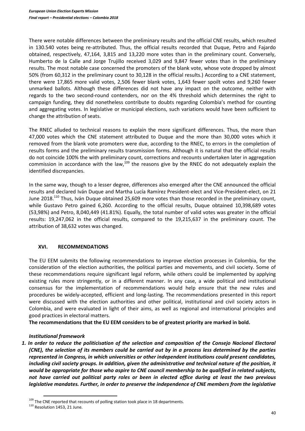There were notable differences between the preliminary results and the official CNE results, which resulted in 130.540 votes being re-attributed. Thus, the official results recorded that Duque, Petro and Fajardo obtained, respectively, 47,164, 3,815 and 13,220 more votes than in the preliminary count. Conversely, Humberto de la Calle and Jorge Trujillo received 3,029 and 9,847 fewer votes than in the preliminary results. The most notable case concerned the promoters of the blank vote, whose vote dropped by almost 50% (from 60,312 in the preliminary count to 30,128 in the official results.) According to a CNE statement, there were 17,865 more valid votes, 2,506 fewer blank votes, 1,643 fewer spoilt votes and 9,260 fewer unmarked ballots. Although these differences did not have any impact on the outcome, neither with regards to the two second-round contenders, nor on the 4% threshold which determines the right to campaign funding, they did nonetheless contribute to doubts regarding Colombia's method for counting and aggregating votes. In legislative or municipal elections, such variations would have been sufficient to change the attribution of seats.

The RNEC alluded to technical reasons to explain the more significant differences. Thus, the more than 47,000 votes which the CNE statement attributed to Duque and the more than 30,000 votes which it removed from the blank vote promoters were due, according to the RNEC, to errors in the completion of results forms and the preliminary results transmission forms. Although it is natural that the official results do not coincide 100% the with preliminary count, corrections and recounts undertaken later in aggregation commission in accordance with the law, $109$  the reasons give by the RNEC do not adequately explain the identified discrepancies.

In the same way, though to a lesser degree, differences also emerged after the CNE announced the official results and declared Iván Duque and Martha Lucía Ramírez President-elect and Vice-President-elect, on 21 June 2018.<sup>110</sup> Thus, Iván Duque obtained 25,609 more votes than those recorded in the preliminary count, while Gustavo Petro gained 6,260. According to the official results, Duque obtained 10,398,689 votes (53,98%) and Petro, 8,040,449 (41.81%). Equally, the total number of valid votes was greater in the official results: 19,247,062 in the official results, compared to the 19,215,637 in the preliminary count. The attribution of 38,632 votes was changed.

## **XVI. RECOMMENDATIONS**

The EU EEM submits the following recommendations to improve election processes in Colombia, for the consideration of the election authorities, the political parties and movements, and civil society. Some of these recommendations require significant legal reform, while others could be implemented by applying existing rules more stringently, or in a different manner. In any case, a wide political and institutional consensus for the implementation of recommendations would help ensure that the new rules and procedures be widely-accepted, efficient and long-lasting. The recommendations presented in this report were discussed with the election authorities and other political, institutional and civil society actors in Colombia, and were evaluated in light of their aims, as well as regional and international principles and good practices in electoral matters.

**The recommendations that the EU EEM considers to be of greatest priority are marked in bold.** 

## *Institutional framework*

*1. In order to reduce the politicisation of the selection and composition of the Consejo Nacional Electoral (CNE), the selection of its members could be carried out by in a process less determined by the parties represented in Congress, in which universities or other independent institutions could present candidates, including civil society groups. In addition, given the administrative and technical nature of the position, it would be appropriate for those who aspire to CNE council membership to be qualified in related subjects, not have carried out political party roles or been in elected office during at least the two previous legislative mandates. Further, in order to preserve the independence of CNE members from the legislative* 

 $\ddot{\phantom{a}}$ <sup>109</sup> The CNE reported that recounts of polling station took place in 18 departments.

<sup>110</sup> Resolution 1453, 21 June.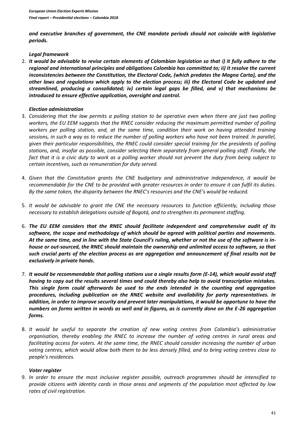*and executive branches of government, the CNE mandate periods should not coincide with legislative periods.*

## *Legal framework*

2. *It would be advisable to revise certain elements of Colombian legislation so that i) it fully adhere to the regional and international principles and obligations Colombia has committed to; ii) it resolve the current inconsistencies between the Constitution, the Electoral Code, (which predates the Magna Carta), and the other laws and regulations which apply to the election process; iii) the Electoral Code be updated and streamlined, producing a consolidated; iv) certain legal gaps be filled, and v) that mechanisms be introduced to ensure effective application, oversight and control.* 

## *Election administration*

- 3. *Considering that the law permits a polling station to be operative even when there are just two polling workers, the EU EEM suggests that the RNEC consider reducing the maximum permitted number of polling workers per polling station, and, at the same time, condition their work on having attended training sessions, in such a way as to reduce the number of polling workers who have not been trained. In parallel, given their particular responsibilities, the RNEC could consider special training for the presidents of polling stations, and, insofar as possible, consider selecting them separately from general polling staff. Finally, the fact that it is a civic duty to work as a polling worker should not prevent the duty from being subject to certain incentives, such as remuneration for duty served.*
- 4. *Given that the Constitution grants the CNE budgetary and administrative independence, it would be recommendable for the CNE to be provided with greater resources in order to ensure it can fulfil its duties. By the same token, the disparity between the RNEC's resources and the CNE's would be reduced.*
- 5. *It would be advisable to grant the CNE the necessary resources to function efficiently, including those necessary to establish delegations outside of Bogotá, and to strengthen its permanent staffing.*
- 6. *The EU EEM considers that the RNEC should facilitate independent and comprehensive audit of its software, the scope and methodology of which should be agreed with political parties and movements. At the same time, and in line with the State Council's ruling, whether or not the use of the software is inhouse or out-sourced, the RNEC should maintain the ownership and unlimited access to software, so that such crucial parts of the election process as are aggregation and announcement of final results not be exclusively in private hands.*
- 7. *It would be recommendable that polling stations use a single results form (E-14), which would avoid staff having to copy out the results several times and could thereby also help to avoid transcription mistakes. This single form could afterwards be used to the ends intended in the counting and aggregation procedures, including publication on the RNEC website and availability for party representatives. In addition, in order to improve security and prevent later manipulations, it would be opportune to have the numbers on forms written in words as well and in figures, as is currently done on the E-26 aggregation forms.*
- 8. *It would be useful to separate the creation of new voting centres from Colombia's administrative organisation, thereby enabling the RNEC to increase the number of voting centres in rural areas and facilitating access for voters. At the same time, the RNEC should consider increasing the number of urban voting centres, which would allow both them to be less densely filled, and to bring voting centres close to people's residences.*

## *Voter register*

9. *In order to ensure the most inclusive register possible, outreach programmes should be intensified to provide citizens with identity cards in those areas and segments of the population most affected by low rates of civil registration.*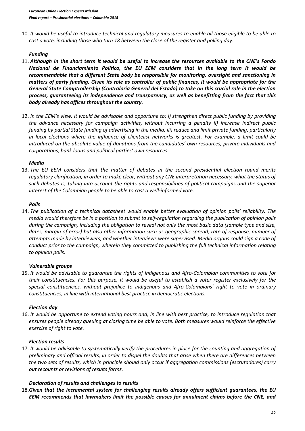10. *It would be useful to introduce technical and regulatory measures to enable all those eligible to be able to cast a vote, including those who turn 18 between the close of the register and polling day.* 

## *Funding*

- 11. *Although in the short term it would be useful to increase the resources available to the CNE's Fondo Nacional de Financiamiento Político, the EU EEM considers that in the long term it would be recommendable that a different State body be responsible for monitoring, oversight and sanctioning in matters of party funding. Given its role as controller of public finances, it would be appropriate for the General State Comptrollership (Contraloría General del Estado) to take on this crucial role in the election process, guaranteeing its independence and transparency, as well as benefitting from the fact that this body already has offices throughout the country.*
- 12. *In the EEM's view, it would be advisable and opportune to: i) strengthen direct public funding by providing the advance necessary for campaign activities, without incurring a penalty ii) increase indirect public funding by partial State funding of advertising in the media; iii) reduce and limit private funding, particularly in local elections where the influence of clientelist networks is greatest. For example, a limit could be introduced on the absolute value of donations from the candidates' own resources, private individuals and corporations, bank loans and political parties' own resources.*

#### *Media*

13. *The EU EEM considers that the matter of debates in the second presidential election round merits regulatory clarification, in order to make clear, without any CNE interpretation necessary, what the status of such debates is, taking into account the rights and responsibilities of political campaigns and the superior interest of the Colombian people to be able to cast a well-informed vote.* 

#### *Polls*

14. *The publication of a technical datasheet would enable better evaluation of opinion polls' reliability. The media would therefore be in a position to submit to self-regulation regarding the publication of opinion polls during the campaign, including the obligation to reveal not only the most basic data (sample type and size, dates, margin of error) but also other information such as geographic spread, rate of response, number of attempts made by interviewers, and whether interviews were supervised. Media organs could sign a code of conduct prior to the campaign, wherein they committed to publishing the full technical information relating to opinion polls.*

#### *Vulnerable groups*

15. *It would be advisable to guarantee the rights of indigenous and Afro-Colombian communities to vote for their constituencies. For this purpose, it would be useful to establish a voter register exclusively for the special constituencies, without prejudice to indigenous and Afro-Colombians' right to vote in ordinary constituencies, in line with international best practice in democratic elections.*

#### *Election day*

16. *It would be opportune to extend voting hours and, in line with best practice, to introduce regulation that ensures people already queuing at closing time be able to vote. Both measures would reinforce the effective exercise of right to vote.* 

## *Election results*

17. *It would be advisable to systematically verify the procedures in place for the counting and aggregation of preliminary and official results, in order to dispel the doubts that arise when there are differences between the two sets of results, which in principle should only occur if aggregation commissions (escrutadores) carry out recounts or revisions of results forms.* 

## *Declaration of results and challenges to results*

18.*Given that the incremental system for challenging results already offers sufficient guarantees, the EU EEM recommends that lawmakers limit the possible causes for annulment claims before the CNE, and*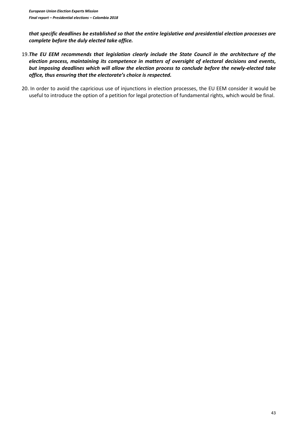*that specific deadlines be established so that the entire legislative and presidential election processes are complete before the duly elected take office.* 

- 19.*The EU EEM recommends that legislation clearly include the State Council in the architecture of the election process, maintaining its competence in matters of oversight of electoral decisions and events, but imposing deadlines which will allow the election process to conclude before the newly-elected take office, thus ensuring that the electorate's choice is respected.*
- 20. In order to avoid the capricious use of injunctions in election processes, the EU EEM consider it would be useful to introduce the option of a petition for legal protection of fundamental rights, which would be final.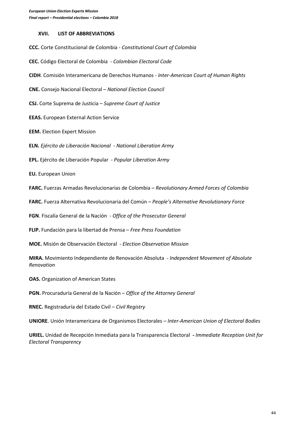#### **XVII. LIST OF ABBREVIATIONS**

**CCC.** Corte Constitucional de Colombia - *Constitutional Court of Colombia*

**CEC.** Código Electoral de Colombia - *Colombian Electoral Code*

**CIDH**. Comisión Interamericana de Derechos Humanos - *Inter-American Court of Human Rights*

**CNE.** Consejo Nacional Electoral – *National Election Council*

**CSJ.** Corte Suprema de Justicia – *Supreme Court of Justice*

**EEAS.** European External Action Service

**EEM.** Election Expert Mission

**ELN.** *Ejército de Liberación Nacional* - *National Liberation Army*

**EPL.** Ejército de Liberación Popular - *Popular Liberation Army*

**EU.** European Union

**FARC.** Fuerzas Armadas Revolucionarias de Colombia – *Revolutionary Armed Forces of Colombia*

**FARC.** Fuerza Alternativa Revolucionaria del Común – *People's Alternative Revolutionary Force*

**FGN**. Fiscalía General de la Nación - *Office of the Prosecutor General*

**FLIP.** Fundación para la libertad de Prensa – *Free Press Foundation*

**MOE.** Misión de Observación Electoral - *Election Observation Mission*

**MIRA.** Movimiento Independiente de Renovación Absoluta - *Independent Movement of Absolute Renovation*

**OAS.** Organization of American States

**PGN.** Procuraduría General de la Nación – *Office of the Attorney General*

**RNEC.** Registraduría del Estado Civil – *Civil Registry* 

**UNIORE**. Unión Interamericana de Organismos Electorales – *Inter-American Union of Electoral Bodies*

**URIEL.** Unidad de Recepción Inmediata para la Transparencia Electoral **-** *Immediate Reception Unit for Electoral Transparency*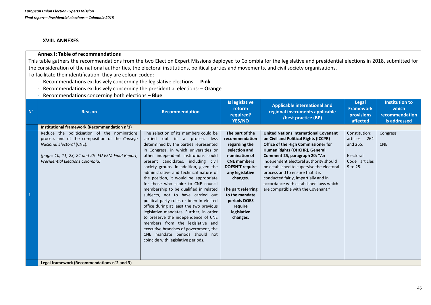#### **XVIII. ANNEXES**

#### **Annex I: Table of recommendations**

This table gathers the recommendations from the two Election Expert Missions deployed to Colombia for the legislative and presidential elections in 2018, submitted for the consideration of the national authorities, the electoral institutions, political parties and movements, and civil society organisations. To facilitate their identification, they are colour-coded:

- Recommendations exclusively concerning the legislative elections: **Pink**
- Recommendations exclusively concerning the presidential elections: **Orange**
- Recommendations concerning both elections **Blue**

| $N^{\circ}$ | <b>Reason</b>                                                                                                                                                                                                              | Recommendation                                                                                                                                                                                                                                                                                                                                                                                                                                                                                                                                                                                                                                                                                                                                                                                                          | Is legislative<br>reform<br>required?<br>YES/NO                                                                                                                                                                                                                   | <b>Applicable international and</b><br>regional instruments applicable<br>/best practice (BP)                                                                                                                                                                                                                                                                                                                                                     | <b>Legal</b><br><b>Framework</b><br>provisions<br>affected                          | <b>Institution to</b><br>which<br>recommendation<br>is addressed |
|-------------|----------------------------------------------------------------------------------------------------------------------------------------------------------------------------------------------------------------------------|-------------------------------------------------------------------------------------------------------------------------------------------------------------------------------------------------------------------------------------------------------------------------------------------------------------------------------------------------------------------------------------------------------------------------------------------------------------------------------------------------------------------------------------------------------------------------------------------------------------------------------------------------------------------------------------------------------------------------------------------------------------------------------------------------------------------------|-------------------------------------------------------------------------------------------------------------------------------------------------------------------------------------------------------------------------------------------------------------------|---------------------------------------------------------------------------------------------------------------------------------------------------------------------------------------------------------------------------------------------------------------------------------------------------------------------------------------------------------------------------------------------------------------------------------------------------|-------------------------------------------------------------------------------------|------------------------------------------------------------------|
|             | Institutional framework (Recommendation n°1)                                                                                                                                                                               |                                                                                                                                                                                                                                                                                                                                                                                                                                                                                                                                                                                                                                                                                                                                                                                                                         |                                                                                                                                                                                                                                                                   |                                                                                                                                                                                                                                                                                                                                                                                                                                                   |                                                                                     |                                                                  |
|             | Reduce the politicisation of the nominations<br>process and of the composition of the Consejo<br>Nacional Electoral (CNE).<br>(pages 10, 11, 23, 24 and 25 EU EEM Final Report,<br><b>Presidential Elections Colombia)</b> | The selection of its members could be<br>carried out in a process less<br>determined by the parties represented<br>in Congress, in which universities or<br>other independent institutions could<br>present candidates, including civil<br>society groups. In addition, given the<br>administrative and technical nature of<br>the position, it would be appropriate<br>for those who aspire to CNE council<br>membership to be qualified in related<br>subjects, not to have carried out<br>political party roles or been in elected<br>office during at least the two previous<br>legislative mandates. Further, in order<br>to preserve the independence of CNE<br>members from the legislative and<br>executive branches of government, the<br>CNE mandate periods should not<br>coincide with legislative periods. | The part of the<br>recommendation<br>regarding the<br>selection and<br>nomination of<br><b>CNE</b> members<br><b>DOESN'T require</b><br>any legislative<br>changes.<br>The part referring<br>to the mandate<br>periods DOES<br>require<br>legislative<br>changes. | <b>United Nations International Covenant</b><br>on Civil and Political Rights (ICCPR)<br>Office of the High Commissioner for<br>Human Rights (OHCHR), General<br>Comment 25, paragraph 20: "An<br>independent electoral authority should<br>be established to supervise the electoral<br>process and to ensure that it is<br>conducted fairly, impartially and in<br>accordance with established laws which<br>are compatible with the Covenant." | Constitution:<br>articles 264<br>and 265.<br>Electoral<br>Code articles<br>9 to 25. | Congress<br><b>CNE</b>                                           |
|             | Legal framework (Recommendations n°2 and 3)                                                                                                                                                                                |                                                                                                                                                                                                                                                                                                                                                                                                                                                                                                                                                                                                                                                                                                                                                                                                                         |                                                                                                                                                                                                                                                                   |                                                                                                                                                                                                                                                                                                                                                                                                                                                   |                                                                                     |                                                                  |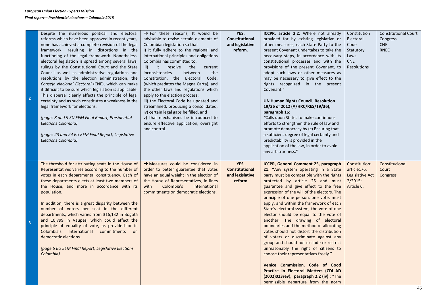| $\overline{2}$ | Despite the numerous political and electoral<br>reforms which have been approved in recent years,<br>none has achieved a complete revision of the legal<br>framework, resulting in distortions in the<br>functioning of the legal framework. Nonetheless,<br>electoral legislation is spread among several laws,<br>rulings by the Constitutional Court and the State<br>Council as well as administrative regulations and<br>resolutions by the election administration, the<br>Consejo Nacional Electoral (CNE), which can make<br>it difficult to be sure which legislation is applicable.<br>This dispersal clearly affects the principle of legal<br>certainty and as such constitutes a weakness in the<br>legal framework for elections.<br>(pages 8 and 9 EU EEM Final Report, Presidential<br>Elections Colombia)<br>(pages 23 and 24 EU EEM Final Report, Legislative<br>Elections Colombia) | $\rightarrow$ For these reasons, It would be<br>advisable to revise certain elements of<br>Colombian legislation so that<br>i) it fully adhere to the regional and<br>international principles and obligations<br>Colombia has committed to;<br>it resolve<br>ii)<br>the<br>current<br>inconsistencies<br>between<br>the<br>Constitution, the Electoral Code,<br>(which predates the Magna Carta), and<br>the other laws and regulations which<br>apply to the election process;<br>iii) the Electoral Code be updated and<br>streamlined, producing a consolidated;<br>iv) certain legal gaps be filled, and<br>v) that mechanisms be introduced to<br>ensure effective application, oversight<br>and control. | YES.<br>Constitutional<br>and legislative<br>reform.       | ICCPR, article 2.2: Where not already<br>provided for by existing legislative or<br>other measures, each State Party to the<br>present Covenant undertakes to take the<br>necessary steps, in accordance with its<br>constitutional processes and with the<br>provisions of the present Covenant, to<br>adopt such laws or other measures as<br>may be necessary to give effect to the<br>rights recognized in the present<br>Covenant."<br>UN Human Rights Council, Resolution<br>19/36 of 2012 (A/HRC/RES/19/36),<br>paragraph 16:<br>"Calls upon States to make continuous<br>efforts to strengthen the rule of law and<br>promote democracy by (c) Ensuring that<br>a sufficient degree of legal certainty and<br>predictability is provided in the<br>application of the law, in order to avoid<br>any arbitrariness."                                                                          | Constitution<br>Electoral<br>Code<br>Statutory<br>Laws<br><b>CNE</b><br><b>Resolutions</b> | <b>Constitutional Court</b><br>Congress<br><b>CNE</b><br><b>RNEC</b> |
|----------------|--------------------------------------------------------------------------------------------------------------------------------------------------------------------------------------------------------------------------------------------------------------------------------------------------------------------------------------------------------------------------------------------------------------------------------------------------------------------------------------------------------------------------------------------------------------------------------------------------------------------------------------------------------------------------------------------------------------------------------------------------------------------------------------------------------------------------------------------------------------------------------------------------------|-----------------------------------------------------------------------------------------------------------------------------------------------------------------------------------------------------------------------------------------------------------------------------------------------------------------------------------------------------------------------------------------------------------------------------------------------------------------------------------------------------------------------------------------------------------------------------------------------------------------------------------------------------------------------------------------------------------------|------------------------------------------------------------|------------------------------------------------------------------------------------------------------------------------------------------------------------------------------------------------------------------------------------------------------------------------------------------------------------------------------------------------------------------------------------------------------------------------------------------------------------------------------------------------------------------------------------------------------------------------------------------------------------------------------------------------------------------------------------------------------------------------------------------------------------------------------------------------------------------------------------------------------------------------------------------------------|--------------------------------------------------------------------------------------------|----------------------------------------------------------------------|
| $\overline{3}$ | The threshold for attributing seats in the House of<br>Representatives varies according to the number of<br>votes in each departmental constituency. Each of<br>these departments elects at least two members of<br>the House, and more in accordance with its<br>population.<br>In addition, there is a great disparity between the<br>number of voters per seat in the different<br>departments, which varies from 316,132 in Bogotá<br>and 10,799 in Vaupés, which could affect the<br>principle of equality of vote, as provided-for in<br>Colombia's International commitments on<br>democratic elections.<br>(page 6 EU EEM Final Report, Legislative Elections<br>Colombia)                                                                                                                                                                                                                     | $\rightarrow$ Measures could be considered in<br>order to better guarantee that votes<br>have an equal weight in the election of<br>the House of Representatives, in lines<br>Colombia's<br>with<br>International<br>commitments on democratic elections.                                                                                                                                                                                                                                                                                                                                                                                                                                                       | YES.<br><b>Constitutional</b><br>and legislative<br>reform | ICCPR, General Comment 25, paragraph<br>21: "Any system operating in a State<br>party must be compatible with the rights<br>protected by article 25 and must<br>guarantee and give effect to the free<br>expression of the will of the electors. The<br>principle of one person, one vote, must<br>apply, and within the framework of each<br>State's electoral system, the vote of one<br>elector should be equal to the vote of<br>another. The drawing of electoral<br>boundaries and the method of allocating<br>votes should not distort the distribution<br>of voters or discriminate against any<br>group and should not exclude or restrict<br>unreasonably the right of citizens to<br>choose their representatives freely."<br>Venice Commission. Code of Good<br>Practice in Electoral Matters (CDL-AD<br>(2002)023rev), paragraph 2.2 (iv) : "The<br>permissible departure from the norm | Constitution:<br>article176.<br>Legislative Act<br>$2/2015$ :<br>Article 6.                | Constitucional<br>Court<br>Congress                                  |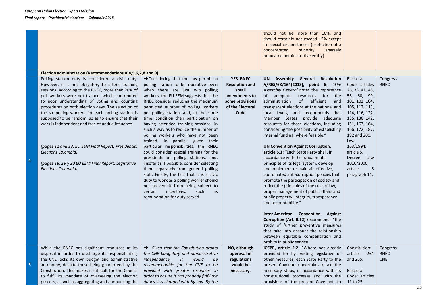|    |                                                                                                                                                                                                                                                                                                                                                                                                                                                                                                                                                                                                                                                 |                                                                                                                                                                                                                                                                                                                                                                                                                                                                                                                                                                                                                                                                                                                                                                                                                                                                                                                               |                                                                                                                    | should not be more than 10%, and<br>should certainly not exceed 15% except<br>in special circumstances (protection of a<br>concentrated<br>minority,<br>sparsely<br>populated administrative entity)                                                                                                                                                                                                                                                                                                                                                                                                                                                                                                                                                                                                                                                                                                                                                                                                                                                                                                                                                               |                                                                                                                                                                                                                                                                                         |                                |
|----|-------------------------------------------------------------------------------------------------------------------------------------------------------------------------------------------------------------------------------------------------------------------------------------------------------------------------------------------------------------------------------------------------------------------------------------------------------------------------------------------------------------------------------------------------------------------------------------------------------------------------------------------------|-------------------------------------------------------------------------------------------------------------------------------------------------------------------------------------------------------------------------------------------------------------------------------------------------------------------------------------------------------------------------------------------------------------------------------------------------------------------------------------------------------------------------------------------------------------------------------------------------------------------------------------------------------------------------------------------------------------------------------------------------------------------------------------------------------------------------------------------------------------------------------------------------------------------------------|--------------------------------------------------------------------------------------------------------------------|--------------------------------------------------------------------------------------------------------------------------------------------------------------------------------------------------------------------------------------------------------------------------------------------------------------------------------------------------------------------------------------------------------------------------------------------------------------------------------------------------------------------------------------------------------------------------------------------------------------------------------------------------------------------------------------------------------------------------------------------------------------------------------------------------------------------------------------------------------------------------------------------------------------------------------------------------------------------------------------------------------------------------------------------------------------------------------------------------------------------------------------------------------------------|-----------------------------------------------------------------------------------------------------------------------------------------------------------------------------------------------------------------------------------------------------------------------------------------|--------------------------------|
|    | Election administration (Recommendations n°4,5,6,7,8 and 9)                                                                                                                                                                                                                                                                                                                                                                                                                                                                                                                                                                                     |                                                                                                                                                                                                                                                                                                                                                                                                                                                                                                                                                                                                                                                                                                                                                                                                                                                                                                                               |                                                                                                                    |                                                                                                                                                                                                                                                                                                                                                                                                                                                                                                                                                                                                                                                                                                                                                                                                                                                                                                                                                                                                                                                                                                                                                                    |                                                                                                                                                                                                                                                                                         |                                |
| 4  | Polling station duty is considered a civic duty.<br>However, it is not obligatory to attend training<br>sessions. According to the RNEC, more than 20% of<br>poll workers were not trained, which contributed<br>to poor understanding of voting and counting<br>procedures on both election days. The selection of<br>the six polling workers for each polling station is<br>supposed to be random, so as to ensure that their<br>work is independent and free of undue influence.<br>(pages 12 and 13, EU EEM Final Report, Presidential<br>Elections Colombia)<br>(pages 18, 19 y 20 EU EEM Final Report, Legislative<br>Elections Colombia) | $\rightarrow$ Considering that the law permits a<br>polling station to be operative even<br>when there are just two polling<br>workers, the EU EEM suggests that the<br>RNEC consider reducing the maximum<br>permitted number of polling workers<br>per polling station, and, at the same<br>time, condition their participation on<br>having attended training sessions, in<br>such a way as to reduce the number of<br>polling workers who have not been<br>trained. In parallel, given their<br>particular responsibilities, the RNEC<br>could consider special training for the<br>presidents of polling stations, and,<br>insofar as it possible, consider selecting<br>them separately from general polling<br>staff. Finally, the fact that it is a civic<br>duty to work as a polling worker should<br>not prevent it from being subject to<br>incentives,<br>certain<br>such<br>as<br>remuneration for duty served. | <b>YES. RNEC</b><br><b>Resolution and</b><br>small<br>amendments to<br>some provisions<br>of the Electoral<br>Code | UN Assembly General Resolution<br>A/RES/68/164(2013), point 6: "The<br>Assembly General notes the importance<br>of adequate resources for the<br>administration<br>of efficient<br>and<br>transparent elections at the national and<br>local levels, and recommends that<br>Member States provide adequate<br>resources for those elections, including<br>considering the possibility of establishing<br>internal funding, where feasible."<br><b>UN Convention Against Corruption,</b><br>article 5.1: "Each State Party shall, in<br>accordance with the fundamental<br>principles of its legal system, develop<br>and implement or maintain effective,<br>coordinated anti-corruption policies that<br>promote the participation of society and<br>reflect the principles of the rule of law,<br>proper management of public affairs and<br>public property, integrity, transparency<br>and accountability."<br><b>Inter-American Convention</b><br>Against<br>Corruption (Art.III.12) recommends "the<br>study of further preventive measures<br>that take into account the relationship<br>between equitable compensation and<br>probity in public service. " | Electoral<br>Code articles<br>26, 33, 41, 48,<br>56, 60, 99,<br>101, 102, 104,<br>105, 112, 113,<br>114, 116, 122,<br>135, 136, 142,<br>151, 163, 164,<br>166, 172, 187,<br>192 and 200.<br>Law<br>163/1994:<br>article 5.<br>Decree Law<br>1010/2000,<br>article<br>5<br>paragraph 11. | Congress<br><b>RNEC</b>        |
| 5. | While the RNEC has significant resources at its<br>disposal in order to discharge its responsibilities,<br>the CNE lacks its own budget and administrative<br>autonomy, despite these being guaranteed by the<br>Constitution. This makes it difficult for the Council<br>to fulfil its mandate of overseeing the election<br>process, as well as aggregating and announcing the                                                                                                                                                                                                                                                                | $\rightarrow$ Given that the Constitution grants<br>the CNE budgetary and administrative<br>independence,<br>it<br>would<br>be<br>recommendable for the CNE to be<br>provided with greater resources in<br>order to ensure it can properly fulfil the<br>duties it is charged with by law. By the                                                                                                                                                                                                                                                                                                                                                                                                                                                                                                                                                                                                                             | NO, although<br>approval of<br>regulations<br>would be<br>necessary.                                               | ICCPR, article 2.2: "Where not already<br>provided for by existing legislative or<br>other measures, each State Party to the<br>present Covenant undertakes to take the<br>necessary steps, in accordance with its<br>constitutional processes and with the<br>provisions of the present Covenant, to                                                                                                                                                                                                                                                                                                                                                                                                                                                                                                                                                                                                                                                                                                                                                                                                                                                              | Constitution:<br>articles 264<br>and 265.<br>Electoral<br>Code: articles<br>11 to 25.                                                                                                                                                                                                   | Congress<br>RNEC<br><b>CNE</b> |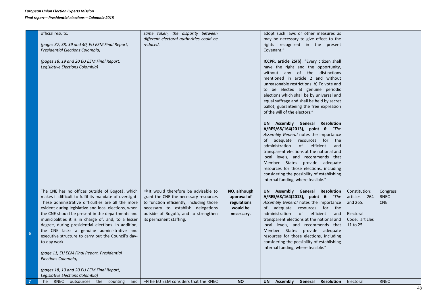#### *European Union Election Experts Mission Final report – Presidential elections – Colombia 2018*

|   | official results.<br>(pages 37, 38, 39 and 40, EU EEM Final Report,<br><b>Presidential Elections Colombia)</b><br>(pages 18, 19 and 20 EU EEM Final Report,<br>Legislative Elections Colombia)                                                                                                                                                                                                                                                                                                                                                                                                                                                                       | same token, the disparity between<br>different electoral authorities could be<br>reduced.                                                                                                                                                      |                                                                      | adopt such laws or other measures as<br>may be necessary to give effect to the<br>rights recognized in the present<br>Covenant."<br>ICCPR, article 25(b): "Every citizen shall<br>have the right and the opportunity,<br>without any of the distinctions<br>mentioned in article 2 and without<br>unreasonable restrictions: b) To vote and<br>to be elected at genuine periodic<br>elections which shall be by universal and<br>equal suffrage and shall be held by secret<br>ballot, guaranteeing the free expression<br>of the will of the electors."<br>UN Assembly General Resolution<br>A/RES/68/164(2013), point 6: "The<br>Assembly General notes the importance<br>of adequate resources for the<br>administration<br>of efficient<br>and<br>transparent elections at the national and<br>local levels, and recommends that<br>Member States provide adequate<br>resources for those elections, including<br>considering the possibility of establishing<br>internal funding, where feasible." |                                                                                       |                                       |
|---|----------------------------------------------------------------------------------------------------------------------------------------------------------------------------------------------------------------------------------------------------------------------------------------------------------------------------------------------------------------------------------------------------------------------------------------------------------------------------------------------------------------------------------------------------------------------------------------------------------------------------------------------------------------------|------------------------------------------------------------------------------------------------------------------------------------------------------------------------------------------------------------------------------------------------|----------------------------------------------------------------------|---------------------------------------------------------------------------------------------------------------------------------------------------------------------------------------------------------------------------------------------------------------------------------------------------------------------------------------------------------------------------------------------------------------------------------------------------------------------------------------------------------------------------------------------------------------------------------------------------------------------------------------------------------------------------------------------------------------------------------------------------------------------------------------------------------------------------------------------------------------------------------------------------------------------------------------------------------------------------------------------------------|---------------------------------------------------------------------------------------|---------------------------------------|
| 6 | The CNE has no offices outside of Bogotá, which<br>makes it difficult to fulfil its mandate of oversight.<br>These administrative difficulties are all the more<br>evident during legislative and local elections, when<br>the CNE should be present in the departments and<br>municipalities it is in charge of, and, to a lesser<br>degree, during presidential elections. In addition,<br>the CNE lacks a genuine administrative and<br>executive structure to carry out the Council's day-<br>to-day work.<br>(page 11, EU EEM Final Report, Presidential<br>Elections Colombia)<br>(pages 18, 19 and 20 EU EEM Final Report,<br>Legislative Elections Colombia) | $\rightarrow$ It would therefore be advisable to<br>grant the CNE the necessary resources<br>to function efficiently, including those<br>necessary to establish delegations<br>outside of Bogotá, and to strengthen<br>its permanent staffing. | NO, although<br>approval of<br>regulations<br>would be<br>necessary. | UN Assembly General Resolution<br>A/RES/68/164(2013), point 6: "The<br>Assembly General notes the importance<br>of adequate resources for the<br>administration<br>of efficient<br>and<br>transparent elections at the national and<br>local levels, and recommends that<br>Member States provide adequate<br>resources for those elections, including<br>considering the possibility of establishing<br>internal funding, where feasible."                                                                                                                                                                                                                                                                                                                                                                                                                                                                                                                                                             | Constitution:<br>articles 264<br>and 265.<br>Electoral<br>Code: articles<br>11 to 25. | Congress<br><b>RNEC</b><br><b>CNE</b> |
|   | The RNEC outsources the counting<br>and                                                                                                                                                                                                                                                                                                                                                                                                                                                                                                                                                                                                                              | $\rightarrow$ The EU EEM considers that the RNEC                                                                                                                                                                                               | <b>NO</b>                                                            | <b>UN</b><br>Assembly<br>General<br>Resolution                                                                                                                                                                                                                                                                                                                                                                                                                                                                                                                                                                                                                                                                                                                                                                                                                                                                                                                                                          | Electoral                                                                             | <b>RNEC</b>                           |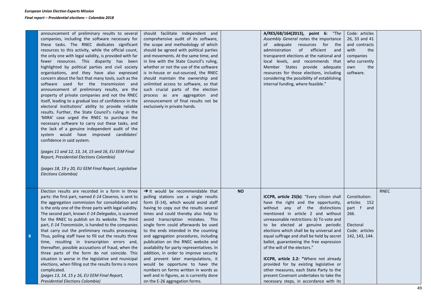**8**

| announcement of preliminary results to several<br>companies, including the software necessary for<br>these tasks. The RNEC dedicates significant<br>resources to this activity, while the official count,<br>the only one with legal validity, is provided with far<br>fewer resources. This disparity has been<br>highlighted by political parties and civil society<br>organisations, and they have also expressed<br>concern about the fact that many tools, such as the<br>software used for the transmission and<br>announcement of preliminary results, are the<br>property of private companies and not the RNEC<br>itself, leading to a gradual loss of confidence in the<br>electoral institutions' ability to provide reliable<br>results. Further, the State Council's ruling in the<br>'MIRA' case urged the RNEC to purchase the<br>necessary software to carry out these tasks, and<br>the lack of a genuine independent audit of the<br>system would have improved candidates'<br>confidence in said system.<br>(pages 11 and 12, 13, 14, 15 and 16, EU EEM Final<br>Report, Presidential Elections Colombia)<br>(pages 18, 19 y 20, EU EEM Final Report, Legislative<br>Elections Colombia) | should facilitate independent and<br>comprehensive audit of its software,<br>the scope and methodology of which<br>should be agreed with political parties<br>and movements. At the same time, and<br>in line with the State Council's ruling,<br>whether or not the use of the software<br>is in-house or out-sourced, the RNEC<br>should maintain the ownership and<br>unlimited access to software, so that<br>such crucial parts of the election<br>process as are aggregation and<br>announcement of final results not be<br>exclusively in private hands.                                                                                                                                               |           | A/RES/68/164(2013), point 6: "The<br>Assembly General notes the importance<br>of adequate resources for the<br>administration<br>of<br>efficient<br>and<br>transparent elections at the national and<br>local levels, and recommends that<br>Member States provide adequate<br>resources for those elections, including<br>considering the possibility of establishing<br>internal funding, where feasible."                                                                                                                                                                                                                               | Code: articles<br>26, 33 and 41<br>and contracts<br>with<br>the<br>companies<br>who currently<br>own<br>the<br>software. |             |
|-------------------------------------------------------------------------------------------------------------------------------------------------------------------------------------------------------------------------------------------------------------------------------------------------------------------------------------------------------------------------------------------------------------------------------------------------------------------------------------------------------------------------------------------------------------------------------------------------------------------------------------------------------------------------------------------------------------------------------------------------------------------------------------------------------------------------------------------------------------------------------------------------------------------------------------------------------------------------------------------------------------------------------------------------------------------------------------------------------------------------------------------------------------------------------------------------------------|---------------------------------------------------------------------------------------------------------------------------------------------------------------------------------------------------------------------------------------------------------------------------------------------------------------------------------------------------------------------------------------------------------------------------------------------------------------------------------------------------------------------------------------------------------------------------------------------------------------------------------------------------------------------------------------------------------------|-----------|--------------------------------------------------------------------------------------------------------------------------------------------------------------------------------------------------------------------------------------------------------------------------------------------------------------------------------------------------------------------------------------------------------------------------------------------------------------------------------------------------------------------------------------------------------------------------------------------------------------------------------------------|--------------------------------------------------------------------------------------------------------------------------|-------------|
| Election results are recorded in a form in three<br>parts: the first part, named E-14 Claveros, is sent to<br>the aggregation commission for consolidation and<br>is the only one of the three parts with legal validity.<br>The second part, known E-14 Delegados, is scanned<br>for the RNEC to publish on its website. The third<br>part, E-14 Transmisión, is handed to the companies<br>that carry out the preliminary results processing.<br>Thus, polling staff have to fill out the results three<br>time, resulting in transcription errors and,<br>thereafter, possible accusations of fraud, when the<br>three parts of the form do not coincide. This<br>situation is worse in the legislative and municipal<br>elections, when filling out the results forms is more<br>complicated.<br>(pages 13, 14, 15 y 16, EU EEM Final Report,<br>Presidential Elections Colombia)                                                                                                                                                                                                                                                                                                                       | $\rightarrow$ It would be recommendable that<br>polling stations use a single results<br>form (E-14), which would avoid staff<br>having to copy out the results several<br>times and could thereby also help to<br>avoid transcription mistakes. This<br>single form could afterwards be used<br>to the ends intended in the counting<br>and aggregation procedures, including<br>publication on the RNEC website and<br>availability for party representatives. In<br>addition, in order to improve security<br>and prevent later manipulations, it<br>would be opportune to have the<br>numbers on forms written in words as<br>well and in figures, as is currently done<br>on the E-26 aggregation forms. | <b>NO</b> | ICCPR, article 25(b): "Every citizen shall<br>have the right and the opportunity,<br>without any of the distinctions<br>mentioned in article 2 and without<br>unreasonable restrictions: b) To vote and<br>to be elected at genuine periodic<br>elections which shall be by universal and<br>equal suffrage and shall be held by secret<br>ballot, guaranteeing the free expression<br>of the will of the electors."<br>ICCPR, article 2.2: "Where not already<br>provided for by existing legislative or<br>other measures, each State Party to the<br>present Covenant undertakes to take the<br>necessary steps, in accordance with its | Constitution:<br>articles 152<br>part f and<br>266.<br>Electoral<br>Code: articles<br>142, 143, 144.                     | <b>RNEC</b> |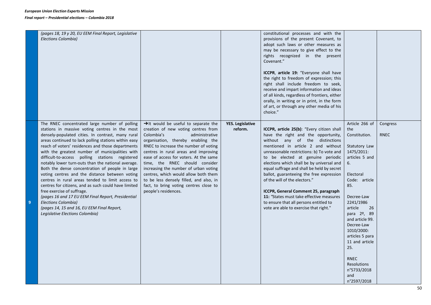*Final report – Presidential elections – Colombia 2018* 

|   | (pages 18, 19 y 20, EU EEM Final Report, Legislative<br>Elections Colombia)                                                                                                                                                                                                                                                                                                                                                                                                                                                                                                                                                                                                                                                                                                                                                                       |                                                                                                                                                                                                                                                                                                                                                                                                                                                                                                                          |                                    | constitutional processes and with the<br>provisions of the present Covenant, to<br>adopt such laws or other measures as<br>may be necessary to give effect to the<br>rights recognized in the present<br>Covenant."<br><b>ICCPR, article 19:</b> "Everyone shall have<br>the right to freedom of expression; this<br>right shall include freedom to seek,<br>receive and impart information and ideas<br>of all kinds, regardless of frontiers, either<br>orally, in writing or in print, in the form<br>of art, or through any other media of his<br>choice."                               |                                                                                                                                                                                                                                                                                                                                                                                 |                         |
|---|---------------------------------------------------------------------------------------------------------------------------------------------------------------------------------------------------------------------------------------------------------------------------------------------------------------------------------------------------------------------------------------------------------------------------------------------------------------------------------------------------------------------------------------------------------------------------------------------------------------------------------------------------------------------------------------------------------------------------------------------------------------------------------------------------------------------------------------------------|--------------------------------------------------------------------------------------------------------------------------------------------------------------------------------------------------------------------------------------------------------------------------------------------------------------------------------------------------------------------------------------------------------------------------------------------------------------------------------------------------------------------------|------------------------------------|----------------------------------------------------------------------------------------------------------------------------------------------------------------------------------------------------------------------------------------------------------------------------------------------------------------------------------------------------------------------------------------------------------------------------------------------------------------------------------------------------------------------------------------------------------------------------------------------|---------------------------------------------------------------------------------------------------------------------------------------------------------------------------------------------------------------------------------------------------------------------------------------------------------------------------------------------------------------------------------|-------------------------|
| 9 | The RNEC concentrated large number of polling<br>stations in massive voting centres in the most<br>densely-populated cities. In contrast, many rural<br>areas continued to lack polling stations within easy<br>reach of voters' residences and those departments<br>with the greatest number of municipalities with<br>difficult-to-access polling stations registered<br>notably lower turn-outs than the national average.<br>Both the dense concentration of people in large<br>voting centres and the distance between voting<br>centres in rural areas tended to limit access to<br>centres for citizens, and as such could have limited<br>free exercise of suffrage.<br>(pages 16 and 17 EU EEM Final Report, Presidential<br><b>Elections Colombia)</b><br>(pages 14, 15 and 16, EU EEM Final Report,<br>Legislative Elections Colombia) | $\rightarrow$ It would be useful to separate the<br>creation of new voting centres from<br>Colombia's<br>administrative<br>organisation, thereby enabling the<br>RNEC to increase the number of voting<br>centres in rural areas and improving<br>ease of access for voters. At the same<br>time, the RNEC should consider<br>increasing the number of urban voting<br>centres, which would allow both them<br>to be less densely filled, and also, in<br>fact, to bring voting centres close to<br>people's residences. | <b>YES. Legislative</b><br>reform. | ICCPR, article 25(b): "Every citizen shall<br>have the right and the opportunity,<br>without any of the distinctions<br>mentioned in article 2 and without<br>unreasonable restrictions: b) To vote and<br>to be elected at genuine periodic<br>elections which shall be by universal and<br>equal suffrage and shall be held by secret<br>ballot, guaranteeing the free expression<br>of the will of the electors."<br>ICCPR, General Comment 25, paragraph<br>11: "States must take effective measures<br>to ensure that all persons entitled to<br>vote are able to exercise that right." | Article 266 of<br>the<br>Constitution.<br>Statutory Law<br>1475/2011:<br>articles 5 and<br>6.<br>Electoral<br>Code: article<br>85.<br>Decree-Law<br>2241/1986<br>article<br>26<br>para 2 <sup>o</sup> , 89<br>and article 99.<br>Decree-Law<br>1010/2000:<br>articles 5 para<br>11 and article<br>25.<br><b>RNEC</b><br><b>Resolutions</b><br>n°5733/2018<br>and<br>n°2597/2018 | Congress<br><b>RNEC</b> |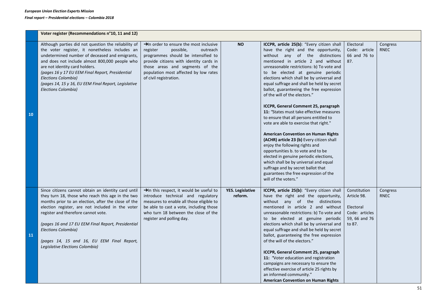|     | Voter register (Recommendations n°10, 11 and 12)                                                                                                                                                                                                                                                                                                                                                                         |                                                                                                                                                                                                                                                                                  |                                    |                                                                                                                                                                                                                                                                                                                                                                                                                                                                                                                                                                                                                                                                                                                                                                                                                                                                                                                                                           |                                                                                       |                         |
|-----|--------------------------------------------------------------------------------------------------------------------------------------------------------------------------------------------------------------------------------------------------------------------------------------------------------------------------------------------------------------------------------------------------------------------------|----------------------------------------------------------------------------------------------------------------------------------------------------------------------------------------------------------------------------------------------------------------------------------|------------------------------------|-----------------------------------------------------------------------------------------------------------------------------------------------------------------------------------------------------------------------------------------------------------------------------------------------------------------------------------------------------------------------------------------------------------------------------------------------------------------------------------------------------------------------------------------------------------------------------------------------------------------------------------------------------------------------------------------------------------------------------------------------------------------------------------------------------------------------------------------------------------------------------------------------------------------------------------------------------------|---------------------------------------------------------------------------------------|-------------------------|
| 10  | Although parties did not question the reliability of<br>the voter register, it nonetheless includes an<br>undetermined number of deceased and emigrants,<br>and does not include almost 800,000 people who<br>are not identity card holders.<br>(pages 16 y 17 EU EEM Final Report, Presidential<br>Elections Colombia)<br>(pages 14, 15 y 16, EU EEM Final Report, Legislative<br>Elections Colombia)                   | $\rightarrow$ In order to ensure the most inclusive<br>register<br>possible,<br>outreach<br>programmes should be intensified to<br>provide citizens with identity cards in<br>those areas and segments of the<br>population most affected by low rates<br>of civil registration. | <b>NO</b>                          | ICCPR, article 25(b): "Every citizen shall<br>have the right and the opportunity,<br>without any of the distinctions<br>mentioned in article 2 and without<br>unreasonable restrictions: b) To vote and<br>to be elected at genuine periodic<br>elections which shall be by universal and<br>equal suffrage and shall be held by secret<br>ballot, guaranteeing the free expression<br>of the will of the electors."<br>ICCPR, General Comment 25, paragraph<br>11: "States must take effective measures<br>to ensure that all persons entitled to<br>vote are able to exercise that right."<br><b>American Convention on Human Rights</b><br>(ACHR) article 23 (b) Every citizen shall<br>enjoy the following rights and<br>opportunities b. to vote and to be<br>elected in genuine periodic elections,<br>which shall be by universal and equal<br>suffrage and by secret ballot that<br>guarantees the free expression of the<br>will of the voters." | Electoral<br>Code: article<br>66 and 76 to<br>87.                                     | Congress<br>RNEC        |
| 11. | Since citizens cannot obtain an identity card until<br>they turn 18, those who reach this age in the two<br>months prior to an election, after the close of the<br>election register, are not included in the voter<br>register and therefore cannot vote.<br>(pages 16 and 17 EU EEM Final Report, Presidential<br>Elections Colombia)<br>(pages 14, 15 and 16, EU EEM Final Report,<br>Legislative Elections Colombia) | >In this respect, it would be useful to<br>introduce technical and regulatory<br>measures to enable all those eligible to<br>be able to cast a vote, including those<br>who turn 18 between the close of the<br>register and polling day.                                        | <b>YES. Legislative</b><br>reform. | ICCPR, article 25(b): "Every citizen shall<br>have the right and the opportunity,<br>without any of the distinctions<br>mentioned in article 2 and without<br>unreasonable restrictions: b) To vote and<br>to be elected at genuine periodic<br>elections which shall be by universal and<br>equal suffrage and shall be held by secret<br>ballot, guaranteeing the free expression<br>of the will of the electors."<br>ICCPR, General Comment 25, paragraph<br>11: "Voter education and registration<br>campaigns are necessary to ensure the<br>effective exercise of article 25 rights by<br>an informed community."<br><b>American Convention on Human Rights</b>                                                                                                                                                                                                                                                                                     | Constitution<br>Article 98.<br>Electoral<br>Code: articles<br>59, 66 and 76<br>to 87. | Congress<br><b>RNEC</b> |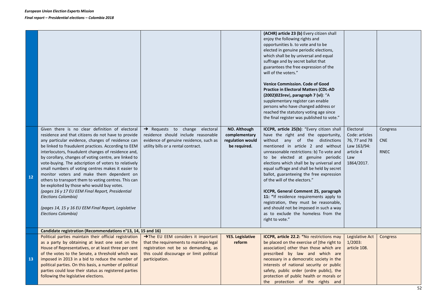|    |                                                                                                                                                                                                                                                                                                                                                                                                                                                                                                                                                                                                                                                                                                                                                             |                                                                                                                                                                                     |                                                                   | (ACHR) article 23 (b) Every citizen shall<br>enjoy the following rights and<br>opportunities b. to vote and to be<br>elected in genuine periodic elections,<br>which shall be by universal and equal<br>suffrage and by secret ballot that<br>guarantees the free expression of the<br>will of the voters."<br><b>Venice Commission. Code of Good</b><br><b>Practice in Electoral Matters (CDL-AD</b><br>(2002)023rev), paragraph 7 (vi): "A<br>supplementary register can enable<br>persons who have changed address or<br>reached the statutory voting age since<br>the final register was published to vote."                                       |                                                                                               |                                       |
|----|-------------------------------------------------------------------------------------------------------------------------------------------------------------------------------------------------------------------------------------------------------------------------------------------------------------------------------------------------------------------------------------------------------------------------------------------------------------------------------------------------------------------------------------------------------------------------------------------------------------------------------------------------------------------------------------------------------------------------------------------------------------|-------------------------------------------------------------------------------------------------------------------------------------------------------------------------------------|-------------------------------------------------------------------|--------------------------------------------------------------------------------------------------------------------------------------------------------------------------------------------------------------------------------------------------------------------------------------------------------------------------------------------------------------------------------------------------------------------------------------------------------------------------------------------------------------------------------------------------------------------------------------------------------------------------------------------------------|-----------------------------------------------------------------------------------------------|---------------------------------------|
| 12 | Given there is no clear definition of electoral<br>residence and that citizens do not have to provide<br>any particular evidence, changes of residence can<br>be linked to fraudulent practices. According to EEM<br>interlocutors, fraudulent changes of residence and,<br>by corollary, changes of voting centre, are linked to<br>vote-buying. The adscription of voters to relatively<br>small numbers of voting centres makes it easier to<br>monitor voters and make them dependent on<br>others to transport them to voting centres. This can<br>be exploited by those who would buy votes.<br>(pages 16 y 17 EU EEM Final Report, Presidential<br>Elections Colombia)<br>(pages 14, 15 y 16 EU EEM Final Report, Legislative<br>Elections Colombia) | Requests to change electoral<br>residence should include reasonable<br>evidence of genuine residence, such as<br>utility bills or a rental contract.                                | NO. Although<br>complementary<br>regulation would<br>be required. | ICCPR, article 25(b): "Every citizen shall<br>have the right and the opportunity,<br>without any of the distinctions<br>mentioned in article 2 and without<br>unreasonable restrictions: b) To vote and<br>to be elected at genuine periodic<br>elections which shall be by universal and<br>equal suffrage and shall be held by secret<br>ballot, guaranteeing the free expression<br>of the will of the electors."<br>ICCPR, General Comment 25, paragraph<br>11: "If residence requirements apply to<br>registration, they must be reasonable,<br>and should not be imposed in such a way<br>as to exclude the homeless from the<br>right to vote." | Electoral<br>Code: articles<br>76, 77 and 78<br>Law 163/94:<br>article 4<br>Law<br>1864/2017. | Congress<br><b>CNE</b><br><b>RNEC</b> |
|    | Candidate registration (Recommendations n°13, 14, 15 and 16)                                                                                                                                                                                                                                                                                                                                                                                                                                                                                                                                                                                                                                                                                                |                                                                                                                                                                                     |                                                                   |                                                                                                                                                                                                                                                                                                                                                                                                                                                                                                                                                                                                                                                        |                                                                                               |                                       |
| 13 | Political parties maintain their official registration<br>as a party by obtaining at least one seat on the<br>House of Representatives, or at least three per cent<br>of the votes to the Senate, a threshold which was<br>imposed in 2013 in a bid to reduce the number of<br>political parties. On this basis, a number of political<br>parties could lose their status as registered parties<br>following the legislative elections.                                                                                                                                                                                                                                                                                                                     | >The EU EEM considers it important<br>that the requirements to maintain legal<br>registration not be so demanding, as<br>this could discourage or limit political<br>participation. | <b>YES. Legislative</b><br>reform                                 | ICCPR, article 22.2: "No restrictions may<br>be placed on the exercise of [the right to<br>association] other than those which are<br>prescribed by law and which are<br>necessary in a democratic society in the<br>interests of national security or public<br>safety, public order (ordre public), the<br>protection of public health or morals or<br>the protection of the rights and                                                                                                                                                                                                                                                              | Legislative Act<br>$1/2003$ :<br>article 108.                                                 | Congress                              |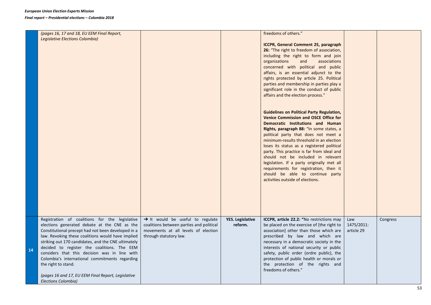*Final report – Presidential elections – Colombia 2018* 

|    | (pages 16, 17 and 18, EU EEM Final Report,<br>Legislative Elections Colombia)                                                                                                                                                                                                                                                                                                                                                                                                                                          |                                                                                                                                                           |                                    | freedoms of others."<br>ICCPR, General Comment 25, paragraph<br>26: "The right to freedom of association,<br>including the right to form and join<br>organizations<br>and<br>associations<br>concerned with political and public<br>affairs, is an essential adjunct to the<br>rights protected by article 25. Political<br>parties and membership in parties play a<br>significant role in the conduct of public<br>affairs and the election process."<br><b>Guidelines on Political Party Regulation,</b><br><b>Venice Commission and OSCE Office for</b><br>Democratic Institutions and Human<br>Rights, paragraph 88: "In some states, a<br>political party that does not meet a<br>minimum-results threshold in an election<br>loses its status as a registered political<br>party. This practice is far from ideal and<br>should not be included in relevant<br>legislation. If a party originally met all<br>requirements for registration, then it<br>should be able to continue party<br>activities outside of elections. |                                 |          |
|----|------------------------------------------------------------------------------------------------------------------------------------------------------------------------------------------------------------------------------------------------------------------------------------------------------------------------------------------------------------------------------------------------------------------------------------------------------------------------------------------------------------------------|-----------------------------------------------------------------------------------------------------------------------------------------------------------|------------------------------------|------------------------------------------------------------------------------------------------------------------------------------------------------------------------------------------------------------------------------------------------------------------------------------------------------------------------------------------------------------------------------------------------------------------------------------------------------------------------------------------------------------------------------------------------------------------------------------------------------------------------------------------------------------------------------------------------------------------------------------------------------------------------------------------------------------------------------------------------------------------------------------------------------------------------------------------------------------------------------------------------------------------------------------|---------------------------------|----------|
| 14 | Registration of coalitions for the legislative<br>elections generated debate at the CNE as the<br>Constitutional precept had not been developed in a<br>law. Revoking these coalitions would have implied<br>striking out 170 candidates, and the CNE ultimately<br>decided to register the coalitions. The EEM<br>considers that this decision was in line with<br>Colombia's international commitments regarding<br>the right to stand.<br>(pages 16 and 17, EU EEM Final Report, Legislative<br>Elections Colombia) | $\rightarrow$ It would be useful to regulate<br>coalitions between parties and political<br>movements at all levels of election<br>through statutory law. | <b>YES. Legislative</b><br>reform. | ICCPR, article 22.2: "No restrictions may<br>be placed on the exercise of [the right to<br>association] other than those which are<br>prescribed by law and which are<br>necessary in a democratic society in the<br>interests of national security or public<br>safety, public order (ordre public), the<br>protection of public health or morals or<br>the protection of the rights and<br>freedoms of others."                                                                                                                                                                                                                                                                                                                                                                                                                                                                                                                                                                                                                  | Law<br>1475/2011:<br>article 29 | Congress |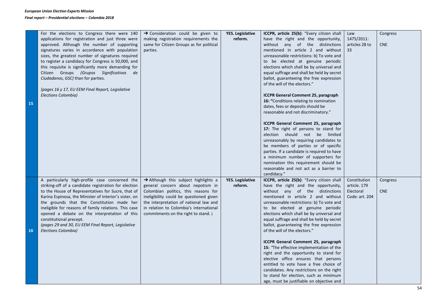|    | For the elections to Congress there were 140           | → Consideration could be given to        | <b>YES. Legislative</b> | ICCPR, article 25(b): "Every citizen shall  | Law            | Congress   |
|----|--------------------------------------------------------|------------------------------------------|-------------------------|---------------------------------------------|----------------|------------|
|    | applications for registration and just three were      | making registration requirements the     | reform.                 | have the right and the opportunity,         | 1475/2011:     |            |
|    | approved. Although the number of supporting            | same for Citizen Groups as for political |                         | without any of the distinctions             | articles 28 to | <b>CNE</b> |
|    | signatures varies in accordance with population        | parties.                                 |                         | mentioned in article 2 and without          | 33             |            |
|    | sizes, the greatest number of signatures required      |                                          |                         | unreasonable restrictions: b) To vote and   |                |            |
|    | to register a candidacy for Congress is 50,000, and    |                                          |                         | to be elected at genuine periodic           |                |            |
|    | this requisite is significantly more demanding for     |                                          |                         | elections which shall be by universal and   |                |            |
|    | Citizen Groups (Grupos Significativos de               |                                          |                         | equal suffrage and shall be held by secret  |                |            |
|    | Ciudadanos, GSC) than for parties.                     |                                          |                         | ballot, guaranteeing the free expression    |                |            |
|    |                                                        |                                          |                         | of the will of the electors."               |                |            |
|    | (pages 16 y 17, EU EEM Final Report, Legislative       |                                          |                         |                                             |                |            |
|    | Elections Colombia)                                    |                                          |                         | <b>ICCPR General Comment 25, paragraph</b>  |                |            |
|    |                                                        |                                          |                         | 16: "Conditions relating to nomination      |                |            |
| 15 |                                                        |                                          |                         | dates, fees or deposits should be           |                |            |
|    |                                                        |                                          |                         | reasonable and not discriminatory."         |                |            |
|    |                                                        |                                          |                         |                                             |                |            |
|    |                                                        |                                          |                         | ICCPR General Comment 25, paragraph         |                |            |
|    |                                                        |                                          |                         | 17: The right of persons to stand for       |                |            |
|    |                                                        |                                          |                         | election should not be limited              |                |            |
|    |                                                        |                                          |                         | unreasonably by requiring candidates to     |                |            |
|    |                                                        |                                          |                         | be members of parties or of specific        |                |            |
|    |                                                        |                                          |                         | parties. If a candidate is required to have |                |            |
|    |                                                        |                                          |                         | a minimum number of supporters for          |                |            |
|    |                                                        |                                          |                         | nomination this requirement should be       |                |            |
|    |                                                        |                                          |                         | reasonable and not act as a barrier to      |                |            |
|    |                                                        |                                          |                         | candidacy."                                 |                |            |
|    | A particularly high-profile case concerned the         | Although this subject highlights a       | <b>YES. Legislative</b> | ICCPR, article 25(b): "Every citizen shall  | Constitution   | Congress   |
|    | striking-off of a candidate registration for election  | general concern about nepotism in        | reform.                 | have the right and the opportunity,         | article. 179   |            |
|    | to the House of Representatives for Sucre, that of     | Colombian politics, this reasons for     |                         | without any of the distinctions             | Electoral      | <b>CNE</b> |
|    | Karina Espinosa, the Minister of Interior's sister, on | ineligibility could be questioned given  |                         | mentioned in article 2 and without          | Code: art. 204 |            |
|    | the grounds that the Constitution made her             | the interpretation of national law and   |                         | unreasonable restrictions: b) To vote and   |                |            |
|    | ineligible for reasons of family relations. This case  | in relation to Colombia's international  |                         | to be elected at genuine periodic           |                |            |
|    | opened a debate on the interpretation of this          | commitments on the right to stand. j     |                         | elections which shall be by universal and   |                |            |
|    | constitutional precept.                                |                                          |                         | equal suffrage and shall be held by secret  |                |            |
|    | (pages 29 and 30, EU EEM Final Report, Legislative     |                                          |                         | ballot, guaranteeing the free expression    |                |            |
| 16 | Elections Colombia)                                    |                                          |                         | of the will of the electors."               |                |            |
|    |                                                        |                                          |                         |                                             |                |            |
|    |                                                        |                                          |                         | ICCPR General Comment 25, paragraph         |                |            |
|    |                                                        |                                          |                         | 15: "The effective implementation of the    |                |            |
|    |                                                        |                                          |                         | right and the opportunity to stand for      |                |            |
|    |                                                        |                                          |                         | elective office ensures that persons        |                |            |
|    |                                                        |                                          |                         | entitled to vote have a free choice of      |                |            |
|    |                                                        |                                          |                         | candidates. Any restrictions on the right   |                |            |
|    |                                                        |                                          |                         | to stand for election, such as minimum      |                |            |
|    |                                                        |                                          |                         | age, must be justifiable on objective and   |                |            |
|    |                                                        |                                          |                         |                                             |                |            |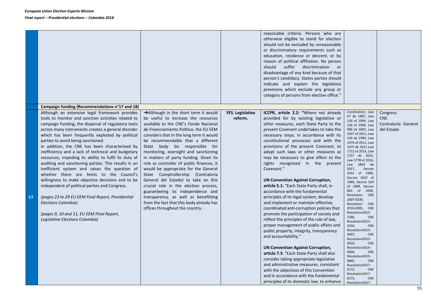|    |                                                                                                                                                                                                                                                                                                                                                                                                                                                                                                                                                                                                                                                                                                                                                                                                                                                                                                                                                          |                                                                                                                                                                                                                                                                                                                                                                                                                                                                                                                                                                                                                                                                                                                                                         |                                    | reasonable criteria. Persons who are<br>otherwise eligible to stand for election<br>should not be excluded by unreasonable<br>or discriminatory requirements such as<br>education, residence or descent, or by<br>reason of political affiliation. No person<br>should suffer discrimination or<br>disadvantage of any kind because of that<br>person's candidacy. States parties should<br>indicate and explain the legislative<br>provisions which exclude any group or<br>category of persons from elective office."                                                                                                                                                                                                                                                                                                                                                                                                                                   |                                                                                                                                                                                                                                                                                                                                                                                                                                                                                                                                                                                                                                                                                     |                                                             |
|----|----------------------------------------------------------------------------------------------------------------------------------------------------------------------------------------------------------------------------------------------------------------------------------------------------------------------------------------------------------------------------------------------------------------------------------------------------------------------------------------------------------------------------------------------------------------------------------------------------------------------------------------------------------------------------------------------------------------------------------------------------------------------------------------------------------------------------------------------------------------------------------------------------------------------------------------------------------|---------------------------------------------------------------------------------------------------------------------------------------------------------------------------------------------------------------------------------------------------------------------------------------------------------------------------------------------------------------------------------------------------------------------------------------------------------------------------------------------------------------------------------------------------------------------------------------------------------------------------------------------------------------------------------------------------------------------------------------------------------|------------------------------------|-----------------------------------------------------------------------------------------------------------------------------------------------------------------------------------------------------------------------------------------------------------------------------------------------------------------------------------------------------------------------------------------------------------------------------------------------------------------------------------------------------------------------------------------------------------------------------------------------------------------------------------------------------------------------------------------------------------------------------------------------------------------------------------------------------------------------------------------------------------------------------------------------------------------------------------------------------------|-------------------------------------------------------------------------------------------------------------------------------------------------------------------------------------------------------------------------------------------------------------------------------------------------------------------------------------------------------------------------------------------------------------------------------------------------------------------------------------------------------------------------------------------------------------------------------------------------------------------------------------------------------------------------------------|-------------------------------------------------------------|
| 17 | Campaign funding (Recommendations n°17 and 18)<br>Although an extensive legal framework provides<br>tools to monitor and sanction activities related to<br>campaign funding, the dispersal of regulatory texts<br>across many instruments creates a general disorder<br>which has been frequently exploited by political<br>parties to avoid being sanctioned.<br>In addition, the CNE has been characterised by<br>inefficiency and a lack of technical and budgetary<br>resources, impeding its ability to fulfil its duty of<br>auditing and sanctioning parties. This results in an<br>inefficient system and raises the question of<br>whether there are limits to the Council's<br>willingness to make objective decisions and to be<br>independent of political parties and Congress.<br>(pages 23 to 29 EU EEM Final Report, Presidential<br>Elections Colombia)<br>(pages 9, 10 and 11, EU EEM Final Report,<br>Legislative Elections Colombia) | $\rightarrow$ Although in the short term it would<br>be useful to increase the resources<br>available to the CNE's Fondo Nacional<br>de Financiamiento Político, the EU EEM<br>considers that in the long term it would<br>be recommendable that a different<br>State body be responsible for<br>monitoring, oversight and sanctioning<br>in matters of party funding. Given its<br>role as controller of public finances, it<br>would be appropriate for the General<br>State Comptrollership (Contraloría<br>General del Estado) to take on this<br>crucial role in the election process,<br>guaranteeing its independence and<br>transparency, as well as benefitting<br>from the fact that this body already has<br>offices throughout the country. | <b>YES. Legislative</b><br>reform. | ICCPR, article 2.2: "Where not already<br>provided for by existing legislative or<br>other measures, each State Party to the<br>present Covenant undertakes to take the<br>necessary steps, in accordance with its<br>constitutional processes and with the<br>provisions of the present Covenant, to<br>adopt such laws or other measures as<br>may be necessary to give effect to the<br>rights recognized in the present<br>Covenant."<br><b>UN Convention Against Corruption,</b><br>article 5.1: "Each State Party shall, in<br>accordance with the fundamental<br>principles of its legal system, develop<br>and implement or maintain effective,<br>coordinated anti-corruption policies that<br>promote the participation of society and<br>reflect the principles of the rule of law,<br>proper management of public affairs and<br>public property, integrity, transparency<br>and accountability."<br><b>UN Convention Against Corruption,</b> | Constitution, Law<br>57 de 1887, Law<br>130 of 1994, Law<br>136 of 1994, Law<br>996 de 2005, Law<br>1437 of 2011, Law<br>144 de 1994, Law<br>1474 of 2011, Law<br>1475 de 2011 Law<br>1712 of 2014, Law<br>1757 de 2015,<br>Law 1778 of 2016,<br>Law 1864 de<br>2017,<br>Decree<br>2241 of 1986,<br>Decree 2547 of<br>1989, Decree 624<br>of 1989, Decree<br>863 of 2006,<br>Resolution<br><b>CNE</b><br>2007-0330,<br>Resolution<br><b>CNE</b><br>2010-0285, CNE<br>Resolution2013-<br>1586,<br><b>CNE</b><br>Resolution2013-<br>2544,<br><b>CNE</b><br>Resolution2013-<br>3097,<br><b>CNE</b><br>Resolution2013-<br>3619,<br><b>CNE</b><br>Resolution2014-<br>0004,<br><b>CNE</b> | Congress<br><b>CNE</b><br>Contraloría General<br>del Estado |
|    |                                                                                                                                                                                                                                                                                                                                                                                                                                                                                                                                                                                                                                                                                                                                                                                                                                                                                                                                                          |                                                                                                                                                                                                                                                                                                                                                                                                                                                                                                                                                                                                                                                                                                                                                         |                                    | article 7.3: "Each State Party shall also<br>consider taking appropriate legislative<br>and administrative measures, consistent<br>with the objectives of this Convention<br>and in accordance with the fundamental<br>principles of its domestic law, to enhance                                                                                                                                                                                                                                                                                                                                                                                                                                                                                                                                                                                                                                                                                         | Resolution2015-<br>0865,<br><b>CNE</b><br>Resolution2017-<br>0172,<br><b>CNE</b><br>Resolution2017-<br>0173,<br><b>CNE</b><br>Resolution2017-                                                                                                                                                                                                                                                                                                                                                                                                                                                                                                                                       |                                                             |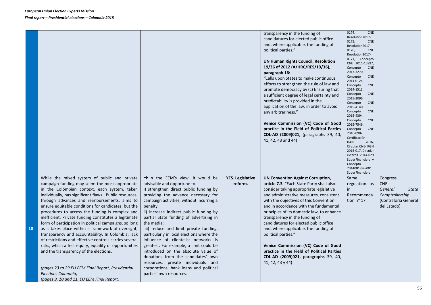|    |                                                                                                          |                                                                                     |                         | transparency in the funding of<br>candidatures for elected public office | 0174,<br><b>CNE</b><br>Resolution2017- |                      |
|----|----------------------------------------------------------------------------------------------------------|-------------------------------------------------------------------------------------|-------------------------|--------------------------------------------------------------------------|----------------------------------------|----------------------|
|    |                                                                                                          |                                                                                     |                         | and, where applicable, the funding of                                    | 0175,<br><b>CNE</b><br>Resolution2017- |                      |
|    |                                                                                                          |                                                                                     |                         | political parties."                                                      | 0170,<br><b>CNE</b>                    |                      |
|    |                                                                                                          |                                                                                     |                         |                                                                          | Resolution2017-<br>0171, Concepto      |                      |
|    |                                                                                                          |                                                                                     |                         | <b>UN Human Rights Council, Resolution</b>                               | CNE 2011-15897,                        |                      |
|    |                                                                                                          |                                                                                     |                         | 19/36 of 2012 (A/HRC/RES/19/36),                                         | Concepto<br><b>CNE</b><br>2013-3270,   |                      |
|    |                                                                                                          |                                                                                     |                         | paragraph 16:<br>"Calls upon States to make continuous                   | Concepto<br><b>CNE</b>                 |                      |
|    |                                                                                                          |                                                                                     |                         | efforts to strengthen the rule of law and                                | 2014-0124,                             |                      |
|    |                                                                                                          |                                                                                     |                         | promote democracy by (c) Ensuring that                                   | Concepto<br><b>CNE</b><br>2014-1513,   |                      |
|    |                                                                                                          |                                                                                     |                         | a sufficient degree of legal certainty and                               | Concepto<br><b>CNE</b>                 |                      |
|    |                                                                                                          |                                                                                     |                         | predictability is provided in the                                        | 2015-2096,<br>Concepto<br><b>CNE</b>   |                      |
|    |                                                                                                          |                                                                                     |                         | application of the law, in order to avoid                                | 2015-4140,                             |                      |
|    |                                                                                                          |                                                                                     |                         | any arbitrariness."                                                      | Concepto<br><b>CNE</b><br>2015-4394,   |                      |
|    |                                                                                                          |                                                                                     |                         |                                                                          | Concepto<br><b>CNE</b>                 |                      |
|    |                                                                                                          |                                                                                     |                         | Venice Commission (VC) Code of Good                                      | 2015-7546,                             |                      |
|    |                                                                                                          |                                                                                     |                         | practice in the Field of Political Parties                               | <b>CNE</b><br>Concepto<br>2016-0982,   |                      |
|    |                                                                                                          |                                                                                     |                         | CDL-AD (2009)021, (paragraphs 39, 40,<br>41, 42, 43 and 44)              | Certificación                          |                      |
|    |                                                                                                          |                                                                                     |                         |                                                                          | DANE - 2016,<br>Circular CNE- PGN      |                      |
|    |                                                                                                          |                                                                                     |                         |                                                                          | 2015-017, Circular                     |                      |
|    |                                                                                                          |                                                                                     |                         |                                                                          | externa 2014-029                       |                      |
|    |                                                                                                          |                                                                                     |                         |                                                                          | SuperFinanciera y<br>Concepto          |                      |
|    |                                                                                                          |                                                                                     |                         |                                                                          | 2014001896-001                         |                      |
|    | While the mixed system of public and private                                                             | $\rightarrow$ In the EEM's view, it would be                                        | <b>YES. Legislative</b> | <b>UN Convention Against Corruption,</b>                                 | SuperFinanciera.<br>Same               | Congress             |
|    | campaign funding may seem the most appropriate                                                           | advisable and opportune to:                                                         | reform.                 | article 7.3: "Each State Party shall also                                | regulation as                          | <b>CNE</b>           |
|    | in the Colombian context, each system, taken                                                             | i) strengthen direct public funding by                                              |                         | consider taking appropriate legislative                                  | in                                     | General<br>State     |
|    | individually, has significant flaws. Public resources,                                                   | providing the advance necessary for                                                 |                         | and administrative measures, consistent                                  | Recommenda                             | Comptrollership      |
|    | through advances and reimbursements, aims to                                                             | campaign activities, without incurring a                                            |                         | with the objectives of this Convention                                   | tion $n^{\circ}$ 17.                   | (Contraloría General |
|    | ensure equitable conditions for candidates, but the                                                      | penalty                                                                             |                         | and in accordance with the fundamental                                   |                                        | del Estado)          |
|    | procedures to access the funding is complex and                                                          | ii) increase indirect public funding by                                             |                         | principles of its domestic law, to enhance                               |                                        |                      |
|    | inefficient. Private funding constitutes a legitimate                                                    | partial State funding of advertising in                                             |                         | transparency in the funding of                                           |                                        |                      |
| 18 | form of participation in political campaigns, so long                                                    | the media;                                                                          |                         | candidatures for elected public office                                   |                                        |                      |
|    | as it takes place within a framework of oversight,<br>transparency and accountability. In Colombia, lack | iii) reduce and limit private funding,<br>particularly in local elections where the |                         | and, where applicable, the funding of<br>political parties."             |                                        |                      |
|    | of restrictions and effective controls carries several                                                   | influence of clientelist networks is                                                |                         |                                                                          |                                        |                      |
|    | risks, which affect equity, equality of opportunities                                                    | greatest. For example, a limit could be                                             |                         | Venice Commission (VC) Code of Good                                      |                                        |                      |
|    | and the transparency of the elections.                                                                   | introduced on the absolute value of                                                 |                         | practice in the Field of Political Parties                               |                                        |                      |
|    |                                                                                                          | donations from the candidates' own                                                  |                         | CDL-AD (2009)021, paragraphs 39, 40,                                     |                                        |                      |
|    |                                                                                                          | resources, private individuals and                                                  |                         | 41, 42, 43 y 44)                                                         |                                        |                      |
|    | (pages 23 to 29 EU EEM Final Report, Presidential                                                        | corporations, bank loans and political                                              |                         |                                                                          |                                        |                      |
|    | Elections Colombia)                                                                                      | parties' own resources.                                                             |                         |                                                                          |                                        |                      |
|    | (pages 9, 10 and 11, EU EEM Final Report,                                                                |                                                                                     |                         |                                                                          |                                        |                      |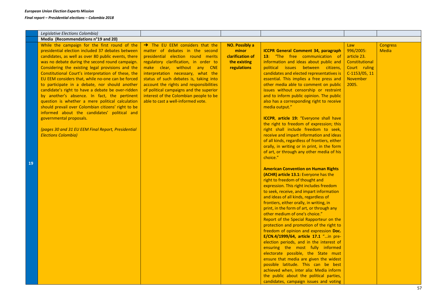|    | Legislative Elections Colombia)                                                                                                                                                                                                                                                                                                                                                                                                                                                                                                                                                                                                                                                                                                                                                                                |                                                                                                                                                                                                                                                                                                                                                                                                                                                    |                                                                                   |                                                                                                                                                                                                                                                                                                                                                                                                                                                                                                                                                                                                                                                                                                                                                                                                                                                                                                                                                                                                                                                                                                                                                                                                                                                                                                                                                                                                                                                                                                                                                                                                                                                                                                |                                                                                                                  |                                 |
|----|----------------------------------------------------------------------------------------------------------------------------------------------------------------------------------------------------------------------------------------------------------------------------------------------------------------------------------------------------------------------------------------------------------------------------------------------------------------------------------------------------------------------------------------------------------------------------------------------------------------------------------------------------------------------------------------------------------------------------------------------------------------------------------------------------------------|----------------------------------------------------------------------------------------------------------------------------------------------------------------------------------------------------------------------------------------------------------------------------------------------------------------------------------------------------------------------------------------------------------------------------------------------------|-----------------------------------------------------------------------------------|------------------------------------------------------------------------------------------------------------------------------------------------------------------------------------------------------------------------------------------------------------------------------------------------------------------------------------------------------------------------------------------------------------------------------------------------------------------------------------------------------------------------------------------------------------------------------------------------------------------------------------------------------------------------------------------------------------------------------------------------------------------------------------------------------------------------------------------------------------------------------------------------------------------------------------------------------------------------------------------------------------------------------------------------------------------------------------------------------------------------------------------------------------------------------------------------------------------------------------------------------------------------------------------------------------------------------------------------------------------------------------------------------------------------------------------------------------------------------------------------------------------------------------------------------------------------------------------------------------------------------------------------------------------------------------------------|------------------------------------------------------------------------------------------------------------------|---------------------------------|
|    | Media (Recommendations n°19 and 20)                                                                                                                                                                                                                                                                                                                                                                                                                                                                                                                                                                                                                                                                                                                                                                            |                                                                                                                                                                                                                                                                                                                                                                                                                                                    |                                                                                   |                                                                                                                                                                                                                                                                                                                                                                                                                                                                                                                                                                                                                                                                                                                                                                                                                                                                                                                                                                                                                                                                                                                                                                                                                                                                                                                                                                                                                                                                                                                                                                                                                                                                                                |                                                                                                                  |                                 |
| 19 | While the campaign for the first round of the<br>presidential election included 37 debates between<br>candidates, as well as over 80 public events, there<br>was no debate during the second round campaign.<br>Considering the existing legal provisions and the<br>Constitutional Court's interpretation of these, the<br>EU EEM considers that, while no-one can be forced<br>to participate in a debate, nor should another<br>candidate's right to have a debate be over-ridden<br>by another's absence. In fact, the pertinent<br>question is whether a mere political calculation<br>should prevail over Colombian citizens' right to be<br>informed about the candidates' political and<br>governmental proposals.<br>(pages 30 and 31 EU EEM Final Report, Presidential<br><b>Elections Colombia)</b> | $\rightarrow$ The EU EEM considers that the<br>matter of debates in the second<br>presidential election round merits<br>regulatory clarification, in order to<br>make clear, without any CNE<br>interpretation necessary, what the<br>status of such debates is, taking into<br>account the rights and responsibilities<br>of political campaigns and the superior<br>interest of the Colombian people to be<br>able to cast a well-informed vote. | <b>NO. Possibly a</b><br>minor<br>clarification of<br>the existing<br>regulations | <b>ICCPR General Comment 34, paragraph</b><br>13: "The free communication of<br>information and ideas about public and<br>political issues between citizens,<br>candidates and elected representatives is<br>essential. This implies a free press and<br>other media able to comment on public<br>issues without censorship or restraint<br>and to inform public opinion. The public<br>also has a corresponding right to receive<br>media output."<br>ICCPR, article 19: "Everyone shall have<br>the right to freedom of expression; this<br>right shall include freedom to seek,<br>receive and impart information and ideas<br>of all kinds, regardless of frontiers, either<br>orally, in writing or in print, in the form<br>of art, or through any other media of his<br>choice."<br><b>American Convention on Human Rights</b><br>(ACHR) article 13.1: Everyone has the<br>right to freedom of thought and<br>expression. This right includes freedom<br>to seek, receive, and impart information<br>and ideas of all kinds, regardless of<br>frontiers, either orally, in writing, in<br>print, in the form of art, or through any<br>other medium of one's choice."<br>Report of the Special Rapporteur on the<br>protection and promotion of the right to<br>freedom of opinion and expression Doc.<br>E/CN.4/1999/64, article 17.1 "in pre-<br>election periods, and in the interest of<br>ensuring the most fully informed<br>electorate possible, the State must<br>ensure that media are given the widest<br>possible latitude. This can be best<br>achieved when, inter alia: Media inform<br>the public about the political parties,<br>candidates, campaign issues and voting | Law<br>996/2005:<br>article 23.<br>Constitutional<br>Court ruling<br>$C-1153/05, 11$<br><b>November</b><br>2005. | <b>Congress</b><br><b>Media</b> |
|    |                                                                                                                                                                                                                                                                                                                                                                                                                                                                                                                                                                                                                                                                                                                                                                                                                |                                                                                                                                                                                                                                                                                                                                                                                                                                                    |                                                                                   |                                                                                                                                                                                                                                                                                                                                                                                                                                                                                                                                                                                                                                                                                                                                                                                                                                                                                                                                                                                                                                                                                                                                                                                                                                                                                                                                                                                                                                                                                                                                                                                                                                                                                                |                                                                                                                  | 57                              |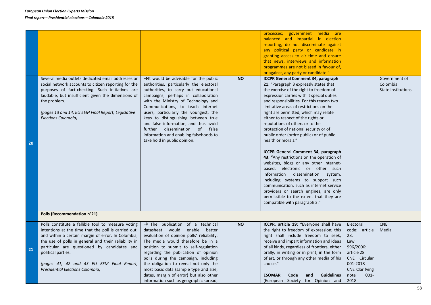| communication, such as internet service<br>providers or search engines, are only | 20 | Several media outlets dedicated email addresses or<br>social network accounts to citizen reporting for the<br>purposes of fact-checking. Such initiatives are<br>laudable, but insufficient given the dimensions of<br>the problem.<br>(pages 13 and 14, EU EEM Final Report, Legislative<br>Elections Colombia)                                                                      | $\rightarrow$ It would be advisable for the public<br>authorities, particularly the electoral<br>authorities, to carry out educational<br>campaigns, perhaps in collaboration<br>with the Ministry of Technology and<br>Communications, to teach internet<br>users, particularly the youngest, the<br>keys to distinguishing between true<br>and false information, and thus avoid<br>further dissemination of false<br>information and enabling falsehoods to<br>take hold in public opinion. | <b>NO</b> | processes; government media are<br>balanced and impartial in election<br>reporting, do not discriminate against<br>any political party or candidate in<br>granting access to air time and ensure<br>that news, interviews and information<br>programmes are not biased in favour of,<br>or against, any party or candidate."<br><b>ICCPR General Comment 34, paragraph</b><br>21: "Paragraph 3 expressly states that<br>the exercise of the right to freedom of<br>expression carries with it special duties<br>and responsibilities. For this reason two<br>limitative areas of restrictions on the<br>right are permitted, which may relate<br>either to respect of the rights or<br>reputations of others or to the<br>protection of national security or of<br>public order (ordre public) or of public<br>health or morals."<br>ICCPR General Comment 34, paragraph<br>43: "Any restrictions on the operation of<br>websites, blogs or any other internet-<br>based, electronic or other such<br>information dissemination system,<br>including systems to support such |                                                                                                                          | Government of<br>Colombia<br><b>State Institutions</b> |
|----------------------------------------------------------------------------------|----|---------------------------------------------------------------------------------------------------------------------------------------------------------------------------------------------------------------------------------------------------------------------------------------------------------------------------------------------------------------------------------------|------------------------------------------------------------------------------------------------------------------------------------------------------------------------------------------------------------------------------------------------------------------------------------------------------------------------------------------------------------------------------------------------------------------------------------------------------------------------------------------------|-----------|------------------------------------------------------------------------------------------------------------------------------------------------------------------------------------------------------------------------------------------------------------------------------------------------------------------------------------------------------------------------------------------------------------------------------------------------------------------------------------------------------------------------------------------------------------------------------------------------------------------------------------------------------------------------------------------------------------------------------------------------------------------------------------------------------------------------------------------------------------------------------------------------------------------------------------------------------------------------------------------------------------------------------------------------------------------------------|--------------------------------------------------------------------------------------------------------------------------|--------------------------------------------------------|
|                                                                                  |    | Polls (Recommendation n°21)                                                                                                                                                                                                                                                                                                                                                           |                                                                                                                                                                                                                                                                                                                                                                                                                                                                                                |           |                                                                                                                                                                                                                                                                                                                                                                                                                                                                                                                                                                                                                                                                                                                                                                                                                                                                                                                                                                                                                                                                              |                                                                                                                          |                                                        |
|                                                                                  | 21 | Polls constitute a fallible tool to measure voting<br>intentions at the time that the poll is carried out,<br>and within a certain margin of error. In Colombia,<br>the use of polls in general and their reliability in<br>particular are questioned by candidates and<br>political parties.<br>(pages 41, 42 and 43 EU EEM Final Report,<br><b>Presidential Elections Colombia)</b> | $\rightarrow$ The publication of a technical<br>datasheet would enable<br>better<br>evaluation of opinion polls' reliability.<br>The media would therefore be in a<br>position to submit to self-regulation<br>regarding the publication of opinion<br>polls during the campaign, including<br>the obligation to reveal not only the<br>most basic data (sample type and size,                                                                                                                 | <b>NO</b> | ICCPR, article 19: "Everyone shall have<br>the right to freedom of expression; this<br>right shall include freedom to seek,<br>receive and impart information and ideas<br>of all kinds, regardless of frontiers, either<br>orally, in writing or in print, in the form<br>of art, or through any other media of his<br>choice."                                                                                                                                                                                                                                                                                                                                                                                                                                                                                                                                                                                                                                                                                                                                             | Electoral<br>code: article<br>28.<br>Law<br>996/2006:<br>article 28<br>CNE Circular<br>001-2018<br><b>CNE Clarifying</b> | <b>CNE</b><br>Media                                    |
|                                                                                  |    |                                                                                                                                                                                                                                                                                                                                                                                       | dates, margin of error) but also other<br>information such as geographic spread,                                                                                                                                                                                                                                                                                                                                                                                                               |           | <b>ESOMAR</b><br><b>Guidelines</b><br>Code<br>and<br>(European Society for Opinion and                                                                                                                                                                                                                                                                                                                                                                                                                                                                                                                                                                                                                                                                                                                                                                                                                                                                                                                                                                                       | note<br>$001 -$<br>2018                                                                                                  |                                                        |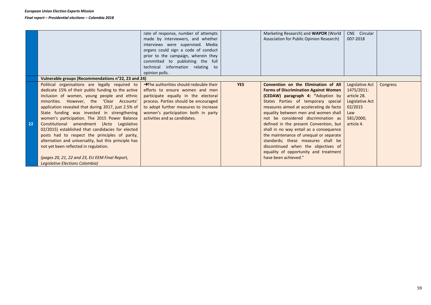|    |                                                      | rate of response, number of attempts                |            | Marketing Research) and <b>WAPOR</b> (World  | CNE Circular    |          |
|----|------------------------------------------------------|-----------------------------------------------------|------------|----------------------------------------------|-----------------|----------|
|    |                                                      | made by interviewers, and whether                   |            | Association for Public Opinion Research)     | 007-2018        |          |
|    |                                                      | interviews were supervised. Media                   |            |                                              |                 |          |
|    |                                                      |                                                     |            |                                              |                 |          |
|    |                                                      | organs could sign a code of conduct                 |            |                                              |                 |          |
|    |                                                      | prior to the campaign, wherein they                 |            |                                              |                 |          |
|    |                                                      | committed to publishing the full                    |            |                                              |                 |          |
|    |                                                      | technical information relating to                   |            |                                              |                 |          |
|    |                                                      | opinion polls.                                      |            |                                              |                 |          |
|    | Vulnerable groups (Recommendations n°22, 23 and 24)  |                                                     |            |                                              |                 |          |
|    | Political organisations are legally required to      | $\rightarrow$ The authorities should redouble their | <b>YES</b> | Convention on the Elimination of All         | Legislative Act | Congress |
|    | dedicate 15% of their public funding to the active   | efforts to ensure women and men                     |            | <b>Forms of Discrimination Against Women</b> | 1475/2011:      |          |
|    | inclusion of women, young people and ethnic          | participate equally in the electoral                |            | (CEDAW) paragraph 4: "Adoption by            | article 28.     |          |
|    | minorities. However, the 'Clear Accounts'            | process. Parties should be encouraged               |            | States Parties of temporary special          | Legislative Act |          |
|    | application revealed that during 2017, just 2.5% of  | to adopt further measures to increase               |            | measures aimed at accelerating de facto      | 02/2015         |          |
|    | State funding was invested in strengthening          | women's participation both in party                 |            | equality between men and women shall         | Law             |          |
|    | women's participation. The 2015 Power Balance        | activities and as candidates.                       |            | not be considered discrimination as          | 581/2000,       |          |
| 22 | Constitutional amendment (Acto Legislativo           |                                                     |            | defined in the present Convention, but       | article 4.      |          |
|    | 02/2015) established that candidacies for elected    |                                                     |            | shall in no way entail as a consequence      |                 |          |
|    | posts had to respect the principles of parity,       |                                                     |            | the maintenance of unequal or separate       |                 |          |
|    | alternation and universality, but this principle has |                                                     |            | standards; these measures shall be           |                 |          |
|    | not yet been reflected in regulation.                |                                                     |            | discontinued when the objectives of          |                 |          |
|    |                                                      |                                                     |            | equality of opportunity and treatment        |                 |          |
|    | (pages 20, 21, 22 and 23, EU EEM Final Report,       |                                                     |            | have been achieved."                         |                 |          |
|    | Legislative Elections Colombia)                      |                                                     |            |                                              |                 |          |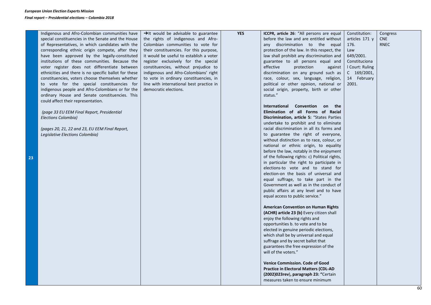| Indigenous and Afro-Colombian communities have<br>special constituencies in the Senate and the House<br>of Representatives, in which candidates with the<br>corresponding ethnic origin compete, after they<br>have been approved by the legally-constituted<br>institutions of these communities. Because the<br>voter register does not differentiate between<br>ethnicities and there is no specific ballot for these<br>constituencies, voters choose themselves whether<br>to vote for the special constituencies for<br>indigenous people and Afro-Colombians or for the<br>ordinary House and Senate constituencies. This<br>could affect their representation.<br>(page 33 EU EEM Final Report, Presidential<br>Elections Colombia)<br>(pages 20, 21, 22 and 23, EU EEM Final Report,<br>Legislative Elections Colombia) | $\rightarrow$ It would be advisable to guarantee<br>the rights of indigenous and Afro-<br>Colombian communities to vote for<br>their constituencies. For this purpose,<br>it would be useful to establish a voter<br>register exclusively for the special<br>constituencies, without prejudice to<br>indigenous and Afro-Colombians' right<br>to vote in ordinary constituencies, in<br>line with international best practice in<br>democratic elections. | <b>YES</b> | <b>ICCPR, article 26:</b> "All persons are equal<br>before the law and are entitled without<br>any discrimination to the equal<br>protection of the law. In this respect, the<br>law shall prohibit any discrimination and<br>guarantee to all persons equal and<br>effective<br>protection<br>against<br>discrimination on any ground such as<br>race, colour, sex, language, religion,<br>political or other opinion, national or<br>social origin, property, birth or other<br>status."<br>International Convention on the<br>Elimination of all Forms of Racial<br>Discrimination, article 5: "States Parties<br>undertake to prohibit and to eliminate<br>racial discrimination in all its forms and<br>to guarantee the right of everyone,<br>without distinction as to race, colour, or<br>national or ethnic origin, to equality<br>before the law, notably in the enjoyment<br>of the following rights: c) Political rights,<br>in particular the right to participate in<br>elections-to vote and to stand for<br>election-on the basis of universal and<br>equal suffrage, to take part in the<br>Government as well as in the conduct of<br>public affairs at any level and to have<br>equal access to public service."<br><b>American Convention on Human Rights</b><br>(ACHR) article 23 (b) Every citizen shall<br>enjoy the following rights and<br>opportunities b. to vote and to be<br>elected in genuine periodic elections,<br>which shall be by universal and equal<br>suffrage and by secret ballot that<br>guarantees the free expression of the<br>will of the voters."<br><b>Venice Commission. Code of Good</b><br><b>Practice in Electoral Matters (CDL-AD</b><br>(2002)023rev), paragraph 23: "Certain | Constitution:<br>articles $171y$<br>176.<br>Law<br>649/2001.<br>Constituciona<br>I Court: Ruling<br>$C$ 169/2001,<br>14 February<br>2001. | Congress<br><b>CNE</b><br><b>RNEC</b> |
|----------------------------------------------------------------------------------------------------------------------------------------------------------------------------------------------------------------------------------------------------------------------------------------------------------------------------------------------------------------------------------------------------------------------------------------------------------------------------------------------------------------------------------------------------------------------------------------------------------------------------------------------------------------------------------------------------------------------------------------------------------------------------------------------------------------------------------|-----------------------------------------------------------------------------------------------------------------------------------------------------------------------------------------------------------------------------------------------------------------------------------------------------------------------------------------------------------------------------------------------------------------------------------------------------------|------------|-------------------------------------------------------------------------------------------------------------------------------------------------------------------------------------------------------------------------------------------------------------------------------------------------------------------------------------------------------------------------------------------------------------------------------------------------------------------------------------------------------------------------------------------------------------------------------------------------------------------------------------------------------------------------------------------------------------------------------------------------------------------------------------------------------------------------------------------------------------------------------------------------------------------------------------------------------------------------------------------------------------------------------------------------------------------------------------------------------------------------------------------------------------------------------------------------------------------------------------------------------------------------------------------------------------------------------------------------------------------------------------------------------------------------------------------------------------------------------------------------------------------------------------------------------------------------------------------------------------------------------------------------------------------------------------------------------------------------------------|-------------------------------------------------------------------------------------------------------------------------------------------|---------------------------------------|
|                                                                                                                                                                                                                                                                                                                                                                                                                                                                                                                                                                                                                                                                                                                                                                                                                                  |                                                                                                                                                                                                                                                                                                                                                                                                                                                           |            | measures taken to ensure minimum                                                                                                                                                                                                                                                                                                                                                                                                                                                                                                                                                                                                                                                                                                                                                                                                                                                                                                                                                                                                                                                                                                                                                                                                                                                                                                                                                                                                                                                                                                                                                                                                                                                                                                    |                                                                                                                                           |                                       |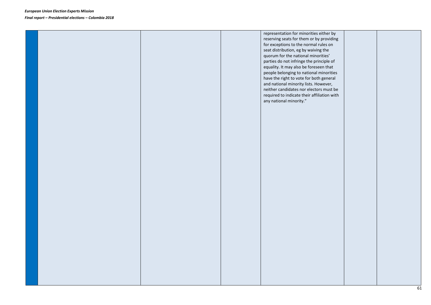|  |  | representation for minorities either by<br>reserving seats for them or by providing<br>for exceptions to the normal rules on<br>seat distribution, eg by waiving the<br>quorum for the national minorities'<br>parties do not infringe the principle of<br>equality. It may also be foreseen that<br>people belonging to national minorities<br>have the right to vote for both general<br>and national minority lists. However,<br>neither candidates nor electors must be<br>required to indicate their affiliation with<br>any national minority." |  |
|--|--|-------------------------------------------------------------------------------------------------------------------------------------------------------------------------------------------------------------------------------------------------------------------------------------------------------------------------------------------------------------------------------------------------------------------------------------------------------------------------------------------------------------------------------------------------------|--|
|  |  |                                                                                                                                                                                                                                                                                                                                                                                                                                                                                                                                                       |  |
|  |  |                                                                                                                                                                                                                                                                                                                                                                                                                                                                                                                                                       |  |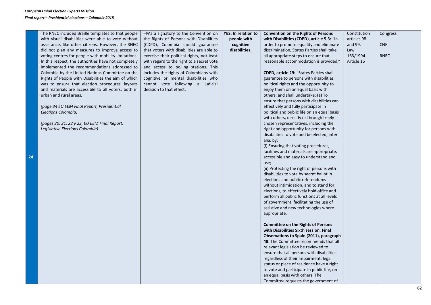| The RNEC included Braille templates so that people   | $\rightarrow$ As a signatory to the Convention on | YES. In relation to | <b>Convention on the Rights of Persons</b>        | Constitution | Congress    |
|------------------------------------------------------|---------------------------------------------------|---------------------|---------------------------------------------------|--------------|-------------|
| with visual disabilities were able to vote without   | the Rights of Persons with Disabilities           | people with         | with Disabilities (CDPD), article 5.3: "In        | articles 98  |             |
| assistance, like other citizens. However, the RNEC   | (CDPD), Colombia should guarantee                 | cognitive           | order to promote equality and eliminate           | and 99.      | <b>CNE</b>  |
| did not plan any measures to improve access to       | that voters with disabilities are able to         | disabilities.       | discrimination, States Parties shall take         | Law          |             |
| voting centres for people with mobility limitations. | exercise their political rights, not least        |                     | all appropriate steps to ensure that              | 163/1994.    | <b>RNEC</b> |
| In this respect, the authorities have not completely | with regard to the right to a secret vote         |                     | reasonable accommodation is provided."            | Article 16   |             |
| implemented the recommendations addressed to         | and access to polling stations. This              |                     |                                                   |              |             |
| Colombia by the United Nations Committee on the      | includes the rights of Colombians with            |                     | <b>CDPD, article 29: "States Parties shall</b>    |              |             |
| Rights of People with Disabilities the aim of which  | cognitive or mental disabilities who              |                     | guarantee to persons with disabilities            |              |             |
| was to ensure that election procedures, layouts      | cannot vote following a judicial                  |                     | political rights and the opportunity to           |              |             |
| and materials are accessible to all voters, both in  | decision to that effect.                          |                     | enjoy them on an equal basis with                 |              |             |
| urban and rural areas.                               |                                                   |                     | others, and shall undertake: (a) To               |              |             |
|                                                      |                                                   |                     | ensure that persons with disabilities can         |              |             |
| (page 34 EU EEM Final Report, Presidential           |                                                   |                     | effectively and fully participate in              |              |             |
| Elections Colombia)                                  |                                                   |                     | political and public life on an equal basis       |              |             |
|                                                      |                                                   |                     | with others, directly or through freely           |              |             |
| (pages 20, 21, 22 y 23, EU EEM Final Report,         |                                                   |                     | chosen representatives, including the             |              |             |
| Legislative Elections Colombia)                      |                                                   |                     | right and opportunity for persons with            |              |             |
|                                                      |                                                   |                     | disabilities to vote and be elected, inter        |              |             |
|                                                      |                                                   |                     | alia, by:                                         |              |             |
|                                                      |                                                   |                     | (i) Ensuring that voting procedures,              |              |             |
|                                                      |                                                   |                     | facilities and materials are appropriate,         |              |             |
|                                                      |                                                   |                     | accessible and easy to understand and             |              |             |
|                                                      |                                                   |                     | use;<br>(ii) Protecting the right of persons with |              |             |
|                                                      |                                                   |                     | disabilities to vote by secret ballot in          |              |             |
|                                                      |                                                   |                     | elections and public referendums                  |              |             |
|                                                      |                                                   |                     | without intimidation, and to stand for            |              |             |
|                                                      |                                                   |                     | elections, to effectively hold office and         |              |             |
|                                                      |                                                   |                     | perform all public functions at all levels        |              |             |
|                                                      |                                                   |                     | of government, facilitating the use of            |              |             |
|                                                      |                                                   |                     | assistive and new technologies where              |              |             |
|                                                      |                                                   |                     | appropriate.                                      |              |             |
|                                                      |                                                   |                     |                                                   |              |             |
|                                                      |                                                   |                     | <b>Committee on the Rights of Persons</b>         |              |             |
|                                                      |                                                   |                     | with Disabilities Sixth session. Final            |              |             |
|                                                      |                                                   |                     | Observations to Spain (2011), paragraph           |              |             |
|                                                      |                                                   |                     | 48: The Committee recommends that all             |              |             |
|                                                      |                                                   |                     | relevant legislation be reviewed to               |              |             |
|                                                      |                                                   |                     | ensure that all persons with disabilities         |              |             |
|                                                      |                                                   |                     | regardless of their impairment, legal             |              |             |
|                                                      |                                                   |                     | status or place of residence have a right         |              |             |
|                                                      |                                                   |                     | to vote and participate in public life, on        |              |             |
|                                                      |                                                   |                     | an equal basis with others. The                   |              |             |
|                                                      |                                                   |                     | Committee requests the government of              |              |             |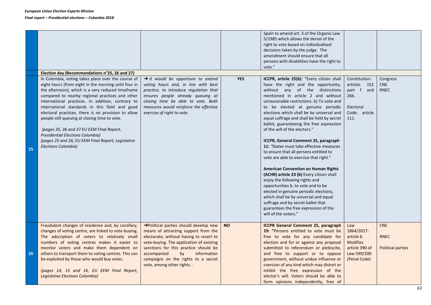|    |                                                                                                                                                                                                                                                                                                                                                                                                                                                                                                                                                                                                                                                          |                                                                                                                                                                                                                                                                                                                      |            | Spain to amend art. 3 of the Organic Law<br>5/1985 which allows the denial of the<br>right to vote based on individualised<br>decisions taken by the judge. The<br>amendment should ensure that all<br>persons with disabilities have the right to                                                                                                                                                                                                                                                                                                                                                                                                                                                                                                                                                                                                                                                                                                        |                                                                                                     |                                                       |
|----|----------------------------------------------------------------------------------------------------------------------------------------------------------------------------------------------------------------------------------------------------------------------------------------------------------------------------------------------------------------------------------------------------------------------------------------------------------------------------------------------------------------------------------------------------------------------------------------------------------------------------------------------------------|----------------------------------------------------------------------------------------------------------------------------------------------------------------------------------------------------------------------------------------------------------------------------------------------------------------------|------------|-----------------------------------------------------------------------------------------------------------------------------------------------------------------------------------------------------------------------------------------------------------------------------------------------------------------------------------------------------------------------------------------------------------------------------------------------------------------------------------------------------------------------------------------------------------------------------------------------------------------------------------------------------------------------------------------------------------------------------------------------------------------------------------------------------------------------------------------------------------------------------------------------------------------------------------------------------------|-----------------------------------------------------------------------------------------------------|-------------------------------------------------------|
|    |                                                                                                                                                                                                                                                                                                                                                                                                                                                                                                                                                                                                                                                          |                                                                                                                                                                                                                                                                                                                      |            | vote."                                                                                                                                                                                                                                                                                                                                                                                                                                                                                                                                                                                                                                                                                                                                                                                                                                                                                                                                                    |                                                                                                     |                                                       |
| 25 | Election day (Recommendations n°25, 26 and 27)<br>In Colombia, voting takes place over the course of<br>eight hours (from eight in the morning until four in<br>the afternoon), which is a very reduced timeframe<br>compared to nearby regional practices and other<br>international practices. In addition, contrary to<br>international standards in this field and good<br>electoral practices, there is no provision to allow<br>people still queuing at closing time to vote.<br>(pages 35, 36 and 37 EU EEM Final Report,<br><b>Presidential Elections Colombia)</b><br>(pages 25 and 26, EU EEM Final Report, Legislative<br>Elections Colombia) | $\rightarrow$ It would be opportune to extend<br>voting hours and, in line with best<br>practice, to introduce regulation that<br>ensures people already queuing at<br>closing time be able to vote. Both<br>measures would reinforce the effective<br>exercise of right to vote.                                    | <b>YES</b> | ICCPR, article 25(b): "Every citizen shall<br>have the right and the opportunity,<br>without any of the distinctions<br>mentioned in article 2 and without<br>unreasonable restrictions: b) To vote and<br>to be elected at genuine periodic<br>elections which shall be by universal and<br>equal suffrage and shall be held by secret<br>ballot, guaranteeing the free expression<br>of the will of the electors."<br>ICCPR, General Comment 25, paragraph<br>11: "States must take effective measures<br>to ensure that all persons entitled to<br>vote are able to exercise that right."<br><b>American Convention on Human Rights</b><br>(ACHR) article 23 (b) Every citizen shall<br>enjoy the following rights and<br>opportunities b. to vote and to be<br>elected in genuine periodic elections,<br>which shall be by universal and equal<br>suffrage and by secret ballot that<br>guarantees the free expression of the<br>will of the voters." | Constitution:<br>articles 152<br>part f and<br>266.<br>Electoral<br>Code: article<br>111.           | Congress<br><b>CNE</b><br><b>RNEC</b>                 |
| 26 | Fraudulent changes of residence and, by corollary,<br>changes of voting centre, are linked to vote-buying.<br>The adscription of voters to relatively small<br>numbers of voting centres makes it easier to<br>monitor voters and make them dependent on<br>others to transport them to voting centres. This can<br>be exploited by those who would buy votes.<br>(pages 14, 15 and 16, EU EEM Final Report,<br>Legislative Elections Colombia)                                                                                                                                                                                                          | >Political parties should develop new<br>means of attracting support from the<br>electorate, without having to resort to<br>vote-buying. The application of existing<br>sanctions for this practice should be<br>accompanied<br>information<br>by<br>campaigns on the rights to a secret<br>vote, among other rights | <b>NO</b>  | <b>ICCPR General Comment 25, paragraph</b><br>19: "Persons entitled to vote must be<br>free to vote for any candidate for<br>election and for or against any proposal<br>submitted to referendum or plebiscite,<br>and free to support or to oppose<br>government, without undue influence or<br>coercion of any kind which may distort or<br>inhibit the free expression of the<br>elector's will. Voters should be able to<br>form opinions independently, free of                                                                                                                                                                                                                                                                                                                                                                                                                                                                                      | Law<br>1864/2017:<br>article 6.<br><b>Modifies</b><br>article 390 of<br>Law 599/200<br>(Penal Code) | <b>CNE</b><br><b>RNEC</b><br><b>Political parties</b> |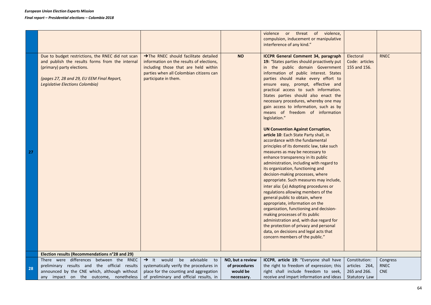|    |                                                                                                                                                                                                                            |                                                                                                                                                                                             |                  | violence or threat of violence,<br>compulsion, inducement or manipulative<br>interference of any kind."                                                                                                                                                                                                                                                                                                                                                                                                                                                                                                                                                                                                                                                                                                                                                                                                                                                                                                                                                                                                                                                                                                                                                                                         |                                             |                         |
|----|----------------------------------------------------------------------------------------------------------------------------------------------------------------------------------------------------------------------------|---------------------------------------------------------------------------------------------------------------------------------------------------------------------------------------------|------------------|-------------------------------------------------------------------------------------------------------------------------------------------------------------------------------------------------------------------------------------------------------------------------------------------------------------------------------------------------------------------------------------------------------------------------------------------------------------------------------------------------------------------------------------------------------------------------------------------------------------------------------------------------------------------------------------------------------------------------------------------------------------------------------------------------------------------------------------------------------------------------------------------------------------------------------------------------------------------------------------------------------------------------------------------------------------------------------------------------------------------------------------------------------------------------------------------------------------------------------------------------------------------------------------------------|---------------------------------------------|-------------------------|
| 27 | Due to budget restrictions, the RNEC did not scan<br>and publish the results forms from the internal<br>(primary) party elections.<br>(pages 27, 28 and 29, EU EEM Final Report,<br><b>Legislative Elections Colombia)</b> | >The RNEC should facilitate detailed<br>information on the results of elections,<br>including those that are held within<br>parties when all Colombian citizens can<br>participate in them. | <b>NO</b>        | <b>ICCPR General Comment 34, paragraph</b><br>19: "States parties should proactively put<br>in the public domain Government<br>information of public interest. States<br>parties should make every effort to<br>ensure easy, prompt, effective and<br>practical access to such information.<br>States parties should also enact the<br>necessary procedures, whereby one may<br>gain access to information, such as by<br>means of freedom of information<br>legislation."<br><b>UN Convention Against Corruption,</b><br>article 10: Each State Party shall, in<br>accordance with the fundamental<br>principles of its domestic law, take such<br>measures as may be necessary to<br>enhance transparency in its public<br>administration, including with regard to<br>its organization, functioning and<br>decision-making processes, where<br>appropriate. Such measures may include,<br>inter alia: (a) Adopting procedures or<br>regulations allowing members of the<br>general public to obtain, where<br>appropriate, information on the<br>organization, functioning and decision-<br>making processes of its public<br>administration and, with due regard for<br>the protection of privacy and personal<br>data, on decisions and legal acts that<br>concern members of the public." | Electoral<br>Code: articles<br>155 and 156. | <b>RNEC</b>             |
|    | Election results (Recommendations n°28 and 29)<br>There were differences between the RNEC                                                                                                                                  | $\rightarrow$ It would<br>be advisable                                                                                                                                                      | NO, but a review |                                                                                                                                                                                                                                                                                                                                                                                                                                                                                                                                                                                                                                                                                                                                                                                                                                                                                                                                                                                                                                                                                                                                                                                                                                                                                                 |                                             |                         |
|    | preliminary results and the official results                                                                                                                                                                               | to<br>systematically verify the procedures in                                                                                                                                               | of procedures    | ICCPR, article 19: "Everyone shall have<br>the right to freedom of expression; this                                                                                                                                                                                                                                                                                                                                                                                                                                                                                                                                                                                                                                                                                                                                                                                                                                                                                                                                                                                                                                                                                                                                                                                                             | Constitution:<br>articles 264,              | Congress<br><b>RNEC</b> |
| 28 | announced by the CNE which, although without                                                                                                                                                                               | place for the counting and aggregation                                                                                                                                                      | would be         | right shall include freedom to seek,                                                                                                                                                                                                                                                                                                                                                                                                                                                                                                                                                                                                                                                                                                                                                                                                                                                                                                                                                                                                                                                                                                                                                                                                                                                            | 265 and 266.                                | <b>CNE</b>              |
|    | any impact on the outcome, nonetheless                                                                                                                                                                                     | of preliminary and official results, in                                                                                                                                                     | necessary.       | receive and impart information and ideas                                                                                                                                                                                                                                                                                                                                                                                                                                                                                                                                                                                                                                                                                                                                                                                                                                                                                                                                                                                                                                                                                                                                                                                                                                                        | Statutory Law                               |                         |
|    |                                                                                                                                                                                                                            |                                                                                                                                                                                             |                  |                                                                                                                                                                                                                                                                                                                                                                                                                                                                                                                                                                                                                                                                                                                                                                                                                                                                                                                                                                                                                                                                                                                                                                                                                                                                                                 |                                             |                         |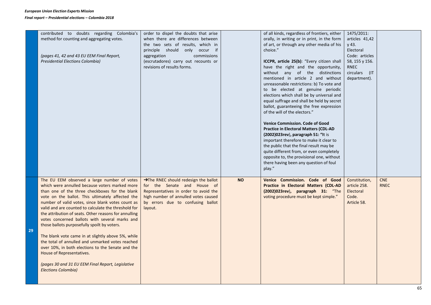|    | contributed to doubts regarding Colombia's            | order to dispel the doubts that arise             |           | of all kinds, regardless of frontiers, either | 1475/2011:        |             |
|----|-------------------------------------------------------|---------------------------------------------------|-----------|-----------------------------------------------|-------------------|-------------|
|    | method for counting and aggregating votes.            | when there are differences between                |           | orally, in writing or in print, in the form   | articles 41,42    |             |
|    |                                                       | the two sets of results, which in                 |           | of art, or through any other media of his     | y 43.             |             |
|    |                                                       | principle should only occur if                    |           | choice."                                      | Electoral         |             |
|    | (pages 41, 42 and 43 EU EEM Final Report,             | aggregation<br>commissions                        |           |                                               | Code: articles    |             |
|    | <b>Presidential Elections Colombia)</b>               | (escrutadores) carry out recounts or              |           | ICCPR, article 25(b): "Every citizen shall    | 58, 155 y 156.    |             |
|    |                                                       | revisions of results forms.                       |           | have the right and the opportunity,           | <b>RNEC</b>       |             |
|    |                                                       |                                                   |           | without any of the distinctions               | circulars<br>(1T) |             |
|    |                                                       |                                                   |           | mentioned in article 2 and without            | department).      |             |
|    |                                                       |                                                   |           | unreasonable restrictions: b) To vote and     |                   |             |
|    |                                                       |                                                   |           | to be elected at genuine periodic             |                   |             |
|    |                                                       |                                                   |           | elections which shall be by universal and     |                   |             |
|    |                                                       |                                                   |           | equal suffrage and shall be held by secret    |                   |             |
|    |                                                       |                                                   |           | ballot, guaranteeing the free expression      |                   |             |
|    |                                                       |                                                   |           | of the will of the electors."                 |                   |             |
|    |                                                       |                                                   |           |                                               |                   |             |
|    |                                                       |                                                   |           | <b>Venice Commission. Code of Good</b>        |                   |             |
|    |                                                       |                                                   |           | <b>Practice in Electoral Matters (CDL-AD</b>  |                   |             |
|    |                                                       |                                                   |           | (2002)023rev), paragraph 51: "It is           |                   |             |
|    |                                                       |                                                   |           | important therefore to make it clear to       |                   |             |
|    |                                                       |                                                   |           | the public that the final result may be       |                   |             |
|    |                                                       |                                                   |           | quite different from, or even completely      |                   |             |
|    |                                                       |                                                   |           | opposite to, the provisional one, without     |                   |             |
|    |                                                       |                                                   |           | there having been any question of foul        |                   |             |
|    |                                                       |                                                   |           | play."                                        |                   |             |
|    | The EU EEM observed a large number of votes           | $\rightarrow$ The RNEC should redesign the ballot | <b>NO</b> | Venice Commission. Code of Good               | Constitution,     | <b>CNE</b>  |
|    | which were annulled because voters marked more        | for the Senate and House of                       |           | Practice in Electoral Matters (CDL-AD         | article 258.      | <b>RNEC</b> |
|    | than one of the three checkboxes for the blank        | Representatives in order to avoid the             |           | $(2002)023$ rev), paragraph 31: "The          | Electoral         |             |
|    | vote on the ballot. This ultimately affected the      | high number of annulled votes caused              |           | voting procedure must be kept simple."        | Code.             |             |
|    | number of valid votes, since blank votes count as     | by errors due to confusing ballot                 |           |                                               | Article 58.       |             |
|    | valid and are counted to calculate the threshold for  | layout.                                           |           |                                               |                   |             |
|    | the attribution of seats. Other reasons for annulling |                                                   |           |                                               |                   |             |
|    | votes concerned ballots with several marks and        |                                                   |           |                                               |                   |             |
|    | those ballots purposefully spoilt by voters.          |                                                   |           |                                               |                   |             |
| 29 |                                                       |                                                   |           |                                               |                   |             |
|    | The blank vote came in at slightly above 5%, while    |                                                   |           |                                               |                   |             |
|    | the total of annulled and unmarked votes reached      |                                                   |           |                                               |                   |             |
|    | over 10%, in both elections to the Senate and the     |                                                   |           |                                               |                   |             |
|    | House of Representatives.                             |                                                   |           |                                               |                   |             |
|    |                                                       |                                                   |           |                                               |                   |             |
|    | (pages 30 and 31 EU EEM Final Report, Legislative     |                                                   |           |                                               |                   |             |
|    | <b>Elections Colombia)</b>                            |                                                   |           |                                               |                   |             |
|    |                                                       |                                                   |           |                                               |                   |             |
|    |                                                       |                                                   |           |                                               |                   |             |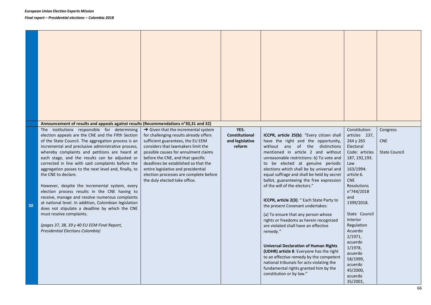**30**

| Announcement of results and appeals against results (Recommendations n°30,31 and 32)<br>The institutions responsible for determining<br>election appeals are the CNE and the Fifth Section<br>of the State Council. The aggregation process is an<br>incremental and preclusive administrative process,<br>whereby complaints and petitions are heard at<br>each stage, and the results can be adjusted or<br>corrected in line with said complaints before the<br>aggregation passes to the next level and, finally, to<br>the CNE to declare.<br>However, despite the incremental system, every<br>election process results in the CNE having to<br>receive, manage and resolve numerous complaints<br>at national level. In addition, Colombian legislation<br>does not stipulate a deadline by which the CNE<br>must resolve complaints.<br>(pages 37, 38, 39 y 40 EU EEM Final Report,<br>Presidential Elections Colombia) | $\rightarrow$ Given that the incremental system<br>for challenging results already offers<br>sufficient guarantees, the EU EEM<br>considers that lawmakers limit the<br>possible causes for annulment claims<br>before the CNE, and that specific<br>deadlines be established so that the<br>entire legislative and presidential<br>election processes are complete before<br>the duly elected take office. | YES.<br>Constitutional<br>and legislative<br>reform | ICCPR, article 25(b): "Every citizen shall<br>have the right and the opportunity,<br>without any of the distinctions<br>mentioned in article 2 and without<br>unreasonable restrictions: b) To vote and<br>to be elected at genuine periodic<br>elections which shall be by universal and<br>equal suffrage and shall be held by secret<br>ballot, guaranteeing the free expression<br>of the will of the electors."<br>ICCPR, article 2(3): " Each State Party to<br>the present Covenant undertakes:<br>(a) To ensure that any person whose<br>rights or freedoms as herein recognized<br>are violated shall have an effective<br>remedy."<br><b>Universal Declaration of Human Rights</b><br>(UDHR) article 8: Everyone has the right<br>to an effective remedy by the competent<br>national tribunals for acts violating the<br>fundamental rights granted him by the<br>constitution or by law." | Constitution:<br>articles 237,<br>264 y 265<br>Electoral<br>Code: articles<br>187, 192, 193.<br>Law<br>163/1994:<br>article 6.<br><b>CNE</b><br>Resolutions<br>n°744/2018<br>and<br>1399/2018.<br>State Council<br>Interior<br>Regulation<br>Acuerdo<br>2/1971,<br>acuerdo<br>1/1978,<br>acuerdo<br>58/1999,<br>acuerdo<br>45/2000,<br>acuerdo | Congress<br><b>CNE</b><br><b>State Council</b> |
|---------------------------------------------------------------------------------------------------------------------------------------------------------------------------------------------------------------------------------------------------------------------------------------------------------------------------------------------------------------------------------------------------------------------------------------------------------------------------------------------------------------------------------------------------------------------------------------------------------------------------------------------------------------------------------------------------------------------------------------------------------------------------------------------------------------------------------------------------------------------------------------------------------------------------------|-------------------------------------------------------------------------------------------------------------------------------------------------------------------------------------------------------------------------------------------------------------------------------------------------------------------------------------------------------------------------------------------------------------|-----------------------------------------------------|-------------------------------------------------------------------------------------------------------------------------------------------------------------------------------------------------------------------------------------------------------------------------------------------------------------------------------------------------------------------------------------------------------------------------------------------------------------------------------------------------------------------------------------------------------------------------------------------------------------------------------------------------------------------------------------------------------------------------------------------------------------------------------------------------------------------------------------------------------------------------------------------------------|------------------------------------------------------------------------------------------------------------------------------------------------------------------------------------------------------------------------------------------------------------------------------------------------------------------------------------------------|------------------------------------------------|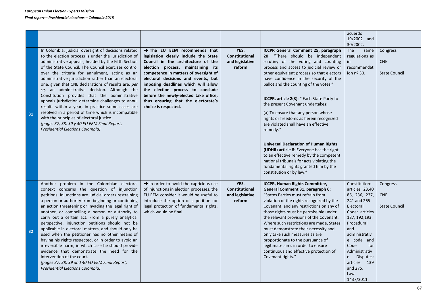|    |                                                                                                                                                                                                                                                                                                                                                                                                                                                                                                                                                                                                                                                                                                                                                                                                                      |                                                                                                                                                                                                                                                                                                                                                                                                                                 |                                                     |                                                                                                                                                                                                                                                                                                                                                                                                                                                                                                                                                                                                                                                                                                                                                                              | acuerdo<br>19/2002 and<br>30/2002.                                                                                                                                                                                                                                   |                                                |
|----|----------------------------------------------------------------------------------------------------------------------------------------------------------------------------------------------------------------------------------------------------------------------------------------------------------------------------------------------------------------------------------------------------------------------------------------------------------------------------------------------------------------------------------------------------------------------------------------------------------------------------------------------------------------------------------------------------------------------------------------------------------------------------------------------------------------------|---------------------------------------------------------------------------------------------------------------------------------------------------------------------------------------------------------------------------------------------------------------------------------------------------------------------------------------------------------------------------------------------------------------------------------|-----------------------------------------------------|------------------------------------------------------------------------------------------------------------------------------------------------------------------------------------------------------------------------------------------------------------------------------------------------------------------------------------------------------------------------------------------------------------------------------------------------------------------------------------------------------------------------------------------------------------------------------------------------------------------------------------------------------------------------------------------------------------------------------------------------------------------------------|----------------------------------------------------------------------------------------------------------------------------------------------------------------------------------------------------------------------------------------------------------------------|------------------------------------------------|
| 31 | In Colombia, judicial oversight of decisions related<br>to the election process is under the jurisdiction of<br>administrative appeals, headed by the Fifth Section<br>of the State Council. The Council exercises control<br>over the criteria for annulment, acting as an<br>administrative jurisdiction rather than an electoral<br>one, given that CNE declarations of results are, per<br>se, an administrative decision. Although the<br>Constitution provides that the administrative<br>appeals jurisdiction determine challenges to annul<br>results within a year, in practice some cases are<br>resolved in a period of time which is incompatible<br>with the principles of electoral justice.<br>(pages 37, 38, 39 y 40 EU EEM Final Report,<br>Presidential Elections Colombia)                        | $\rightarrow$ The EU EEM recommends that<br>legislation clearly include the State<br>Council in the architecture of the<br>election process, maintaining its<br>competence in matters of oversight of<br>electoral decisions and events, but<br>imposing deadlines which will allow<br>the election process to conclude<br>before the newly-elected take office,<br>thus ensuring that the electorate's<br>choice is respected. | YES.<br>Constitutional<br>and legislative<br>reform | ICCPR General Comment 25, paragraph<br>20: "There should be independent<br>scrutiny of the voting and counting<br>process and access to judicial review or<br>other equivalent process so that electors<br>have confidence in the security of the<br>ballot and the counting of the votes."<br>ICCPR, article 2(3): " Each State Party to<br>the present Covenant undertakes:<br>(a) To ensure that any person whose<br>rights or freedoms as herein recognized<br>are violated shall have an effective<br>remedy."<br><b>Universal Declaration of Human Rights</b><br>(UDHR) article 8: Everyone has the right<br>to an effective remedy by the competent<br>national tribunals for acts violating the<br>fundamental rights granted him by the<br>constitution or by law." | <b>The</b><br>same<br>regulations as<br>in<br>recommendat<br>ion nº 30.                                                                                                                                                                                              | Congress<br><b>CNE</b><br><b>State Council</b> |
| 32 | Another problem in the Colombian electoral<br>context concerns the question of injunction<br>petitions. Injunctions are judicial orders restraining<br>a person or authority from beginning or continuing<br>an action threatening or invading the legal right of<br>another, or compelling a person or authority to<br>carry out a certain act. From a purely analytical<br>perspective, injunction petitions should not be<br>applicable in electoral matters, and should only be<br>used when the petitioner has no other means of<br>having his rights respected, or in order to avoid an<br>irreversible harm, in which case he should provide<br>evidence that demonstrate the need for the<br>intervention of the court.<br>(pages 37, 38, 39 and 40 EU EEM Final Report,<br>Presidential Elections Colombia) | $\rightarrow$ In order to avoid the capricious use<br>of injunctions in election processes, the<br>EU EEM consider it would be useful to<br>introduce the option of a petition for<br>legal protection of fundamental rights,<br>which would be final.                                                                                                                                                                          | YES.<br>Constitutional<br>and legislative<br>reform | ICCPR, Human Rights Committee,<br>General Comment 31, paragraph 6:<br>"States Parties must refrain from<br>violation of the rights recognized by the<br>Covenant, and any restrictions on any of<br>those rights must be permissible under<br>the relevant provisions of the Covenant.<br>Where such restrictions are made, States<br>must demonstrate their necessity and<br>only take such measures as are<br>proportionate to the pursuance of<br>legitimate aims in order to ensure<br>continuous and effective protection of<br>Covenant rights."                                                                                                                                                                                                                       | Constitution:<br>articles 23,40<br>86, 236, 237,<br>241 and 265<br>Electoral<br>Code: articles<br>187, 192, 193.<br>Procedural<br>and<br>administrativ<br>e code and<br>Code<br>for<br>Administrativ<br>e Disputes:<br>articles 139<br>and 275.<br>Law<br>1437/2011: | Congress<br><b>CNE</b><br><b>State Council</b> |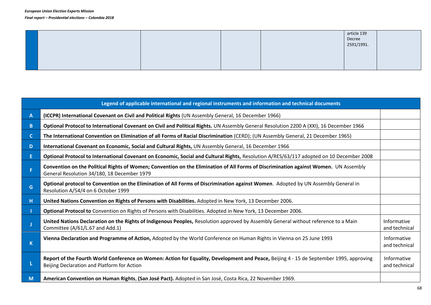|  |  | article 139 |  |
|--|--|-------------|--|
|  |  | Decree      |  |
|  |  | 2591/1991.  |  |
|  |  |             |  |
|  |  |             |  |
|  |  |             |  |
|  |  |             |  |

| Legend of applicable international and regional instruments and information and technical documents |                                                                                                                                                                                        |                              |  |  |  |  |
|-----------------------------------------------------------------------------------------------------|----------------------------------------------------------------------------------------------------------------------------------------------------------------------------------------|------------------------------|--|--|--|--|
| A                                                                                                   | (ICCPR) International Covenant on Civil and Political Rights (UN Assembly General, 16 December 1966)                                                                                   |                              |  |  |  |  |
| B                                                                                                   | Optional Protocol to International Covenant on Civil and Political Rights. UN Assembly General Resolution 2200 A (XXI), 16 December 1966                                               |                              |  |  |  |  |
| C.                                                                                                  | The International Convention on Elimination of all Forms of Racial Discrimination (CERD); (UN Assembly General, 21 December 1965)                                                      |                              |  |  |  |  |
| D                                                                                                   | International Covenant on Economic, Social and Cultural Rights, UN Assembly General, 16 December 1966                                                                                  |                              |  |  |  |  |
| E.                                                                                                  | Optional Protocol to International Covenant on Economic, Social and Cultural Rights, Resolution A/RES/63/117 adopted on 10 December 2008                                               |                              |  |  |  |  |
|                                                                                                     | Convention on the Political Rights of Women; Convention on the Elimination of All Forms of Discrimination against Women. UN Assembly<br>General Resolution 34/180, 18 December 1979    |                              |  |  |  |  |
| G                                                                                                   | Optional protocol to Convention on the Elimination of All Forms of Discrimination against Women. Adopted by UN Assembly General in<br>Resolution A/54/4 on 6 October 1999              |                              |  |  |  |  |
| н                                                                                                   | United Nations Convention on Rights of Persons with Disabilities. Adopted in New York, 13 December 2006.                                                                               |                              |  |  |  |  |
|                                                                                                     | Optional Protocol to Convention on Rights of Persons with Disabilities. Adopted in New York, 13 December 2006.                                                                         |                              |  |  |  |  |
|                                                                                                     | United Nations Declaration on the Rights of Indigenous Peoples, Resolution approved by Assembly General without reference to a Main<br>Committee (A/61/L.67 and Add.1)                 | Informative<br>and technical |  |  |  |  |
| $\mathsf{K}$                                                                                        | Vienna Declaration and Programme of Action, Adopted by the World Conference on Human Rights in Vienna on 25 June 1993                                                                  | Informative<br>and technical |  |  |  |  |
|                                                                                                     | Report of the Fourth World Conference on Women: Action for Equality, Development and Peace, Beijing 4 - 15 de September 1995, approving<br>Beijing Declaration and Platform for Action | Informative<br>and technical |  |  |  |  |
| M                                                                                                   | American Convention on Human Rights, (San José Pact). Adopted in San José, Costa Rica, 22 November 1969.                                                                               |                              |  |  |  |  |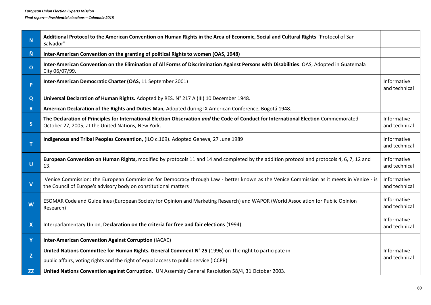| $\mathbf N$               | Additional Protocol to the American Convention on Human Rights in the Area of Economic, Social and Cultural Rights "Protocol of San<br>Salvador"                                                           |                              |  |  |
|---------------------------|------------------------------------------------------------------------------------------------------------------------------------------------------------------------------------------------------------|------------------------------|--|--|
| Ñ                         | Inter-American Convention on the granting of political Rights to women (OAS, 1948)                                                                                                                         |                              |  |  |
| $\mathbf{o}$              | Inter-American Convention on the Elimination of All Forms of Discrimination Against Persons with Disabilities. OAS, Adopted in Guatemala<br>City 06/07/99.                                                 |                              |  |  |
| P                         | Inter-American Democratic Charter (OAS, 11 September 2001)                                                                                                                                                 | Informative<br>and technical |  |  |
| Q                         | Universal Declaration of Human Rights. Adopted by RES. N° 217 A (III) 10 December 1948.                                                                                                                    |                              |  |  |
| $\mathbf R$               | American Declaration of the Rights and Duties Man, Adopted during IX American Conference, Bogotá 1948.                                                                                                     |                              |  |  |
| S                         | The Declaration of Principles for International Election Observation and the Code of Conduct for International Election Commemorated<br>October 27, 2005, at the United Nations, New York.                 | Informative<br>and technical |  |  |
| T                         | Indigenous and Tribal Peoples Convention, (ILO c.169). Adopted Geneva, 27 June 1989                                                                                                                        | Informative<br>and technical |  |  |
| $\overline{U}$            | European Convention on Human Rights, modified by protocols 11 and 14 and completed by the addition protocol and protocols 4, 6, 7, 12 and<br>13.                                                           | Informative<br>and technical |  |  |
| $\mathbf v$               | Venice Commission: the European Commission for Democracy through Law - better known as the Venice Commission as it meets in Venice - is<br>the Council of Europe's advisory body on constitutional matters | Informative<br>and technical |  |  |
| W                         | ESOMAR Code and Guidelines (European Society for Opinion and Marketing Research) and WAPOR (World Association for Public Opinion<br>Research)                                                              | Informative<br>and technical |  |  |
| $\boldsymbol{\mathsf{X}}$ | Interparlamentary Union, Declaration on the criteria for free and fair elections (1994).                                                                                                                   | Informative<br>and technical |  |  |
| Y                         | Inter-American Convention Against Corruption (IACAC)                                                                                                                                                       |                              |  |  |
| Z.                        | United Nations Committee for Human Rights. General Comment N° 25 (1996) on The right to participate in<br>public affairs, voting rights and the right of equal access to public service (ICCPR)            | Informative<br>and technical |  |  |
| <b>ZZ</b>                 | United Nations Convention against Corruption. UN Assembly General Resolution 58/4, 31 October 2003.                                                                                                        |                              |  |  |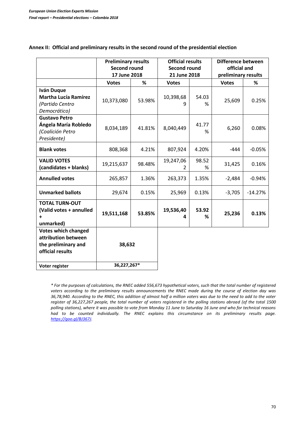|                                                                                              | <b>Preliminary results</b><br><b>Second round</b><br>17 June 2018 |        | <b>Official results</b><br><b>Second round</b><br>21 June 2018 |            | Difference between<br>official and<br>preliminary results |           |
|----------------------------------------------------------------------------------------------|-------------------------------------------------------------------|--------|----------------------------------------------------------------|------------|-----------------------------------------------------------|-----------|
|                                                                                              | <b>Votes</b>                                                      | %      | <b>Votes</b>                                                   |            | <b>Votes</b>                                              | %         |
| <b>Iván Duque</b><br><b>Martha Lucía Ramírez</b><br>(Partido Centro<br>Democrático)          | 10,373,080                                                        | 53.98% | 10,398,68<br>q                                                 | 54.03<br>% | 25,609                                                    | 0.25%     |
| <b>Gustavo Petro</b><br>Ángela María Robledo<br>(Coalición Petro<br>Presidente)              | 8,034,189                                                         | 41.81% | 8,040,449                                                      | 41.77<br>% | 6,260                                                     | 0.08%     |
| <b>Blank votes</b>                                                                           | 808,368                                                           | 4.21%  | 807,924                                                        | 4.20%      | $-444$                                                    | $-0.05%$  |
| <b>VALID VOTES</b><br>(candidates + blanks)                                                  | 19,215,637                                                        | 98.48% | 19,247,06<br>$\mathcal{P}$                                     | 98.52<br>% | 31,425                                                    | 0.16%     |
| <b>Annulled votes</b>                                                                        | 265,857                                                           | 1.36%  | 263,373                                                        | 1.35%      | $-2,484$                                                  | $-0.94%$  |
| <b>Unmarked ballots</b>                                                                      | 29,674                                                            | 0.15%  | 25,969                                                         | 0.13%      | $-3,705$                                                  | $-14.27%$ |
| <b>TOTAL TURN-OUT</b><br>(Valid votes + annulled<br>$\ddot{}$<br>unmarked)                   | 19,511,168                                                        | 53.85% | 19,536,40<br>4                                                 | 53.92<br>% | 25,236                                                    | 0.13%     |
| <b>Votes which changed</b><br>attribution between<br>the preliminary and<br>official results | 38,632<br>36,227,267*                                             |        |                                                                |            |                                                           |           |
| Voter register                                                                               |                                                                   |        |                                                                |            |                                                           |           |

## **Annex II: Official and preliminary results in the second round of the presidential election**

*\* For the purposes of calculations, the RNEC added 556,673 hypothetical voters, such that the total number of registered voters according to the preliminary results announcements the RNEC made during the course of election day was 36,78,940. According to the RNEC, this addition of almost half a million voters was due to the need to add to the voter register of 36,227,267 people, the total number of voters registered in the polling stations abroad (of the total 1500 polling stations), where it was possible to vote from Monday 11 June to Saturday 16 June and who for technical reasons had to be counted individually. The RNEC explains this circumstance on its preliminary results page. [https://goo.gl/BJ367J.](https://goo.gl/BJ367J)*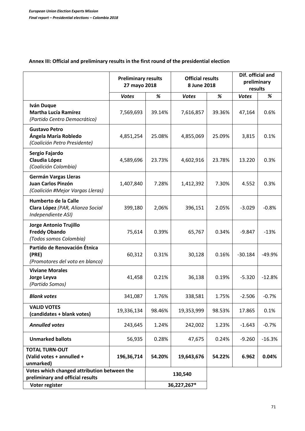## **Annex III: Official and preliminary results in the first round of the presidential election**

|                                                                                       | <b>Preliminary results</b><br>27 mayo 2018 |             | <b>Official results</b><br>8 June 2018 |        | Dif. official and<br>preliminary<br>results |          |
|---------------------------------------------------------------------------------------|--------------------------------------------|-------------|----------------------------------------|--------|---------------------------------------------|----------|
|                                                                                       | <b>Votes</b>                               | $\%$        | <b>Votes</b>                           | $\%$   | <b>Votes</b>                                | %        |
| Iván Duque<br><b>Martha Lucía Ramírez</b><br>(Partido Centro Democrático)             | 7,569,693                                  | 39.14%      | 7,616,857                              | 39.36% | 47,164                                      | 0.6%     |
| <b>Gustavo Petro</b><br>Ángela María Robledo<br>(Coalición Petro Presidente)          | 4,851,254                                  | 25.08%      | 4,855,069                              | 25.09% | 3,815                                       | 0.1%     |
| Sergio Fajardo<br>Claudia López<br>(Coalición Colombia)                               | 4,589,696                                  | 23.73%      | 4,602,916                              | 23.78% | 13.220                                      | 0.3%     |
| <b>Germán Vargas Lleras</b><br>Juan Carlos Pinzón<br>(Coalición #Mejor Vargas Lleras) | 1,407,840                                  | 7.28%       | 1,412,392                              | 7.30%  | 4.552                                       | 0.3%     |
| Humberto de la Calle<br>Clara López (PAR, Alianza Social<br>Independiente ASI)        | 399,180                                    | 2,06%       | 396,151                                | 2.05%  | $-3.029$                                    | $-0.8%$  |
| Jorge Antonio Trujillo<br><b>Freddy Obando</b><br>(Todos somos Colombia)              | 75,614                                     | 0.39%       | 65,767                                 | 0.34%  | $-9.847$                                    | $-13%$   |
| Partido de Renovación Étnica<br>(PRE)<br>(Promotores del voto en blanco)              | 60,312                                     | 0.31%       | 30,128                                 | 0.16%  | $-30.184$                                   | $-49.9%$ |
| <b>Viviane Morales</b><br>Jorge Leyva<br>(Partido Somos)                              | 41,458                                     | 0.21%       | 36,138                                 | 0.19%  | $-5.320$                                    | $-12.8%$ |
| <b>Blank votes</b>                                                                    | 341,087                                    | 1.76%       | 338,581                                | 1.75%  | $-2.506$                                    | $-0.7%$  |
| <b>VALID VOTES</b><br>(candidates + blank votes)                                      | 19,336,134                                 | 98.46%      | 19,353,999                             | 98.53% | 17.865                                      | 0.1%     |
| <b>Annulled votes</b>                                                                 | 243,645                                    | 1.24%       | 242,002                                | 1.23%  | $-1.643$                                    | $-0.7%$  |
| <b>Unmarked ballots</b>                                                               | 56,935                                     | 0.28%       | 47,675                                 | 0.24%  | $-9.260$                                    | $-16.3%$ |
| <b>TOTAL TURN-OUT</b><br>(Valid votes + annulled +<br>unmarked)                       | 196,36,714                                 | 54.20%      | 19,643,676                             | 54.22% | 6.962                                       | 0.04%    |
| Votes which changed attribution between the<br>preliminary and official results       |                                            | 130,540     |                                        |        |                                             |          |
| Voter register                                                                        |                                            | 36,227,267* |                                        |        |                                             |          |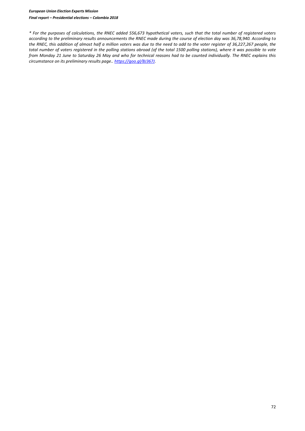*\* For the purposes of calculations, the RNEC added 556,673 hypothetical voters, such that the total number of registered voters according to the preliminary results announcements the RNEC made during the course of election day was 36,78,940. According to the RNEC, this addition of almost half a million voters was due to the need to add to the voter register of 36,227,267 people, the total number of voters registered in the polling stations abroad (of the total 1500 polling stations), where it was possible to vote from Monday 21 June to Saturday 26 May and who for technical reasons had to be counted individually. The RNEC explains this circumstance on its preliminary results page.[. https://goo.gl/BJ367J.](https://goo.gl/BJ367J)*